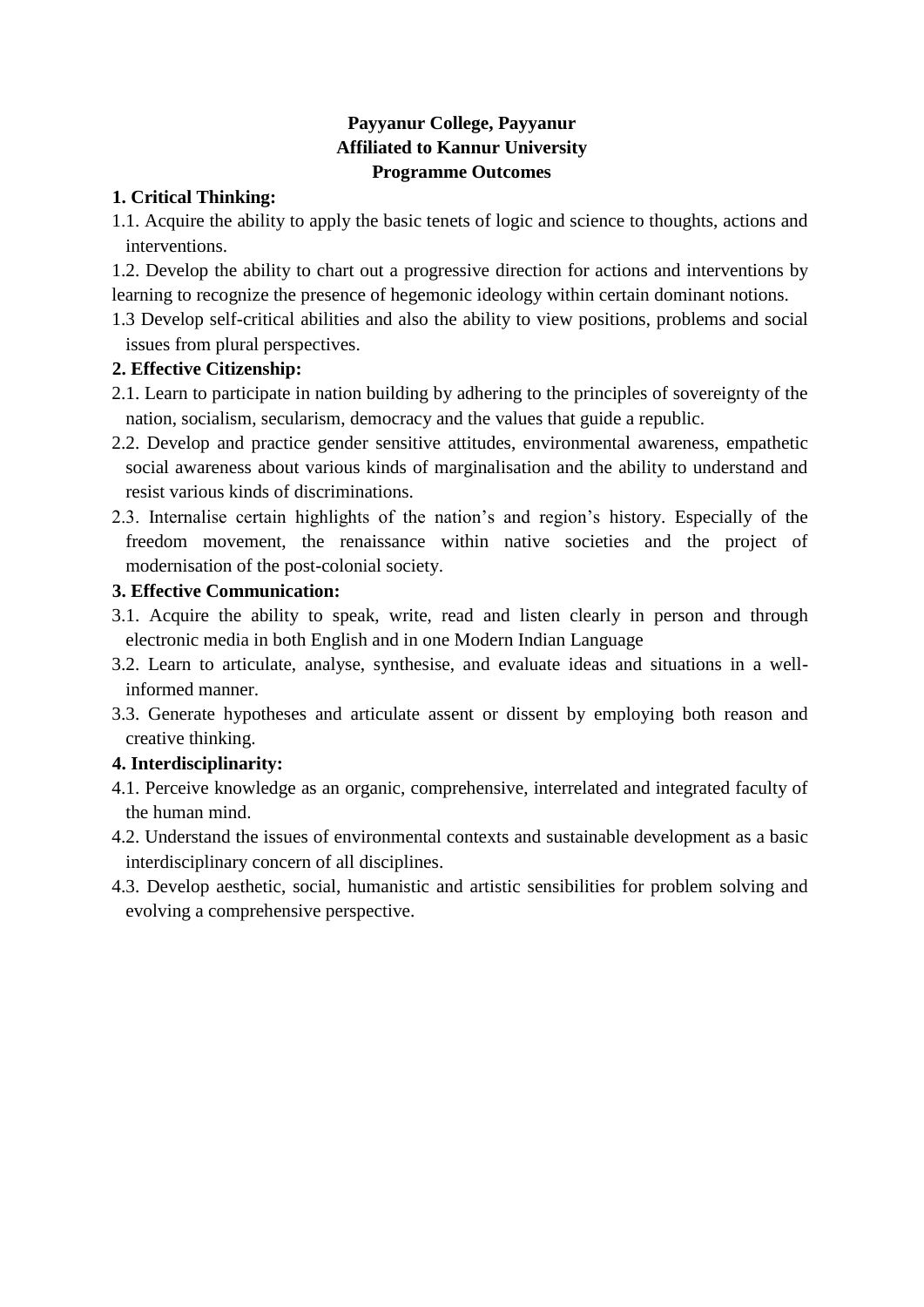## **Payyanur College, Payyanur Affiliated to Kannur University Programme Outcomes**

### **1. Critical Thinking:**

1.1. Acquire the ability to apply the basic tenets of logic and science to thoughts, actions and interventions.

1.2. Develop the ability to chart out a progressive direction for actions and interventions by learning to recognize the presence of hegemonic ideology within certain dominant notions.

1.3 Develop self-critical abilities and also the ability to view positions, problems and social issues from plural perspectives.

### **2. Effective Citizenship:**

- 2.1. Learn to participate in nation building by adhering to the principles of sovereignty of the nation, socialism, secularism, democracy and the values that guide a republic.
- 2.2. Develop and practice gender sensitive attitudes, environmental awareness, empathetic social awareness about various kinds of marginalisation and the ability to understand and resist various kinds of discriminations.
- 2.3. Internalise certain highlights of the nation's and region's history. Especially of the freedom movement, the renaissance within native societies and the project of modernisation of the post-colonial society.

### **3. Effective Communication:**

- 3.1. Acquire the ability to speak, write, read and listen clearly in person and through electronic media in both English and in one Modern Indian Language
- 3.2. Learn to articulate, analyse, synthesise, and evaluate ideas and situations in a wellinformed manner.
- 3.3. Generate hypotheses and articulate assent or dissent by employing both reason and creative thinking.

## **4. Interdisciplinarity:**

- 4.1. Perceive knowledge as an organic, comprehensive, interrelated and integrated faculty of the human mind.
- 4.2. Understand the issues of environmental contexts and sustainable development as a basic interdisciplinary concern of all disciplines.
- 4.3. Develop aesthetic, social, humanistic and artistic sensibilities for problem solving and evolving a comprehensive perspective.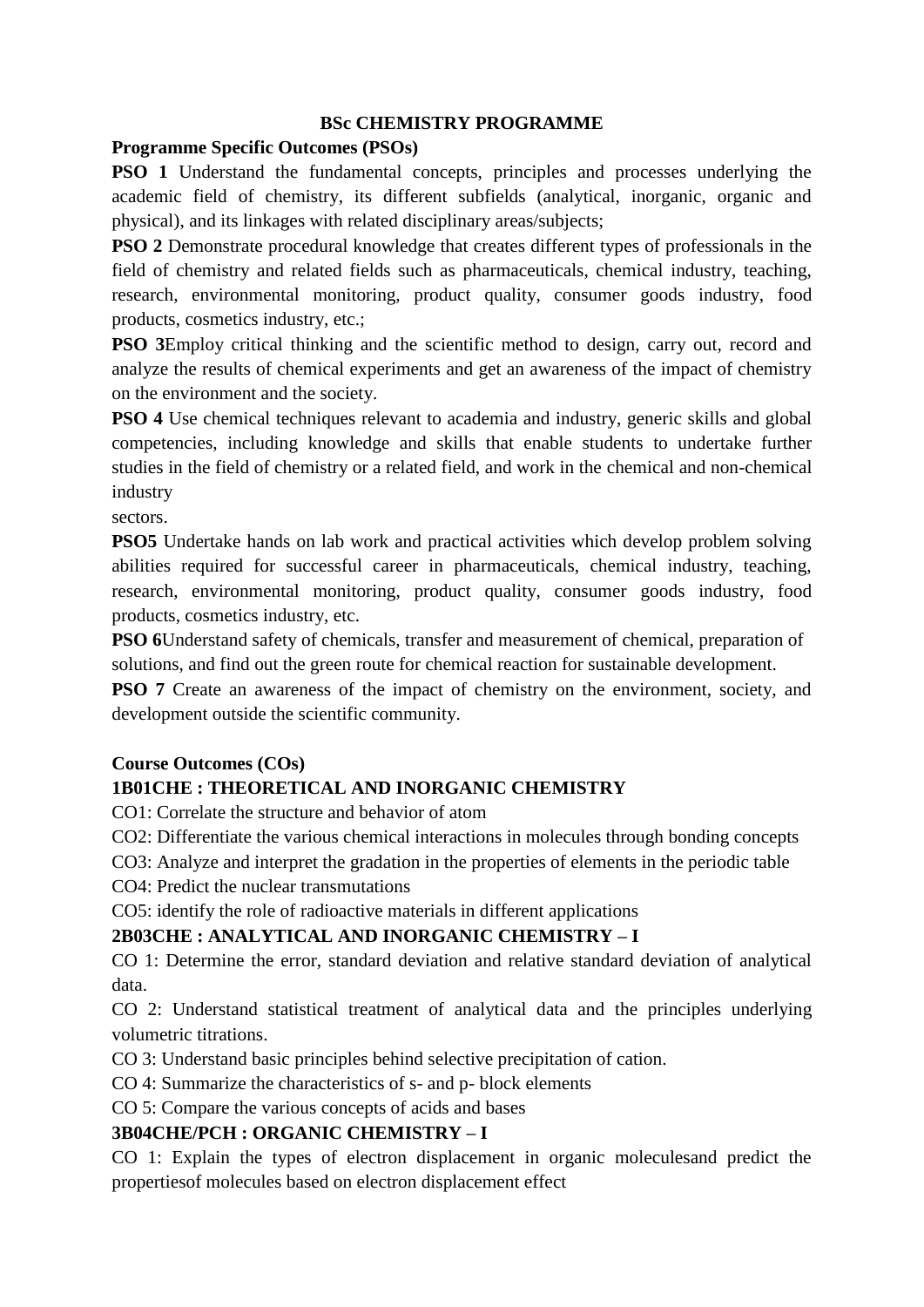#### **BSc CHEMISTRY PROGRAMME**

#### **Programme Specific Outcomes (PSOs)**

**PSO 1** Understand the fundamental concepts, principles and processes underlying the academic field of chemistry, its different subfields (analytical, inorganic, organic and physical), and its linkages with related disciplinary areas/subjects;

**PSO 2** Demonstrate procedural knowledge that creates different types of professionals in the field of chemistry and related fields such as pharmaceuticals, chemical industry, teaching, research, environmental monitoring, product quality, consumer goods industry, food products, cosmetics industry, etc.;

**PSO 3**Employ critical thinking and the scientific method to design, carry out, record and analyze the results of chemical experiments and get an awareness of the impact of chemistry on the environment and the society.

**PSO 4** Use chemical techniques relevant to academia and industry, generic skills and global competencies, including knowledge and skills that enable students to undertake further studies in the field of chemistry or a related field, and work in the chemical and non-chemical industry

sectors.

**PSO5** Undertake hands on lab work and practical activities which develop problem solving abilities required for successful career in pharmaceuticals, chemical industry, teaching, research, environmental monitoring, product quality, consumer goods industry, food products, cosmetics industry, etc.

**PSO 6**Understand safety of chemicals, transfer and measurement of chemical, preparation of solutions, and find out the green route for chemical reaction for sustainable development.

**PSO 7** Create an awareness of the impact of chemistry on the environment, society, and development outside the scientific community.

#### **Course Outcomes (COs)**

#### **1B01CHE : THEORETICAL AND INORGANIC CHEMISTRY**

CO1: Correlate the structure and behavior of atom

CO2: Differentiate the various chemical interactions in molecules through bonding concepts

CO3: Analyze and interpret the gradation in the properties of elements in the periodic table

CO4: Predict the nuclear transmutations

CO5: identify the role of radioactive materials in different applications

#### **2B03CHE : ANALYTICAL AND INORGANIC CHEMISTRY – I**

CO 1: Determine the error, standard deviation and relative standard deviation of analytical data.

CO 2: Understand statistical treatment of analytical data and the principles underlying volumetric titrations.

CO 3: Understand basic principles behind selective precipitation of cation.

CO 4: Summarize the characteristics of s- and p- block elements

CO 5: Compare the various concepts of acids and bases

#### **3B04CHE/PCH : ORGANIC CHEMISTRY – I**

CO 1: Explain the types of electron displacement in organic moleculesand predict the propertiesof molecules based on electron displacement effect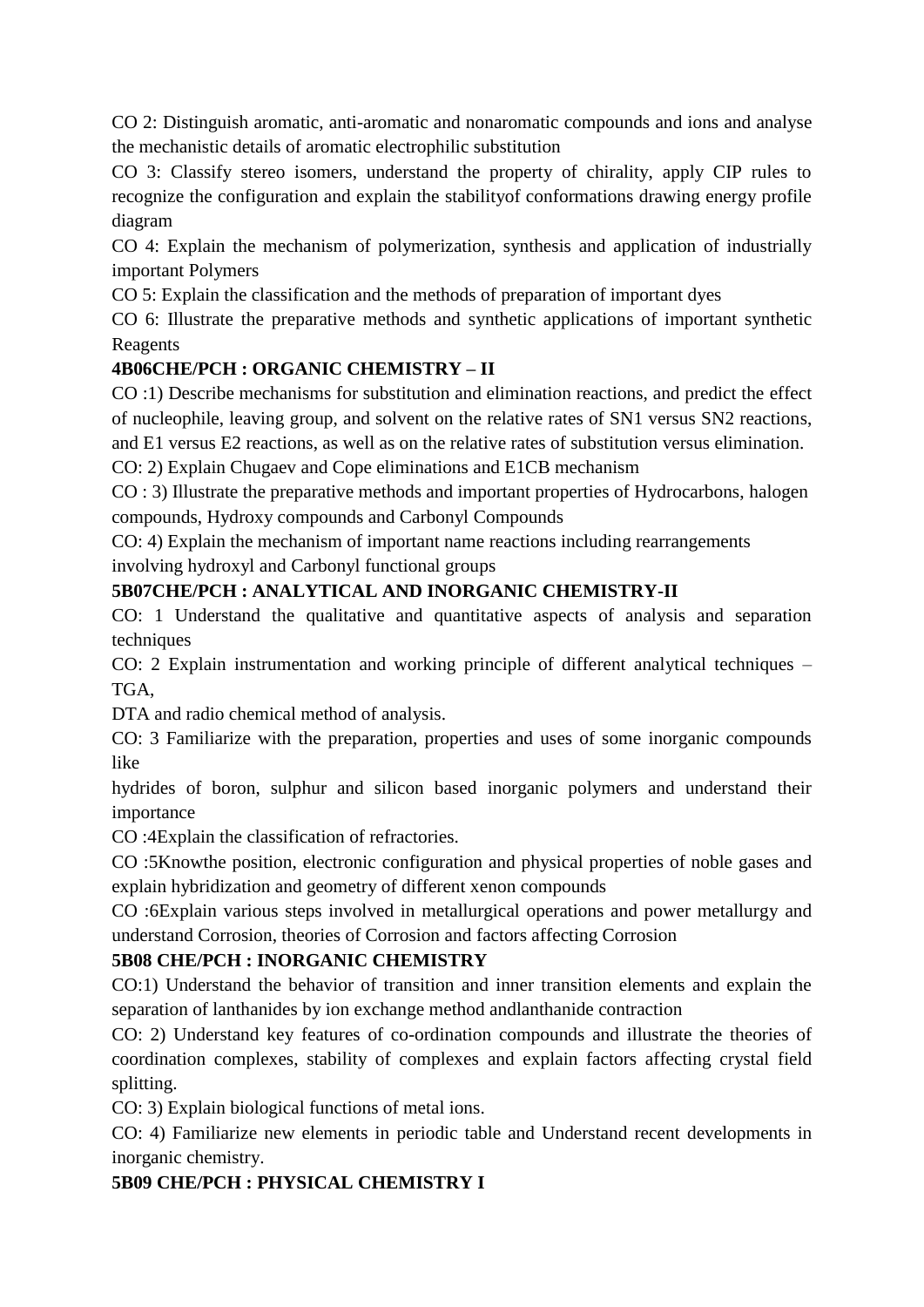CO 2: Distinguish aromatic, anti-aromatic and nonaromatic compounds and ions and analyse the mechanistic details of aromatic electrophilic substitution

CO 3: Classify stereo isomers, understand the property of chirality, apply CIP rules to recognize the configuration and explain the stabilityof conformations drawing energy profile diagram

CO 4: Explain the mechanism of polymerization, synthesis and application of industrially important Polymers

CO 5: Explain the classification and the methods of preparation of important dyes

CO 6: Illustrate the preparative methods and synthetic applications of important synthetic Reagents

# **4B06CHE/PCH : ORGANIC CHEMISTRY – II**

CO :1) Describe mechanisms for substitution and elimination reactions, and predict the effect of nucleophile, leaving group, and solvent on the relative rates of SN1 versus SN2 reactions,

and E1 versus E2 reactions, as well as on the relative rates of substitution versus elimination.

CO: 2) Explain Chugaev and Cope eliminations and E1CB mechanism

CO : 3) Illustrate the preparative methods and important properties of Hydrocarbons, halogen compounds, Hydroxy compounds and Carbonyl Compounds

CO: 4) Explain the mechanism of important name reactions including rearrangements

involving hydroxyl and Carbonyl functional groups

# **5B07CHE/PCH : ANALYTICAL AND INORGANIC CHEMISTRY-II**

CO: 1 Understand the qualitative and quantitative aspects of analysis and separation techniques

CO: 2 Explain instrumentation and working principle of different analytical techniques – TGA,

DTA and radio chemical method of analysis.

CO: 3 Familiarize with the preparation, properties and uses of some inorganic compounds like

hydrides of boron, sulphur and silicon based inorganic polymers and understand their importance

CO :4Explain the classification of refractories.

CO :5Knowthe position, electronic configuration and physical properties of noble gases and explain hybridization and geometry of different xenon compounds

CO :6Explain various steps involved in metallurgical operations and power metallurgy and understand Corrosion, theories of Corrosion and factors affecting Corrosion

## **5B08 CHE/PCH : INORGANIC CHEMISTRY**

CO:1) Understand the behavior of transition and inner transition elements and explain the separation of lanthanides by ion exchange method andlanthanide contraction

CO: 2) Understand key features of co-ordination compounds and illustrate the theories of coordination complexes, stability of complexes and explain factors affecting crystal field splitting.

CO: 3) Explain biological functions of metal ions.

CO: 4) Familiarize new elements in periodic table and Understand recent developments in inorganic chemistry.

# **5B09 CHE/PCH : PHYSICAL CHEMISTRY I**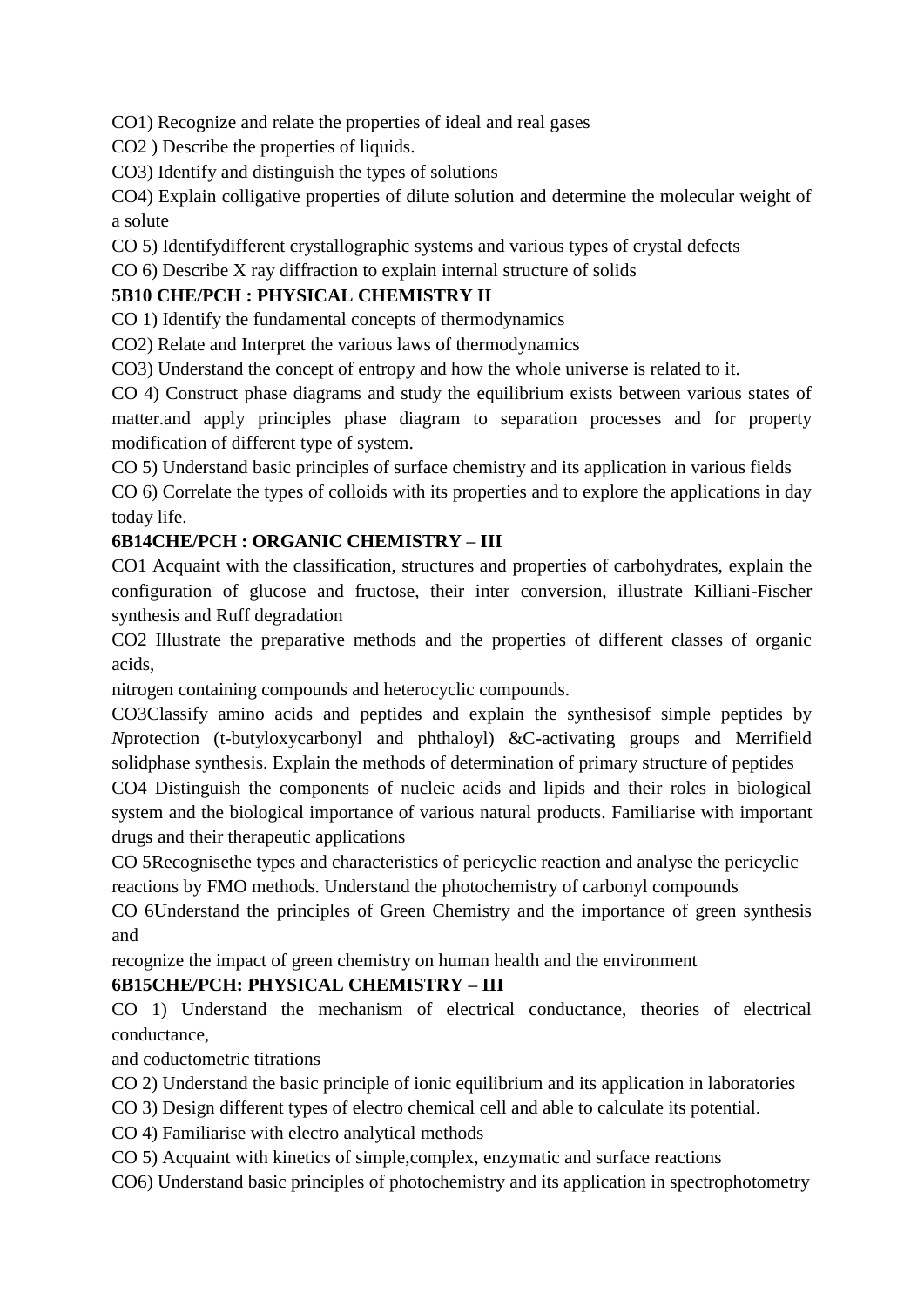CO1) Recognize and relate the properties of ideal and real gases

CO2 ) Describe the properties of liquids.

CO3) Identify and distinguish the types of solutions

CO4) Explain colligative properties of dilute solution and determine the molecular weight of a solute

CO 5) Identifydifferent crystallographic systems and various types of crystal defects

CO 6) Describe X ray diffraction to explain internal structure of solids

## **5B10 CHE/PCH : PHYSICAL CHEMISTRY II**

CO 1) Identify the fundamental concepts of thermodynamics

CO2) Relate and Interpret the various laws of thermodynamics

CO3) Understand the concept of entropy and how the whole universe is related to it.

CO 4) Construct phase diagrams and study the equilibrium exists between various states of matter.and apply principles phase diagram to separation processes and for property modification of different type of system.

CO 5) Understand basic principles of surface chemistry and its application in various fields

CO 6) Correlate the types of colloids with its properties and to explore the applications in day today life.

## **6B14CHE/PCH : ORGANIC CHEMISTRY – III**

CO1 Acquaint with the classification, structures and properties of carbohydrates, explain the configuration of glucose and fructose, their inter conversion, illustrate Killiani-Fischer synthesis and Ruff degradation

CO2 Illustrate the preparative methods and the properties of different classes of organic acids,

nitrogen containing compounds and heterocyclic compounds.

CO3Classify amino acids and peptides and explain the synthesisof simple peptides by *N*protection (t-butyloxycarbonyl and phthaloyl) &C-activating groups and Merrifield solidphase synthesis. Explain the methods of determination of primary structure of peptides

CO4 Distinguish the components of nucleic acids and lipids and their roles in biological system and the biological importance of various natural products. Familiarise with important drugs and their therapeutic applications

CO 5Recognisethe types and characteristics of pericyclic reaction and analyse the pericyclic reactions by FMO methods. Understand the photochemistry of carbonyl compounds

CO 6Understand the principles of Green Chemistry and the importance of green synthesis and

recognize the impact of green chemistry on human health and the environment

## **6B15CHE/PCH: PHYSICAL CHEMISTRY – III**

CO 1) Understand the mechanism of electrical conductance, theories of electrical conductance,

and coductometric titrations

CO 2) Understand the basic principle of ionic equilibrium and its application in laboratories

CO 3) Design different types of electro chemical cell and able to calculate its potential.

CO 4) Familiarise with electro analytical methods

CO 5) Acquaint with kinetics of simple,complex, enzymatic and surface reactions

CO6) Understand basic principles of photochemistry and its application in spectrophotometry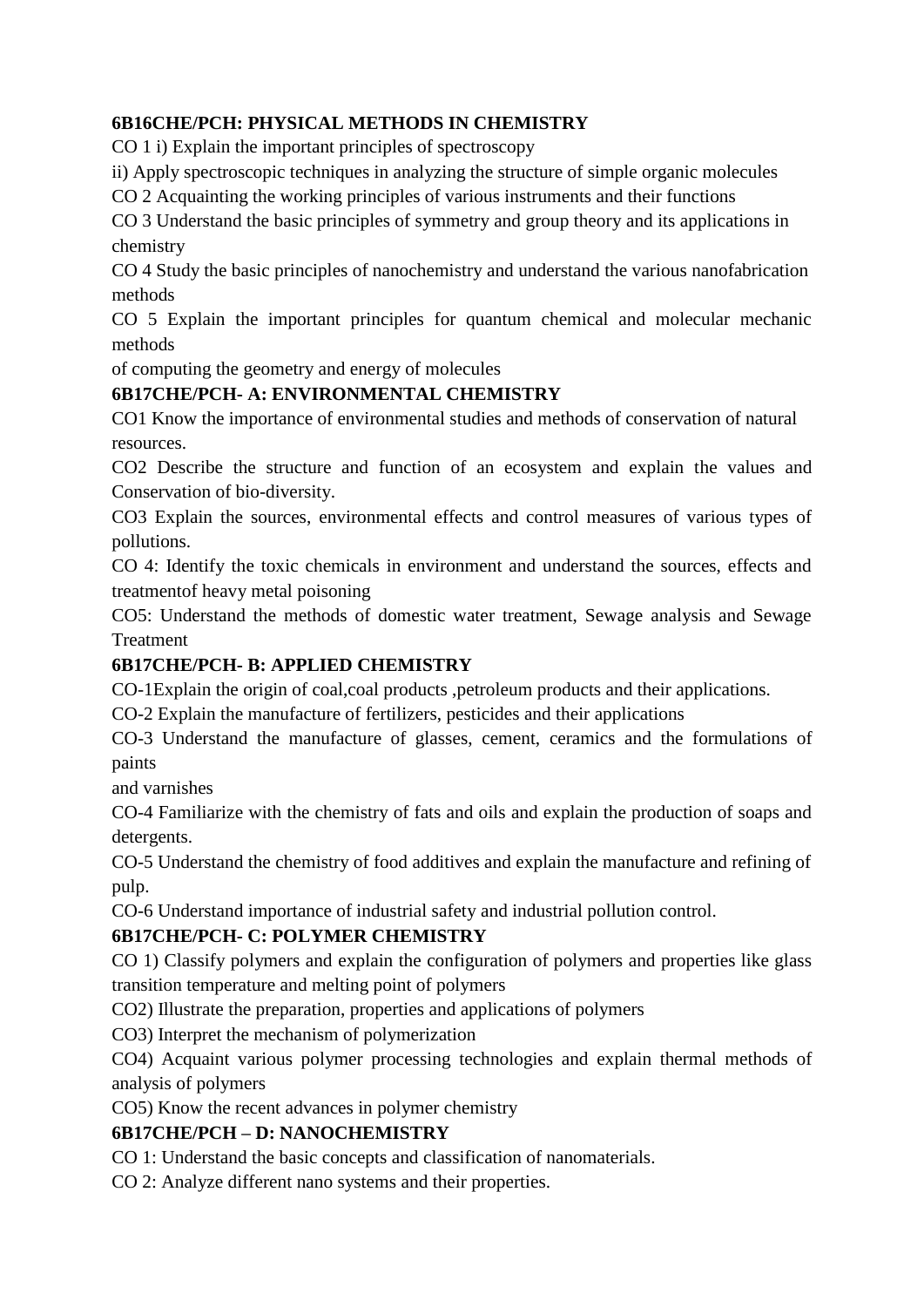# **6B16CHE/PCH: PHYSICAL METHODS IN CHEMISTRY**

CO 1 i) Explain the important principles of spectroscopy

ii) Apply spectroscopic techniques in analyzing the structure of simple organic molecules

CO 2 Acquainting the working principles of various instruments and their functions

CO 3 Understand the basic principles of symmetry and group theory and its applications in chemistry

CO 4 Study the basic principles of nanochemistry and understand the various nanofabrication methods

CO 5 Explain the important principles for quantum chemical and molecular mechanic methods

of computing the geometry and energy of molecules

## **6B17CHE/PCH- A: ENVIRONMENTAL CHEMISTRY**

CO1 Know the importance of environmental studies and methods of conservation of natural resources.

CO2 Describe the structure and function of an ecosystem and explain the values and Conservation of bio-diversity.

CO3 Explain the sources, environmental effects and control measures of various types of pollutions.

CO 4: Identify the toxic chemicals in environment and understand the sources, effects and treatmentof heavy metal poisoning

CO5: Understand the methods of domestic water treatment, Sewage analysis and Sewage Treatment

## **6B17CHE/PCH- B: APPLIED CHEMISTRY**

CO-1Explain the origin of coal,coal products ,petroleum products and their applications.

CO-2 Explain the manufacture of fertilizers, pesticides and their applications

CO-3 Understand the manufacture of glasses, cement, ceramics and the formulations of paints

and varnishes

CO-4 Familiarize with the chemistry of fats and oils and explain the production of soaps and detergents.

CO-5 Understand the chemistry of food additives and explain the manufacture and refining of pulp.

CO-6 Understand importance of industrial safety and industrial pollution control.

# **6B17CHE/PCH- C: POLYMER CHEMISTRY**

CO 1) Classify polymers and explain the configuration of polymers and properties like glass transition temperature and melting point of polymers

CO2) Illustrate the preparation, properties and applications of polymers

CO3) Interpret the mechanism of polymerization

CO4) Acquaint various polymer processing technologies and explain thermal methods of analysis of polymers

CO5) Know the recent advances in polymer chemistry

## **6B17CHE/PCH – D: NANOCHEMISTRY**

CO 1: Understand the basic concepts and classification of nanomaterials.

CO 2: Analyze different nano systems and their properties.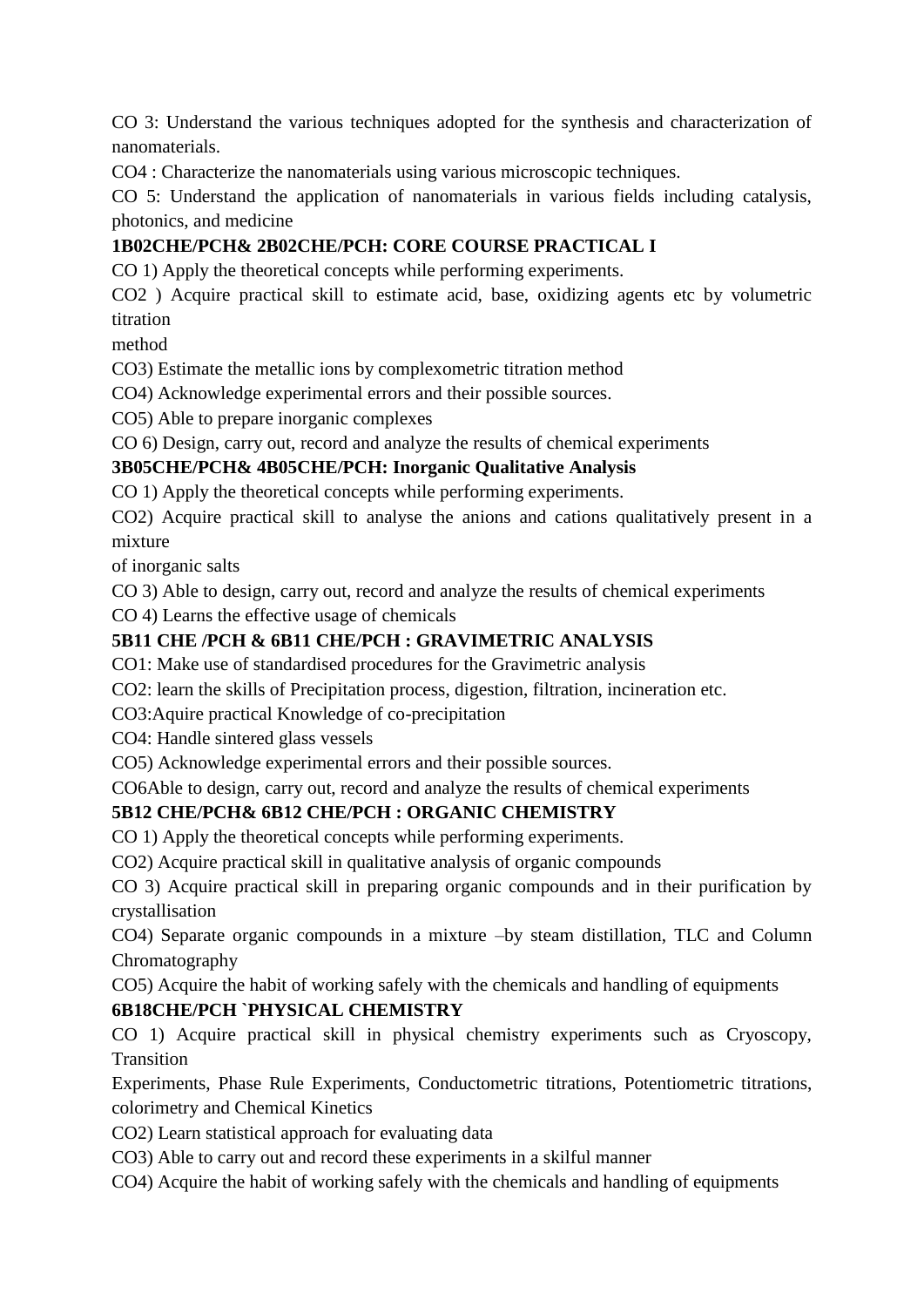CO 3: Understand the various techniques adopted for the synthesis and characterization of nanomaterials.

CO4 : Characterize the nanomaterials using various microscopic techniques.

CO 5: Understand the application of nanomaterials in various fields including catalysis, photonics, and medicine

# **1B02CHE/PCH& 2B02CHE/PCH: CORE COURSE PRACTICAL I**

CO 1) Apply the theoretical concepts while performing experiments.

CO2 ) Acquire practical skill to estimate acid, base, oxidizing agents etc by volumetric titration

method

CO3) Estimate the metallic ions by complexometric titration method

CO4) Acknowledge experimental errors and their possible sources.

CO5) Able to prepare inorganic complexes

CO 6) Design, carry out, record and analyze the results of chemical experiments

## **3B05CHE/PCH& 4B05CHE/PCH: Inorganic Qualitative Analysis**

CO 1) Apply the theoretical concepts while performing experiments.

CO2) Acquire practical skill to analyse the anions and cations qualitatively present in a mixture

of inorganic salts

CO 3) Able to design, carry out, record and analyze the results of chemical experiments

CO 4) Learns the effective usage of chemicals

## **5B11 CHE /PCH & 6B11 CHE/PCH : GRAVIMETRIC ANALYSIS**

CO1: Make use of standardised procedures for the Gravimetric analysis

CO2: learn the skills of Precipitation process, digestion, filtration, incineration etc.

CO3:Aquire practical Knowledge of co-precipitation

CO4: Handle sintered glass vessels

CO5) Acknowledge experimental errors and their possible sources.

CO6Able to design, carry out, record and analyze the results of chemical experiments

## **5B12 CHE/PCH& 6B12 CHE/PCH : ORGANIC CHEMISTRY**

CO 1) Apply the theoretical concepts while performing experiments.

CO2) Acquire practical skill in qualitative analysis of organic compounds

CO 3) Acquire practical skill in preparing organic compounds and in their purification by crystallisation

CO4) Separate organic compounds in a mixture –by steam distillation, TLC and Column Chromatography

CO5) Acquire the habit of working safely with the chemicals and handling of equipments **6B18CHE/PCH `PHYSICAL CHEMISTRY**

CO 1) Acquire practical skill in physical chemistry experiments such as Cryoscopy, Transition

Experiments, Phase Rule Experiments, Conductometric titrations, Potentiometric titrations, colorimetry and Chemical Kinetics

CO2) Learn statistical approach for evaluating data

CO3) Able to carry out and record these experiments in a skilful manner

CO4) Acquire the habit of working safely with the chemicals and handling of equipments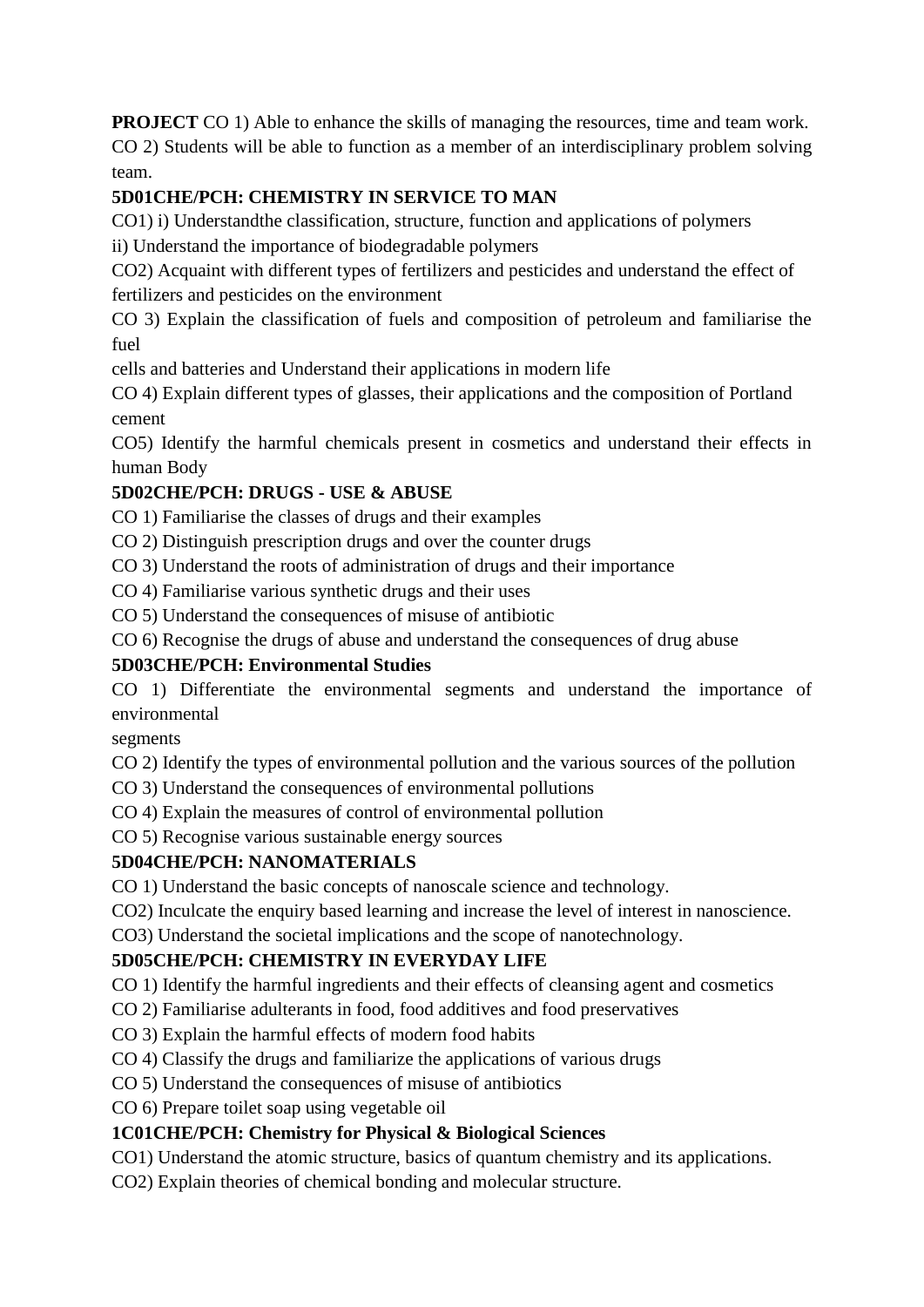**PROJECT** CO 1) Able to enhance the skills of managing the resources, time and team work. CO 2) Students will be able to function as a member of an interdisciplinary problem solving team.

# **5D01CHE/PCH: CHEMISTRY IN SERVICE TO MAN**

CO1) i) Understandthe classification, structure, function and applications of polymers

ii) Understand the importance of biodegradable polymers

CO2) Acquaint with different types of fertilizers and pesticides and understand the effect of fertilizers and pesticides on the environment

CO 3) Explain the classification of fuels and composition of petroleum and familiarise the fuel

cells and batteries and Understand their applications in modern life

CO 4) Explain different types of glasses, their applications and the composition of Portland cement

CO5) Identify the harmful chemicals present in cosmetics and understand their effects in human Body

# **5D02CHE/PCH: DRUGS - USE & ABUSE**

CO 1) Familiarise the classes of drugs and their examples

CO 2) Distinguish prescription drugs and over the counter drugs

CO 3) Understand the roots of administration of drugs and their importance

CO 4) Familiarise various synthetic drugs and their uses

CO 5) Understand the consequences of misuse of antibiotic

CO 6) Recognise the drugs of abuse and understand the consequences of drug abuse

## **5D03CHE/PCH: Environmental Studies**

CO 1) Differentiate the environmental segments and understand the importance of environmental

segments

CO 2) Identify the types of environmental pollution and the various sources of the pollution

CO 3) Understand the consequences of environmental pollutions

CO 4) Explain the measures of control of environmental pollution

CO 5) Recognise various sustainable energy sources

## **5D04CHE/PCH: NANOMATERIALS**

CO 1) Understand the basic concepts of nanoscale science and technology.

CO2) Inculcate the enquiry based learning and increase the level of interest in nanoscience.

CO3) Understand the societal implications and the scope of nanotechnology.

## **5D05CHE/PCH: CHEMISTRY IN EVERYDAY LIFE**

CO 1) Identify the harmful ingredients and their effects of cleansing agent and cosmetics

CO 2) Familiarise adulterants in food, food additives and food preservatives

- CO 3) Explain the harmful effects of modern food habits
- CO 4) Classify the drugs and familiarize the applications of various drugs
- CO 5) Understand the consequences of misuse of antibiotics

CO 6) Prepare toilet soap using vegetable oil

## **1C01CHE/PCH: Chemistry for Physical & Biological Sciences**

CO1) Understand the atomic structure, basics of quantum chemistry and its applications.

CO2) Explain theories of chemical bonding and molecular structure.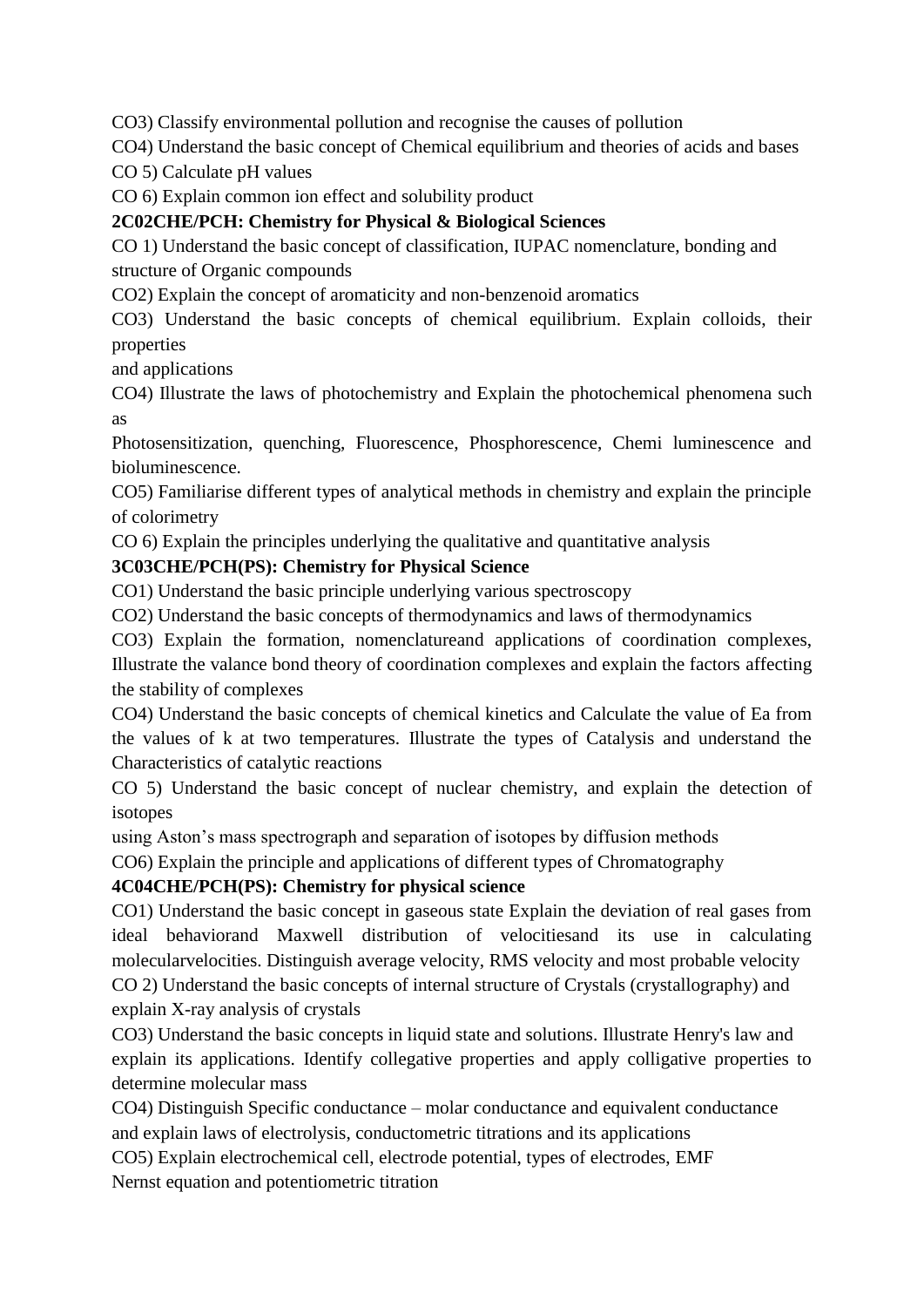CO3) Classify environmental pollution and recognise the causes of pollution

CO4) Understand the basic concept of Chemical equilibrium and theories of acids and bases

CO 5) Calculate pH values

CO 6) Explain common ion effect and solubility product

# **2C02CHE/PCH: Chemistry for Physical & Biological Sciences**

CO 1) Understand the basic concept of classification, IUPAC nomenclature, bonding and

structure of Organic compounds

CO2) Explain the concept of aromaticity and non-benzenoid aromatics

CO3) Understand the basic concepts of chemical equilibrium. Explain colloids, their properties

and applications

CO4) Illustrate the laws of photochemistry and Explain the photochemical phenomena such as

Photosensitization, quenching, Fluorescence, Phosphorescence, Chemi luminescence and bioluminescence.

CO5) Familiarise different types of analytical methods in chemistry and explain the principle of colorimetry

CO 6) Explain the principles underlying the qualitative and quantitative analysis

# **3C03CHE/PCH(PS): Chemistry for Physical Science**

CO1) Understand the basic principle underlying various spectroscopy

CO2) Understand the basic concepts of thermodynamics and laws of thermodynamics

CO3) Explain the formation, nomenclatureand applications of coordination complexes, Illustrate the valance bond theory of coordination complexes and explain the factors affecting the stability of complexes

CO4) Understand the basic concepts of chemical kinetics and Calculate the value of Ea from the values of k at two temperatures. Illustrate the types of Catalysis and understand the Characteristics of catalytic reactions

CO 5) Understand the basic concept of nuclear chemistry, and explain the detection of isotopes

using Aston's mass spectrograph and separation of isotopes by diffusion methods

CO6) Explain the principle and applications of different types of Chromatography

## **4C04CHE/PCH(PS): Chemistry for physical science**

CO1) Understand the basic concept in gaseous state Explain the deviation of real gases from ideal behaviorand Maxwell distribution of velocitiesand its use in calculating molecularvelocities. Distinguish average velocity, RMS velocity and most probable velocity CO 2) Understand the basic concepts of internal structure of Crystals (crystallography) and explain X-ray analysis of crystals

CO3) Understand the basic concepts in liquid state and solutions. Illustrate Henry's law and explain its applications. Identify collegative properties and apply colligative properties to determine molecular mass

CO4) Distinguish Specific conductance – molar conductance and equivalent conductance and explain laws of electrolysis, conductometric titrations and its applications

CO5) Explain electrochemical cell, electrode potential, types of electrodes, EMF Nernst equation and potentiometric titration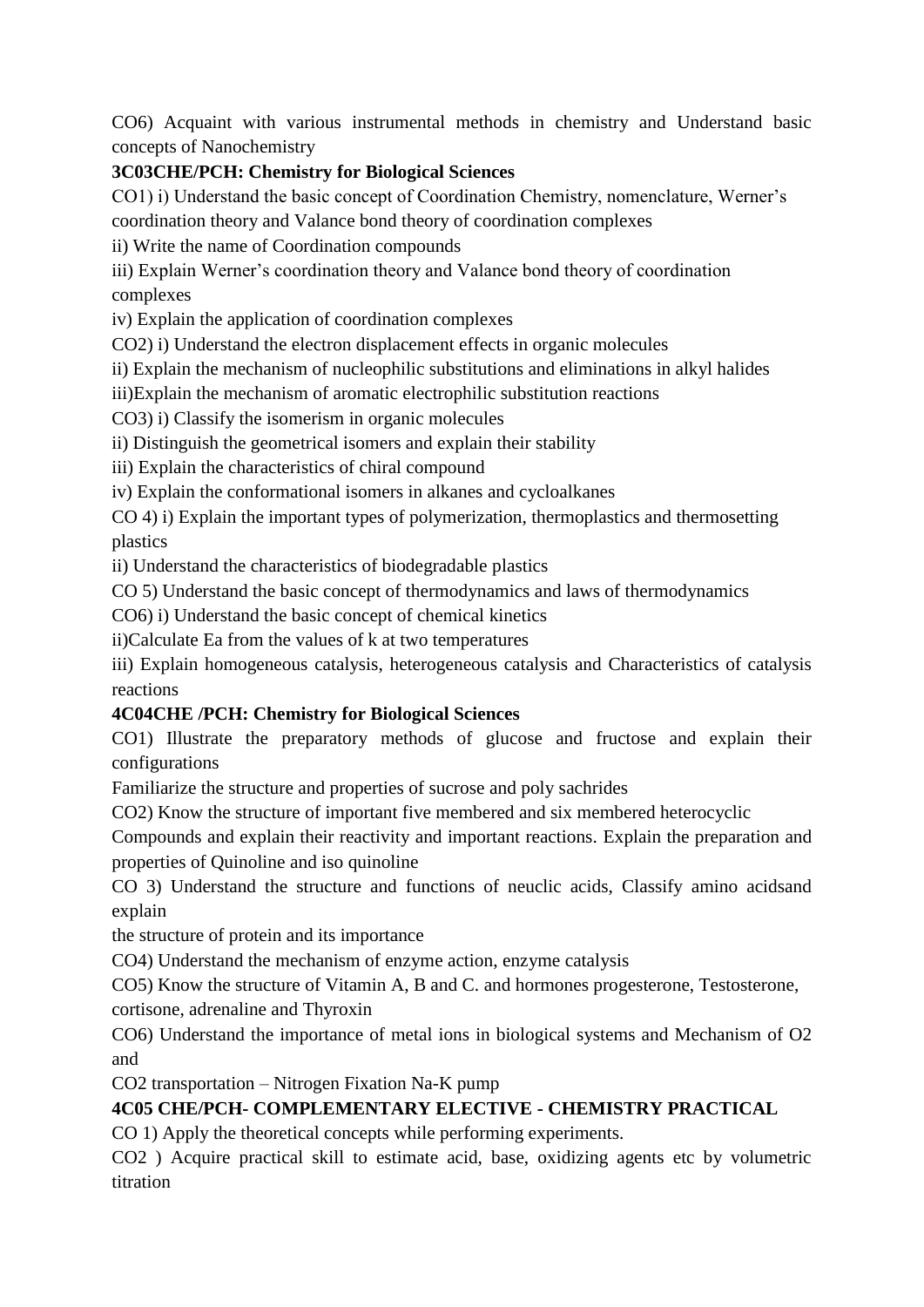CO6) Acquaint with various instrumental methods in chemistry and Understand basic concepts of Nanochemistry

# **3C03CHE/PCH: Chemistry for Biological Sciences**

CO1) i) Understand the basic concept of Coordination Chemistry, nomenclature, Werner's coordination theory and Valance bond theory of coordination complexes

ii) Write the name of Coordination compounds

iii) Explain Werner's coordination theory and Valance bond theory of coordination complexes

iv) Explain the application of coordination complexes

CO2) i) Understand the electron displacement effects in organic molecules

ii) Explain the mechanism of nucleophilic substitutions and eliminations in alkyl halides

iii)Explain the mechanism of aromatic electrophilic substitution reactions

CO3) i) Classify the isomerism in organic molecules

ii) Distinguish the geometrical isomers and explain their stability

iii) Explain the characteristics of chiral compound

iv) Explain the conformational isomers in alkanes and cycloalkanes

CO 4) i) Explain the important types of polymerization, thermoplastics and thermosetting plastics

ii) Understand the characteristics of biodegradable plastics

CO 5) Understand the basic concept of thermodynamics and laws of thermodynamics

CO6) i) Understand the basic concept of chemical kinetics

ii)Calculate Ea from the values of k at two temperatures

iii) Explain homogeneous catalysis, heterogeneous catalysis and Characteristics of catalysis reactions

# **4C04CHE /PCH: Chemistry for Biological Sciences**

CO1) Illustrate the preparatory methods of glucose and fructose and explain their configurations

Familiarize the structure and properties of sucrose and poly sachrides

CO2) Know the structure of important five membered and six membered heterocyclic

Compounds and explain their reactivity and important reactions. Explain the preparation and properties of Quinoline and iso quinoline

CO 3) Understand the structure and functions of neuclic acids, Classify amino acidsand explain

the structure of protein and its importance

CO4) Understand the mechanism of enzyme action, enzyme catalysis

CO5) Know the structure of Vitamin A, B and C. and hormones progesterone, Testosterone, cortisone, adrenaline and Thyroxin

CO6) Understand the importance of metal ions in biological systems and Mechanism of O2 and

CO2 transportation – Nitrogen Fixation Na-K pump

# **4C05 CHE/PCH- COMPLEMENTARY ELECTIVE - CHEMISTRY PRACTICAL**

CO 1) Apply the theoretical concepts while performing experiments.

CO2 ) Acquire practical skill to estimate acid, base, oxidizing agents etc by volumetric titration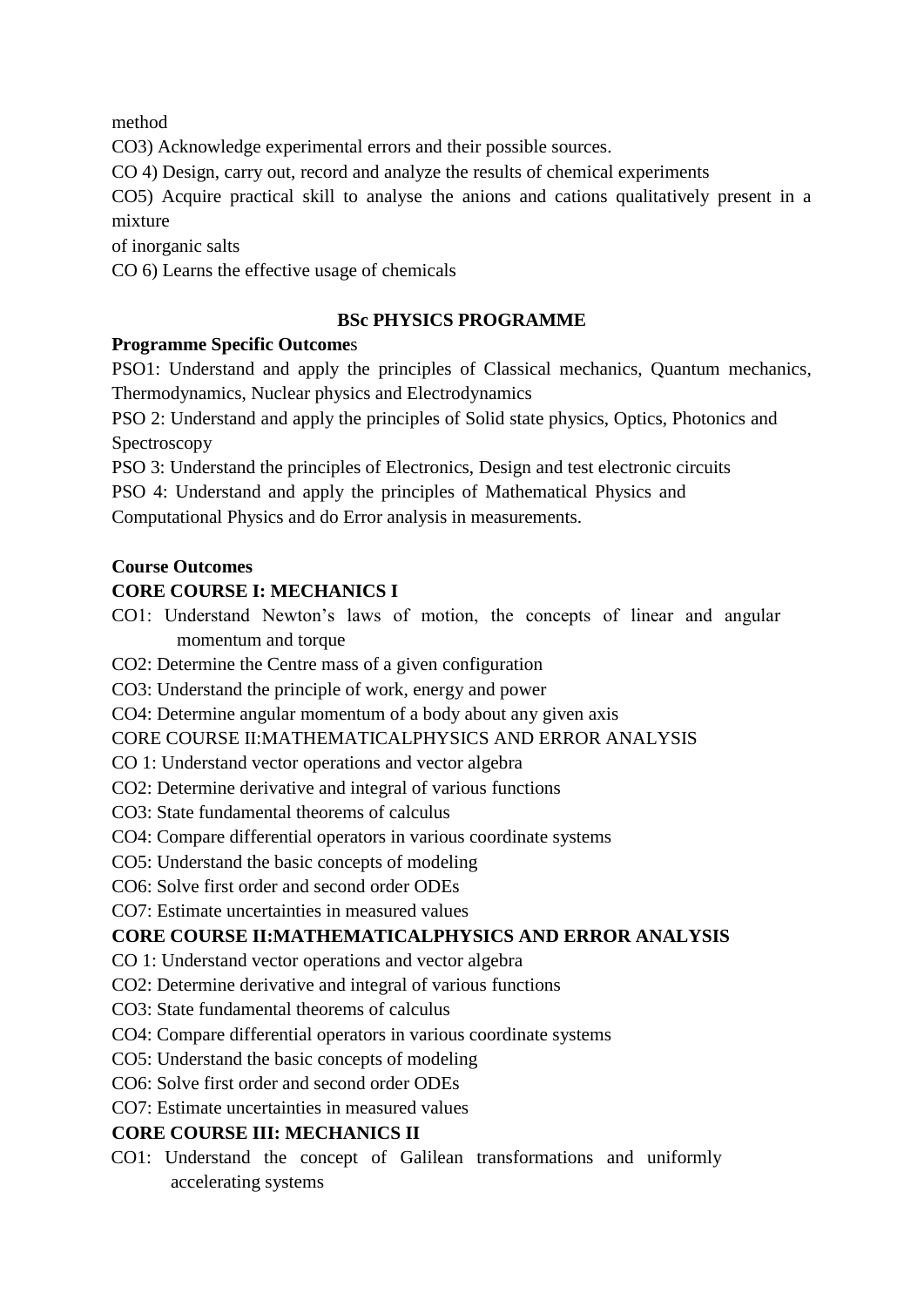method

CO3) Acknowledge experimental errors and their possible sources.

CO 4) Design, carry out, record and analyze the results of chemical experiments

CO5) Acquire practical skill to analyse the anions and cations qualitatively present in a mixture

of inorganic salts

CO 6) Learns the effective usage of chemicals

### **BSc PHYSICS PROGRAMME**

### **Programme Specific Outcome**s

PSO1: Understand and apply the principles of Classical mechanics, Quantum mechanics, Thermodynamics, Nuclear physics and Electrodynamics

PSO 2: Understand and apply the principles of Solid state physics, Optics, Photonics and Spectroscopy

PSO 3: Understand the principles of Electronics, Design and test electronic circuits

PSO 4: Understand and apply the principles of Mathematical Physics and Computational Physics and do Error analysis in measurements.

#### **Course Outcomes**

## **CORE COURSE I: MECHANICS I**

CO1: Understand Newton's laws of motion, the concepts of linear and angular momentum and torque

CO2: Determine the Centre mass of a given configuration

CO3: Understand the principle of work, energy and power

CO4: Determine angular momentum of a body about any given axis

#### CORE COURSE II:MATHEMATICALPHYSICS AND ERROR ANALYSIS

- CO 1: Understand vector operations and vector algebra
- CO2: Determine derivative and integral of various functions
- CO3: State fundamental theorems of calculus
- CO4: Compare differential operators in various coordinate systems
- CO5: Understand the basic concepts of modeling
- CO6: Solve first order and second order ODEs

CO7: Estimate uncertainties in measured values

## **CORE COURSE II:MATHEMATICALPHYSICS AND ERROR ANALYSIS**

- CO 1: Understand vector operations and vector algebra
- CO2: Determine derivative and integral of various functions
- CO3: State fundamental theorems of calculus
- CO4: Compare differential operators in various coordinate systems
- CO5: Understand the basic concepts of modeling
- CO6: Solve first order and second order ODEs
- CO7: Estimate uncertainties in measured values

## **CORE COURSE III: MECHANICS II**

CO1: Understand the concept of Galilean transformations and uniformly accelerating systems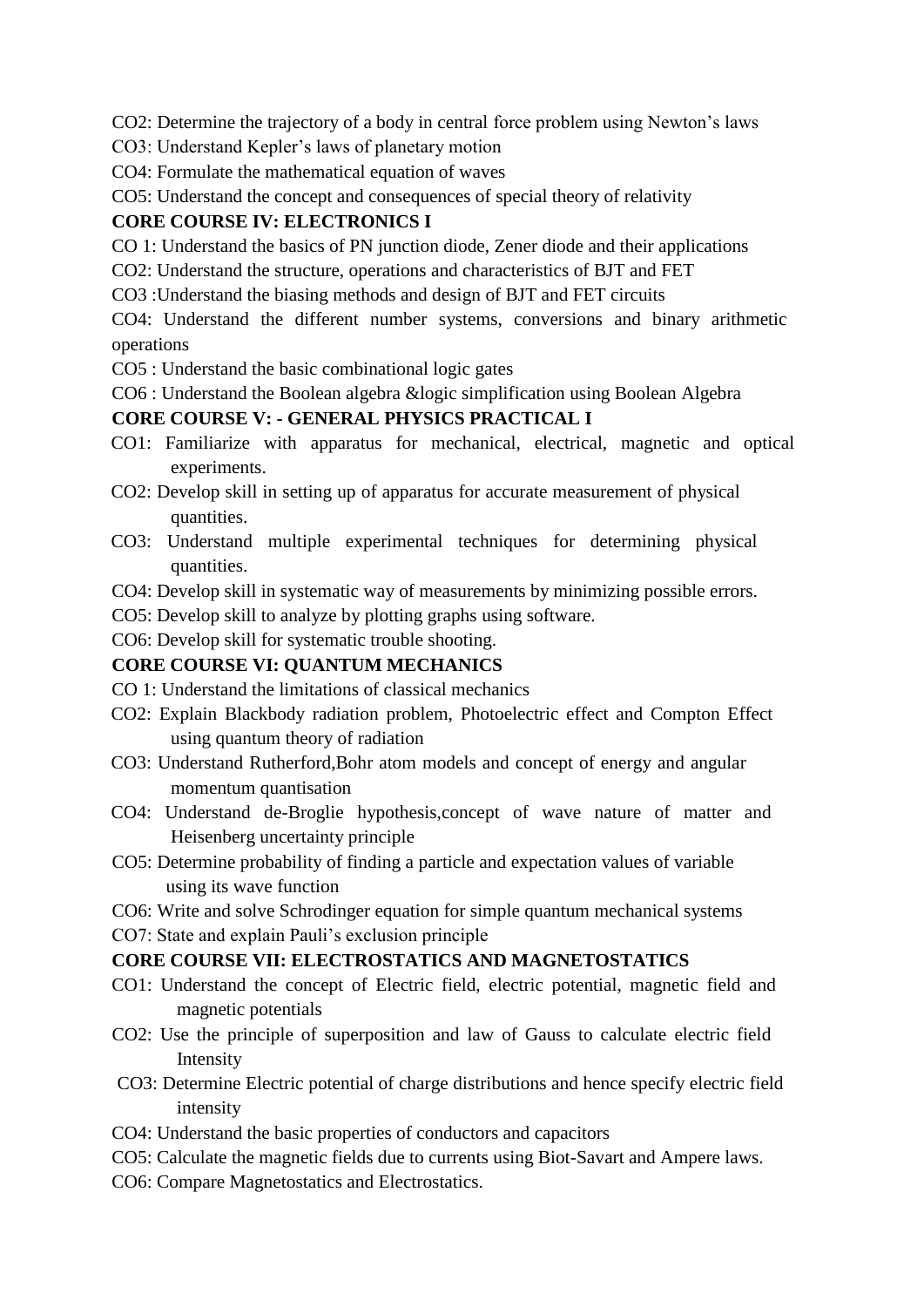CO2: Determine the trajectory of a body in central force problem using Newton's laws

- CO3: Understand Kepler's laws of planetary motion
- CO4: Formulate the mathematical equation of waves
- CO5: Understand the concept and consequences of special theory of relativity

#### **CORE COURSE IV: ELECTRONICS I**

CO 1: Understand the basics of PN junction diode, Zener diode and their applications

- CO2: Understand the structure, operations and characteristics of BJT and FET
- CO3 :Understand the biasing methods and design of BJT and FET circuits

CO4: Understand the different number systems, conversions and binary arithmetic operations

- CO5 : Understand the basic combinational logic gates
- CO6 : Understand the Boolean algebra &logic simplification using Boolean Algebra

#### **CORE COURSE V: - GENERAL PHYSICS PRACTICAL I**

- CO1: Familiarize with apparatus for mechanical, electrical, magnetic and optical experiments.
- CO2: Develop skill in setting up of apparatus for accurate measurement of physical quantities.
- CO3: Understand multiple experimental techniques for determining physical quantities.
- CO4: Develop skill in systematic way of measurements by minimizing possible errors.
- CO5: Develop skill to analyze by plotting graphs using software.
- CO6: Develop skill for systematic trouble shooting.

#### **CORE COURSE VI: QUANTUM MECHANICS**

- CO 1: Understand the limitations of classical mechanics
- CO2: Explain Blackbody radiation problem, Photoelectric effect and Compton Effect using quantum theory of radiation
- CO3: Understand Rutherford,Bohr atom models and concept of energy and angular momentum quantisation
- CO4: Understand de-Broglie hypothesis,concept of wave nature of matter and Heisenberg uncertainty principle
- CO5: Determine probability of finding a particle and expectation values of variable using its wave function
- CO6: Write and solve Schrodinger equation for simple quantum mechanical systems
- CO7: State and explain Pauli's exclusion principle

#### **CORE COURSE VII: ELECTROSTATICS AND MAGNETOSTATICS**

- CO1: Understand the concept of Electric field, electric potential, magnetic field and magnetic potentials
- CO2: Use the principle of superposition and law of Gauss to calculate electric field Intensity
- CO3: Determine Electric potential of charge distributions and hence specify electric field intensity
- CO4: Understand the basic properties of conductors and capacitors
- CO5: Calculate the magnetic fields due to currents using Biot-Savart and Ampere laws.
- CO6: Compare Magnetostatics and Electrostatics.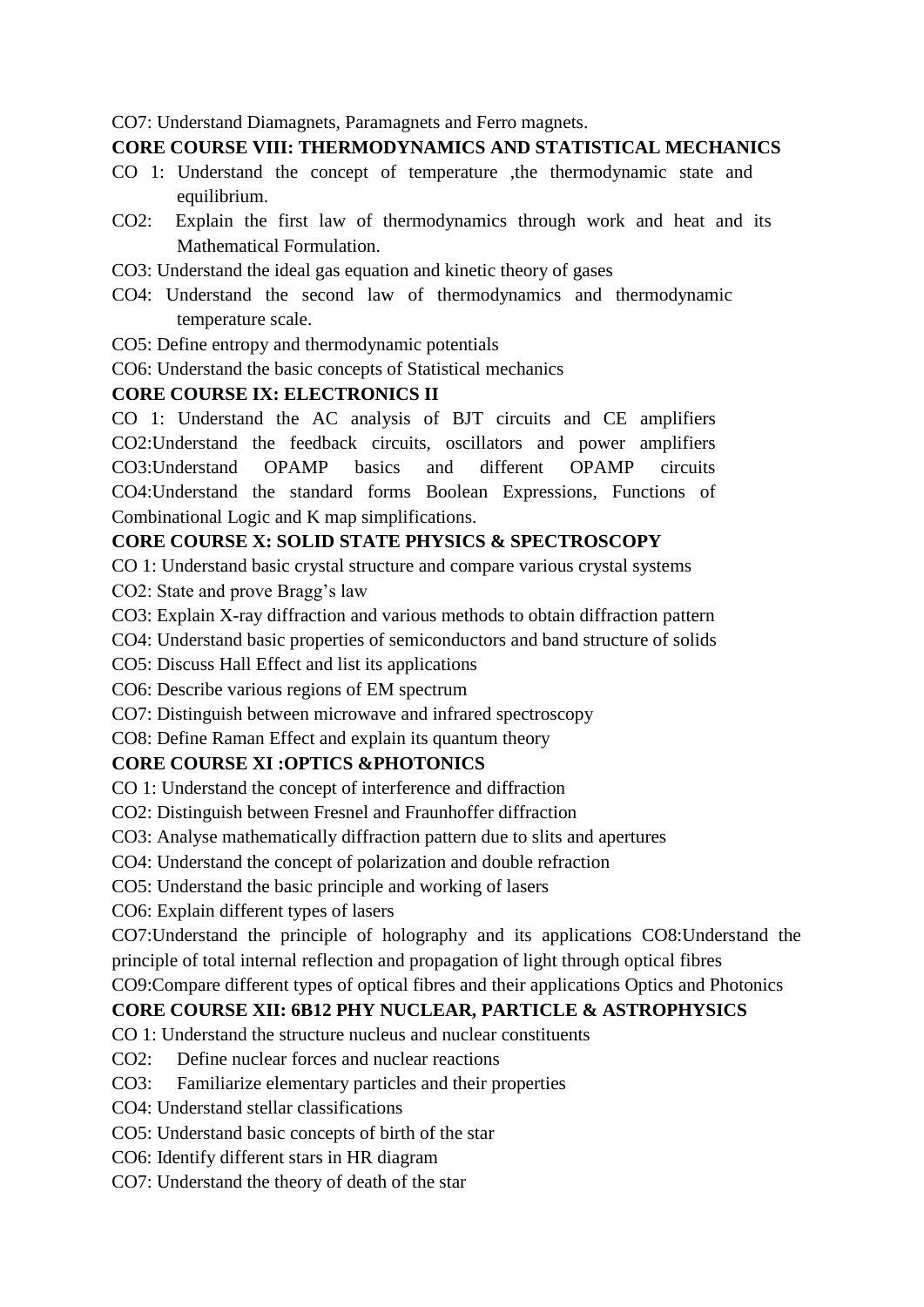CO7: Understand Diamagnets, Paramagnets and Ferro magnets.

#### **CORE COURSE VIII: THERMODYNAMICS AND STATISTICAL MECHANICS**

- CO 1: Understand the concept of temperature ,the thermodynamic state and equilibrium.
- CO2: Explain the first law of thermodynamics through work and heat and its Mathematical Formulation.
- CO3: Understand the ideal gas equation and kinetic theory of gases
- CO4: Understand the second law of thermodynamics and thermodynamic temperature scale.
- CO5: Define entropy and thermodynamic potentials
- CO6: Understand the basic concepts of Statistical mechanics

### **CORE COURSE IX: ELECTRONICS II**

CO 1: Understand the AC analysis of BJT circuits and CE amplifiers CO2:Understand the feedback circuits, oscillators and power amplifiers CO3:Understand OPAMP basics and different OPAMP circuits CO4:Understand the standard forms Boolean Expressions, Functions of Combinational Logic and K map simplifications.

# **CORE COURSE X: SOLID STATE PHYSICS & SPECTROSCOPY**

CO 1: Understand basic crystal structure and compare various crystal systems CO2: State and prove Bragg's law

CO3: Explain X-ray diffraction and various methods to obtain diffraction pattern

CO4: Understand basic properties of semiconductors and band structure of solids

CO5: Discuss Hall Effect and list its applications

CO6: Describe various regions of EM spectrum

CO7: Distinguish between microwave and infrared spectroscopy

CO8: Define Raman Effect and explain its quantum theory

# **CORE COURSE XI :OPTICS &PHOTONICS**

CO 1: Understand the concept of interference and diffraction

CO2: Distinguish between Fresnel and Fraunhoffer diffraction

CO3: Analyse mathematically diffraction pattern due to slits and apertures

CO4: Understand the concept of polarization and double refraction

CO5: Understand the basic principle and working of lasers

CO6: Explain different types of lasers

CO7:Understand the principle of holography and its applications CO8:Understand the principle of total internal reflection and propagation of light through optical fibres

CO9:Compare different types of optical fibres and their applications Optics and Photonics

# **CORE COURSE XII: 6B12 PHY NUCLEAR, PARTICLE & ASTROPHYSICS**

CO 1: Understand the structure nucleus and nuclear constituents

CO2: Define nuclear forces and nuclear reactions

CO3: Familiarize elementary particles and their properties

CO4: Understand stellar classifications

CO5: Understand basic concepts of birth of the star

CO6: Identify different stars in HR diagram

CO7: Understand the theory of death of the star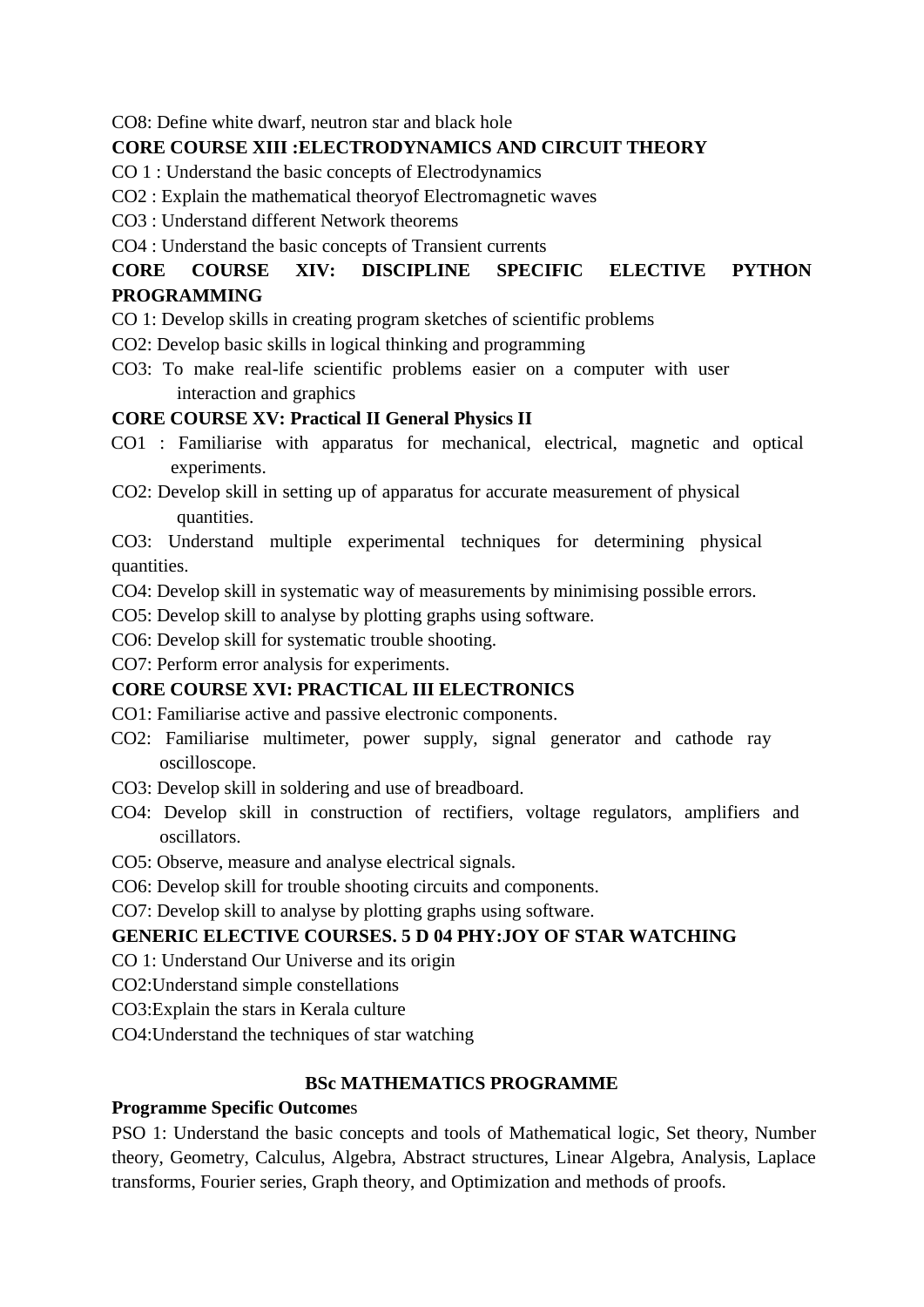CO8: Define white dwarf, neutron star and black hole

### **CORE COURSE XIII :ELECTRODYNAMICS AND CIRCUIT THEORY**

CO 1 : Understand the basic concepts of Electrodynamics

- CO2 : Explain the mathematical theoryof Electromagnetic waves
- CO3 : Understand different Network theorems

CO4 : Understand the basic concepts of Transient currents

# **CORE COURSE XIV: DISCIPLINE SPECIFIC ELECTIVE PYTHON PROGRAMMING**

- CO 1: Develop skills in creating program sketches of scientific problems
- CO2: Develop basic skills in logical thinking and programming
- CO3: To make real-life scientific problems easier on a computer with user interaction and graphics

## **CORE COURSE XV: Practical II General Physics II**

- CO1 : Familiarise with apparatus for mechanical, electrical, magnetic and optical experiments.
- CO2: Develop skill in setting up of apparatus for accurate measurement of physical quantities.

CO3: Understand multiple experimental techniques for determining physical quantities.

CO4: Develop skill in systematic way of measurements by minimising possible errors.

CO5: Develop skill to analyse by plotting graphs using software.

CO6: Develop skill for systematic trouble shooting.

CO7: Perform error analysis for experiments.

## **CORE COURSE XVI: PRACTICAL III ELECTRONICS**

- CO1: Familiarise active and passive electronic components.
- CO2: Familiarise multimeter, power supply, signal generator and cathode ray oscilloscope.
- CO3: Develop skill in soldering and use of breadboard.
- CO4: Develop skill in construction of rectifiers, voltage regulators, amplifiers and oscillators.
- CO5: Observe, measure and analyse electrical signals.
- CO6: Develop skill for trouble shooting circuits and components.
- CO7: Develop skill to analyse by plotting graphs using software.

## **GENERIC ELECTIVE COURSES. 5 D 04 PHY:JOY OF STAR WATCHING**

- CO 1: Understand Our Universe and its origin
- CO2:Understand simple constellations
- CO3:Explain the stars in Kerala culture
- CO4:Understand the techniques of star watching

## **BSc MATHEMATICS PROGRAMME**

#### **Programme Specific Outcome**s

PSO 1: Understand the basic concepts and tools of Mathematical logic, Set theory, Number theory, Geometry, Calculus, Algebra, Abstract structures, Linear Algebra, Analysis, Laplace transforms, Fourier series, Graph theory, and Optimization and methods of proofs.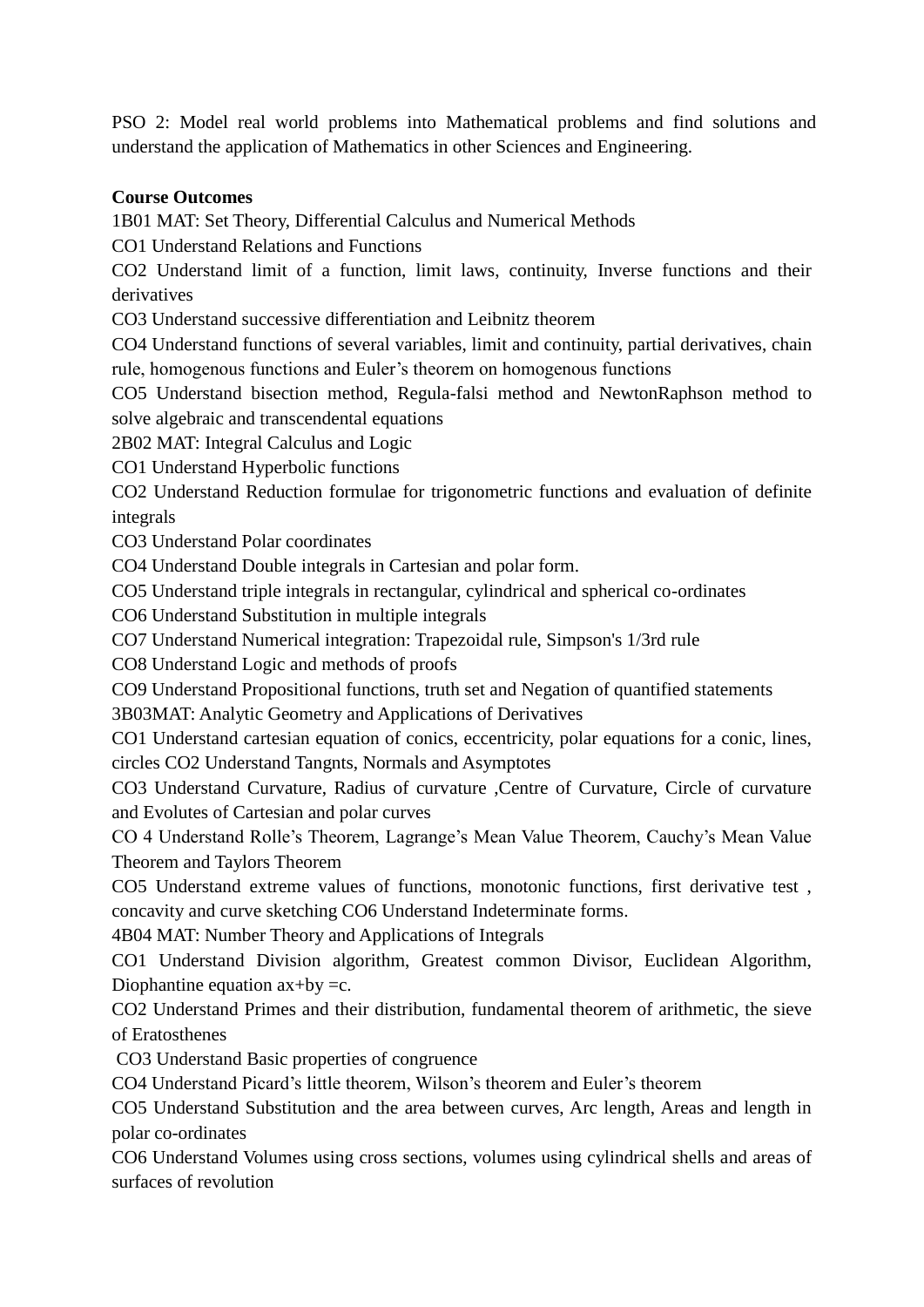PSO 2: Model real world problems into Mathematical problems and find solutions and understand the application of Mathematics in other Sciences and Engineering.

## **Course Outcomes**

1B01 MAT: Set Theory, Differential Calculus and Numerical Methods

CO1 Understand Relations and Functions

CO2 Understand limit of a function, limit laws, continuity, Inverse functions and their derivatives

CO3 Understand successive differentiation and Leibnitz theorem

CO4 Understand functions of several variables, limit and continuity, partial derivatives, chain rule, homogenous functions and Euler's theorem on homogenous functions

CO5 Understand bisection method, Regula-falsi method and NewtonRaphson method to solve algebraic and transcendental equations

2B02 MAT: Integral Calculus and Logic

CO1 Understand Hyperbolic functions

CO2 Understand Reduction formulae for trigonometric functions and evaluation of definite integrals

CO3 Understand Polar coordinates

CO4 Understand Double integrals in Cartesian and polar form.

CO5 Understand triple integrals in rectangular, cylindrical and spherical co-ordinates

CO6 Understand Substitution in multiple integrals

CO7 Understand Numerical integration: Trapezoidal rule, Simpson's 1/3rd rule

CO8 Understand Logic and methods of proofs

CO9 Understand Propositional functions, truth set and Negation of quantified statements

3B03MAT: Analytic Geometry and Applications of Derivatives

CO1 Understand cartesian equation of conics, eccentricity, polar equations for a conic, lines, circles CO2 Understand Tangnts, Normals and Asymptotes

CO3 Understand Curvature, Radius of curvature ,Centre of Curvature, Circle of curvature and Evolutes of Cartesian and polar curves

CO 4 Understand Rolle's Theorem, Lagrange's Mean Value Theorem, Cauchy's Mean Value Theorem and Taylors Theorem

CO5 Understand extreme values of functions, monotonic functions, first derivative test , concavity and curve sketching CO6 Understand Indeterminate forms.

4B04 MAT: Number Theory and Applications of Integrals

CO1 Understand Division algorithm, Greatest common Divisor, Euclidean Algorithm, Diophantine equation  $ax+by = c$ .

CO2 Understand Primes and their distribution, fundamental theorem of arithmetic, the sieve of Eratosthenes

CO3 Understand Basic properties of congruence

CO4 Understand Picard's little theorem, Wilson's theorem and Euler's theorem

CO5 Understand Substitution and the area between curves, Arc length, Areas and length in polar co-ordinates

CO6 Understand Volumes using cross sections, volumes using cylindrical shells and areas of surfaces of revolution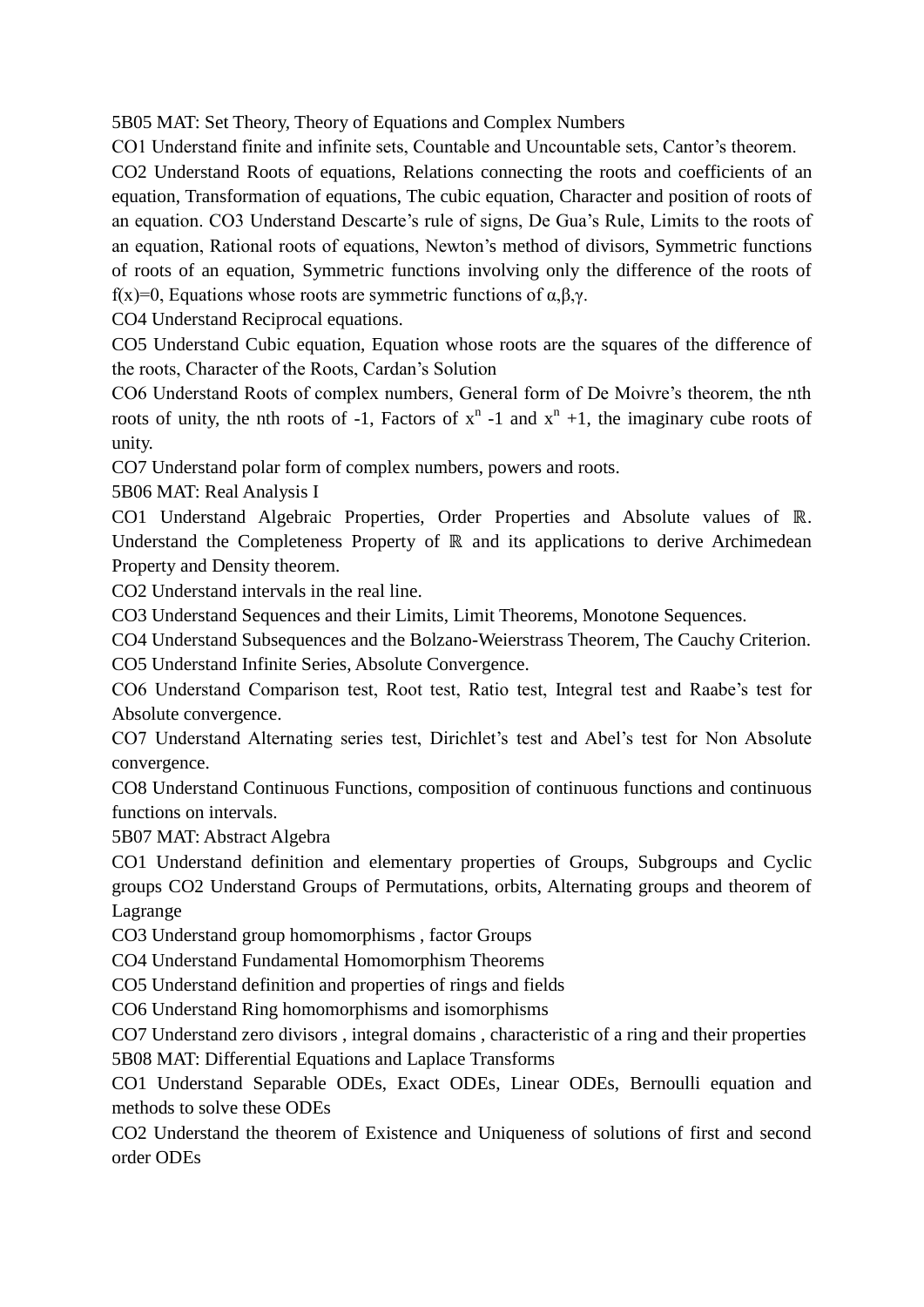5B05 MAT: Set Theory, Theory of Equations and Complex Numbers

CO1 Understand finite and infinite sets, Countable and Uncountable sets, Cantor's theorem.

CO2 Understand Roots of equations, Relations connecting the roots and coefficients of an equation, Transformation of equations, The cubic equation, Character and position of roots of an equation. CO3 Understand Descarte's rule of signs, De Gua's Rule, Limits to the roots of an equation, Rational roots of equations, Newton's method of divisors, Symmetric functions of roots of an equation, Symmetric functions involving only the difference of the roots of f(x)=0, Equations whose roots are symmetric functions of  $\alpha, \beta, \gamma$ .

CO4 Understand Reciprocal equations.

CO5 Understand Cubic equation, Equation whose roots are the squares of the difference of the roots, Character of the Roots, Cardan's Solution

CO6 Understand Roots of complex numbers, General form of De Moivre's theorem, the nth roots of unity, the nth roots of -1, Factors of  $x^n$  -1 and  $x^n$  +1, the imaginary cube roots of unity.

CO7 Understand polar form of complex numbers, powers and roots.

5B06 MAT: Real Analysis I

CO1 Understand Algebraic Properties, Order Properties and Absolute values of ℝ. Understand the Completeness Property of ℝ and its applications to derive Archimedean Property and Density theorem.

CO2 Understand intervals in the real line.

CO3 Understand Sequences and their Limits, Limit Theorems, Monotone Sequences.

CO4 Understand Subsequences and the Bolzano-Weierstrass Theorem, The Cauchy Criterion. CO5 Understand Infinite Series, Absolute Convergence.

CO6 Understand Comparison test, Root test, Ratio test, Integral test and Raabe's test for Absolute convergence.

CO7 Understand Alternating series test, Dirichlet's test and Abel's test for Non Absolute convergence.

CO8 Understand Continuous Functions, composition of continuous functions and continuous functions on intervals.

5B07 MAT: Abstract Algebra

CO1 Understand definition and elementary properties of Groups, Subgroups and Cyclic groups CO2 Understand Groups of Permutations, orbits, Alternating groups and theorem of Lagrange

CO3 Understand group homomorphisms , factor Groups

CO4 Understand Fundamental Homomorphism Theorems

CO5 Understand definition and properties of rings and fields

CO6 Understand Ring homomorphisms and isomorphisms

CO7 Understand zero divisors , integral domains , characteristic of a ring and their properties 5B08 MAT: Differential Equations and Laplace Transforms

CO1 Understand Separable ODEs, Exact ODEs, Linear ODEs, Bernoulli equation and methods to solve these ODEs

CO2 Understand the theorem of Existence and Uniqueness of solutions of first and second order ODEs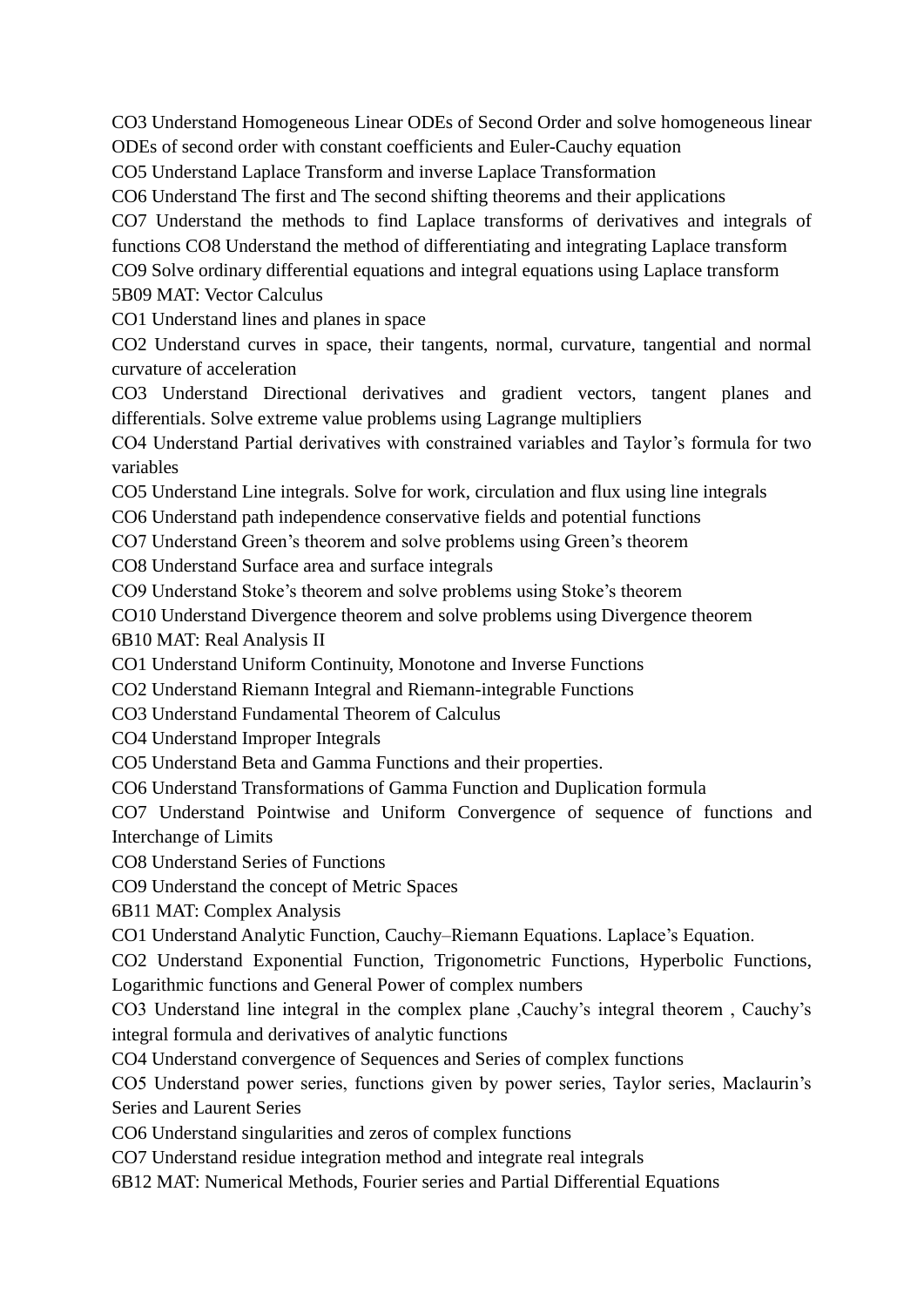CO3 Understand Homogeneous Linear ODEs of Second Order and solve homogeneous linear ODEs of second order with constant coefficients and Euler-Cauchy equation

CO5 Understand Laplace Transform and inverse Laplace Transformation

CO6 Understand The first and The second shifting theorems and their applications

CO7 Understand the methods to find Laplace transforms of derivatives and integrals of functions CO8 Understand the method of differentiating and integrating Laplace transform

CO9 Solve ordinary differential equations and integral equations using Laplace transform 5B09 MAT: Vector Calculus

CO1 Understand lines and planes in space

CO2 Understand curves in space, their tangents, normal, curvature, tangential and normal curvature of acceleration

CO3 Understand Directional derivatives and gradient vectors, tangent planes and differentials. Solve extreme value problems using Lagrange multipliers

CO4 Understand Partial derivatives with constrained variables and Taylor's formula for two variables

CO5 Understand Line integrals. Solve for work, circulation and flux using line integrals

CO6 Understand path independence conservative fields and potential functions

CO7 Understand Green's theorem and solve problems using Green's theorem

CO8 Understand Surface area and surface integrals

CO9 Understand Stoke's theorem and solve problems using Stoke's theorem

CO10 Understand Divergence theorem and solve problems using Divergence theorem

6B10 MAT: Real Analysis II

CO1 Understand Uniform Continuity, Monotone and Inverse Functions

CO2 Understand Riemann Integral and Riemann-integrable Functions

CO3 Understand Fundamental Theorem of Calculus

CO4 Understand Improper Integrals

CO5 Understand Beta and Gamma Functions and their properties.

CO6 Understand Transformations of Gamma Function and Duplication formula

CO7 Understand Pointwise and Uniform Convergence of sequence of functions and Interchange of Limits

CO8 Understand Series of Functions

CO9 Understand the concept of Metric Spaces

6B11 MAT: Complex Analysis

CO1 Understand Analytic Function, Cauchy–Riemann Equations. Laplace's Equation.

CO2 Understand Exponential Function, Trigonometric Functions, Hyperbolic Functions, Logarithmic functions and General Power of complex numbers

CO3 Understand line integral in the complex plane ,Cauchy's integral theorem , Cauchy's integral formula and derivatives of analytic functions

CO4 Understand convergence of Sequences and Series of complex functions

CO5 Understand power series, functions given by power series, Taylor series, Maclaurin's Series and Laurent Series

CO6 Understand singularities and zeros of complex functions

CO7 Understand residue integration method and integrate real integrals

6B12 MAT: Numerical Methods, Fourier series and Partial Differential Equations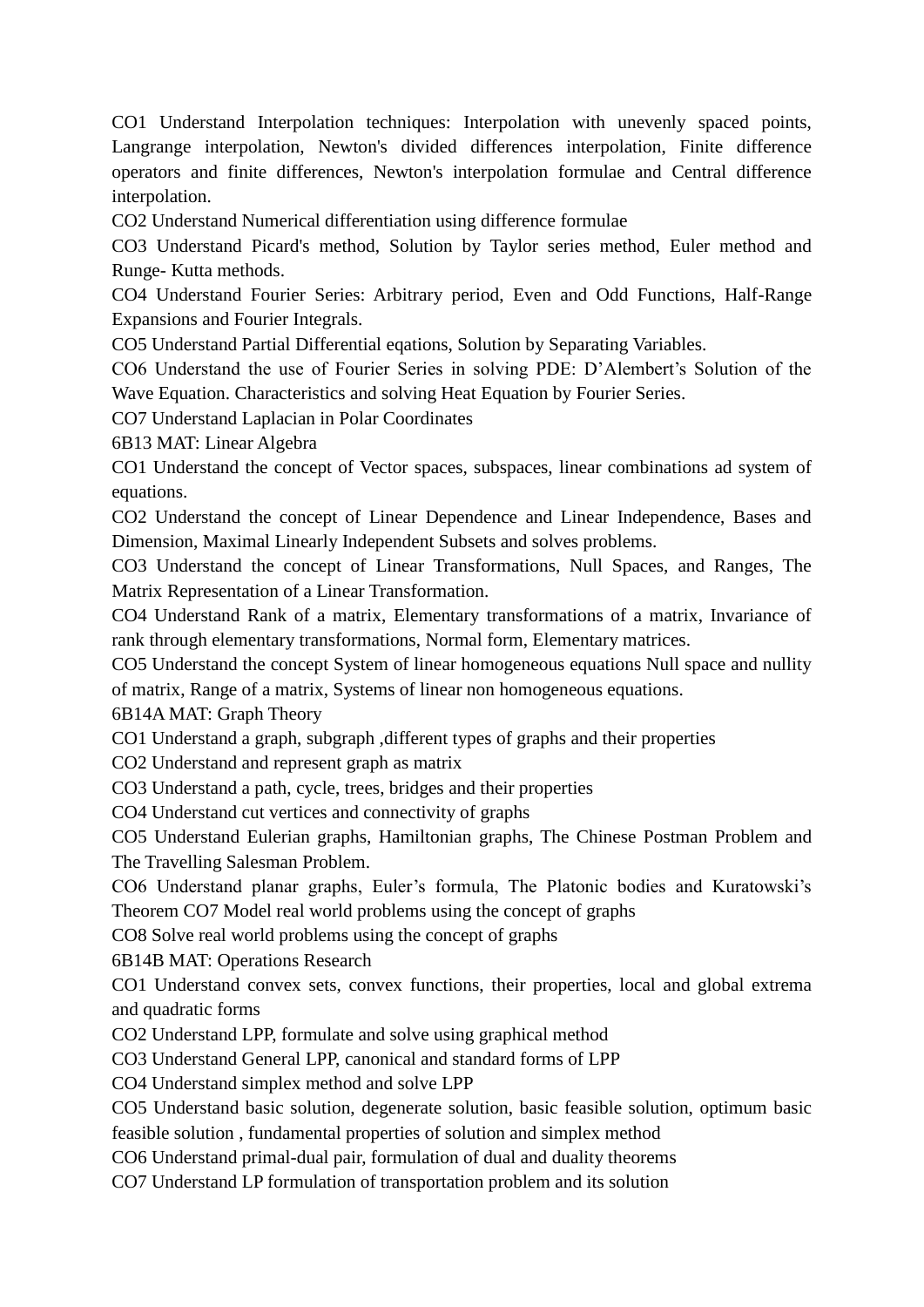CO1 Understand Interpolation techniques: Interpolation with unevenly spaced points, Langrange interpolation, Newton's divided differences interpolation, Finite difference operators and finite differences, Newton's interpolation formulae and Central difference interpolation.

CO2 Understand Numerical differentiation using difference formulae

CO3 Understand Picard's method, Solution by Taylor series method, Euler method and Runge- Kutta methods.

CO4 Understand Fourier Series: Arbitrary period, Even and Odd Functions, Half-Range Expansions and Fourier Integrals.

CO5 Understand Partial Differential eqations, Solution by Separating Variables.

CO6 Understand the use of Fourier Series in solving PDE: D'Alembert's Solution of the Wave Equation. Characteristics and solving Heat Equation by Fourier Series.

CO7 Understand Laplacian in Polar Coordinates

6B13 MAT: Linear Algebra

CO1 Understand the concept of Vector spaces, subspaces, linear combinations ad system of equations.

CO2 Understand the concept of Linear Dependence and Linear Independence, Bases and Dimension, Maximal Linearly Independent Subsets and solves problems.

CO3 Understand the concept of Linear Transformations, Null Spaces, and Ranges, The Matrix Representation of a Linear Transformation.

CO4 Understand Rank of a matrix, Elementary transformations of a matrix, Invariance of rank through elementary transformations, Normal form, Elementary matrices.

CO5 Understand the concept System of linear homogeneous equations Null space and nullity of matrix, Range of a matrix, Systems of linear non homogeneous equations.

6B14A MAT: Graph Theory

CO1 Understand a graph, subgraph ,different types of graphs and their properties

CO2 Understand and represent graph as matrix

CO3 Understand a path, cycle, trees, bridges and their properties

CO4 Understand cut vertices and connectivity of graphs

CO5 Understand Eulerian graphs, Hamiltonian graphs, The Chinese Postman Problem and The Travelling Salesman Problem.

CO6 Understand planar graphs, Euler's formula, The Platonic bodies and Kuratowski's Theorem CO7 Model real world problems using the concept of graphs

CO8 Solve real world problems using the concept of graphs

6B14B MAT: Operations Research

CO1 Understand convex sets, convex functions, their properties, local and global extrema and quadratic forms

CO2 Understand LPP, formulate and solve using graphical method

CO3 Understand General LPP, canonical and standard forms of LPP

CO4 Understand simplex method and solve LPP

CO5 Understand basic solution, degenerate solution, basic feasible solution, optimum basic feasible solution , fundamental properties of solution and simplex method

CO6 Understand primal-dual pair, formulation of dual and duality theorems

CO7 Understand LP formulation of transportation problem and its solution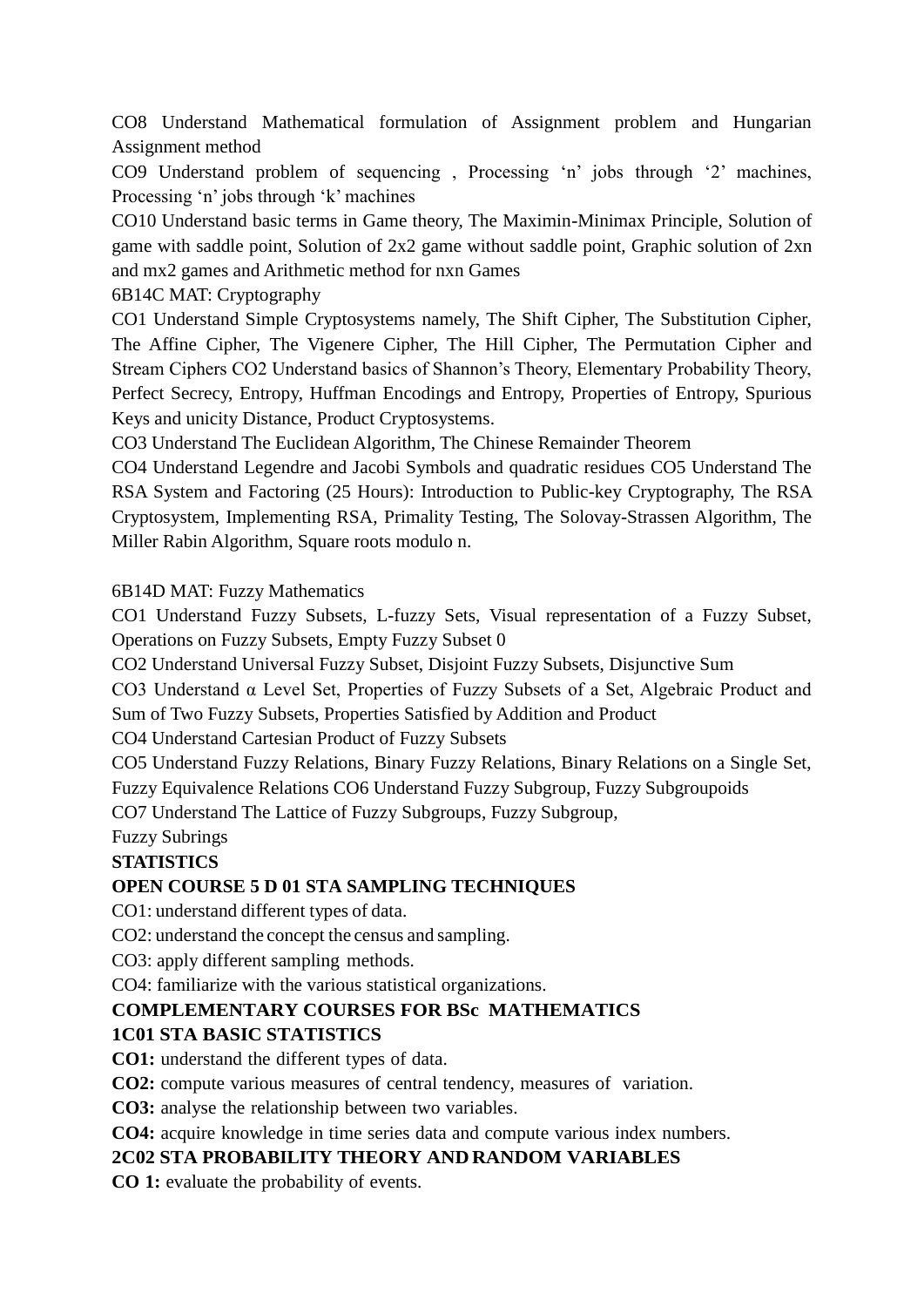CO8 Understand Mathematical formulation of Assignment problem and Hungarian Assignment method

CO9 Understand problem of sequencing , Processing 'n' jobs through '2' machines, Processing 'n' jobs through 'k' machines

CO10 Understand basic terms in Game theory, The Maximin-Minimax Principle, Solution of game with saddle point, Solution of 2x2 game without saddle point, Graphic solution of 2xn and mx2 games and Arithmetic method for nxn Games

6B14C MAT: Cryptography

CO1 Understand Simple Cryptosystems namely, The Shift Cipher, The Substitution Cipher, The Affine Cipher, The Vigenere Cipher, The Hill Cipher, The Permutation Cipher and Stream Ciphers CO2 Understand basics of Shannon's Theory, Elementary Probability Theory, Perfect Secrecy, Entropy, Huffman Encodings and Entropy, Properties of Entropy, Spurious Keys and unicity Distance, Product Cryptosystems.

CO3 Understand The Euclidean Algorithm, The Chinese Remainder Theorem

CO4 Understand Legendre and Jacobi Symbols and quadratic residues CO5 Understand The RSA System and Factoring (25 Hours): Introduction to Public-key Cryptography, The RSA Cryptosystem, Implementing RSA, Primality Testing, The Solovay-Strassen Algorithm, The Miller Rabin Algorithm, Square roots modulo n.

### 6B14D MAT: Fuzzy Mathematics

CO1 Understand Fuzzy Subsets, L-fuzzy Sets, Visual representation of a Fuzzy Subset, Operations on Fuzzy Subsets, Empty Fuzzy Subset 0

CO2 Understand Universal Fuzzy Subset, Disjoint Fuzzy Subsets, Disjunctive Sum

CO3 Understand α Level Set, Properties of Fuzzy Subsets of a Set, Algebraic Product and Sum of Two Fuzzy Subsets, Properties Satisfied by Addition and Product

CO4 Understand Cartesian Product of Fuzzy Subsets

CO5 Understand Fuzzy Relations, Binary Fuzzy Relations, Binary Relations on a Single Set, Fuzzy Equivalence Relations CO6 Understand Fuzzy Subgroup, Fuzzy Subgroupoids

CO7 Understand The Lattice of Fuzzy Subgroups, Fuzzy Subgroup,

Fuzzy Subrings

## **STATISTICS**

## **OPEN COURSE 5 D 01 STA SAMPLING TECHNIQUES**

CO1: understand different types of data.

CO2: understand the concept the census and sampling.

CO3: apply different sampling methods.

CO4: familiarize with the various statistical organizations.

## **COMPLEMENTARY COURSES FOR BSc MATHEMATICS**

## **1C01 STA BASIC STATISTICS**

**CO1:** understand the different types of data.

**CO2:** compute various measures of central tendency, measures of variation.

**CO3:** analyse the relationship between two variables.

**CO4:** acquire knowledge in time series data and compute various index numbers.

## **2C02 STA PROBABILITY THEORY AND RANDOM VARIABLES**

**CO 1:** evaluate the probability of events.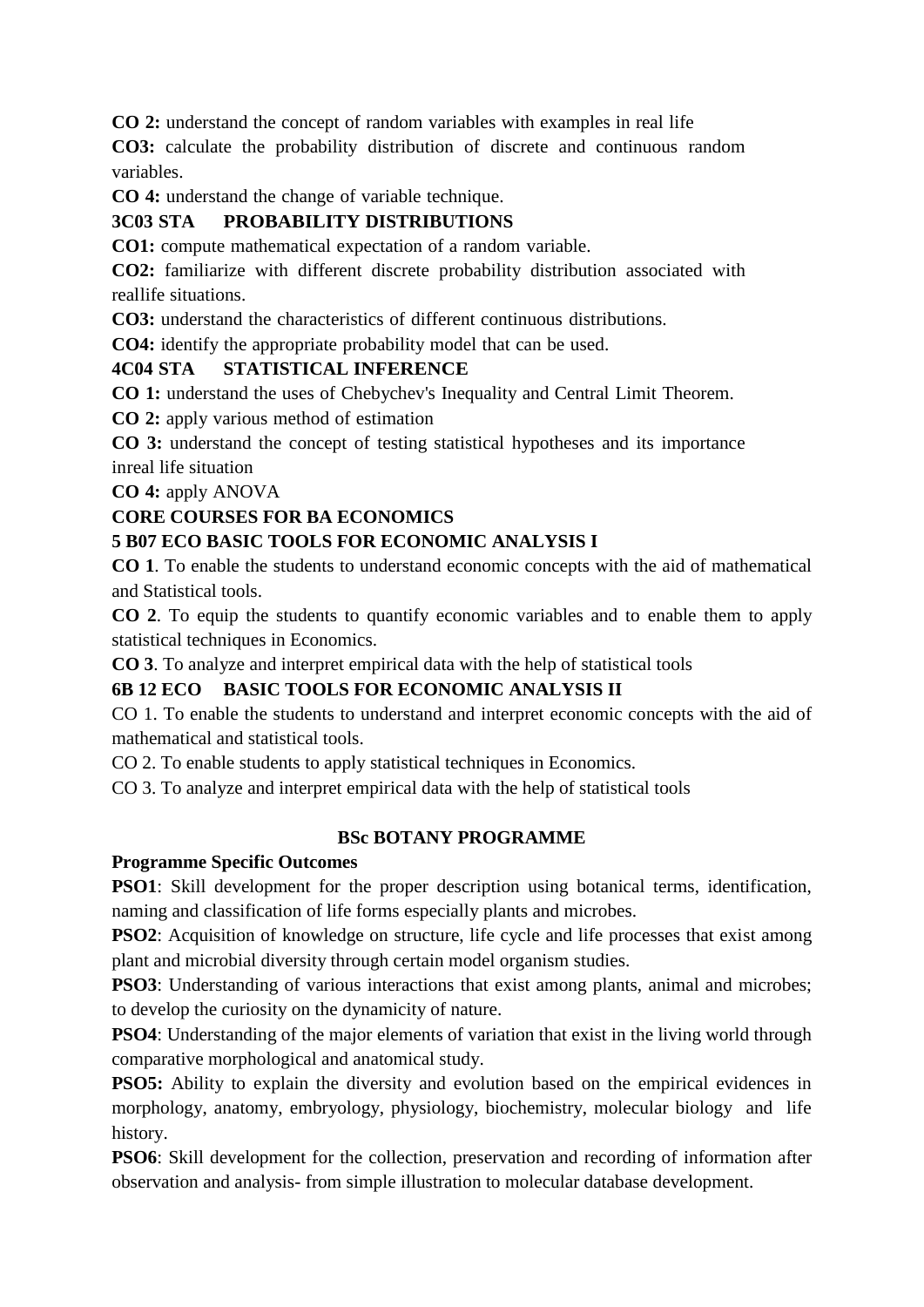**CO 2:** understand the concept of random variables with examples in real life

**CO3:** calculate the probability distribution of discrete and continuous random variables.

**CO 4:** understand the change of variable technique.

# **3C03 STA PROBABILITY DISTRIBUTIONS**

**CO1:** compute mathematical expectation of a random variable.

**CO2:** familiarize with different discrete probability distribution associated with reallife situations.

**CO3:** understand the characteristics of different continuous distributions.

**CO4:** identify the appropriate probability model that can be used.

### **4C04 STA STATISTICAL INFERENCE**

**CO 1:** understand the uses of Chebychev's Inequality and Central Limit Theorem.

**CO 2:** apply various method of estimation

**CO 3:** understand the concept of testing statistical hypotheses and its importance inreal life situation

**CO 4:** apply ANOVA

## **CORE COURSES FOR BA ECONOMICS**

## **5 B07 ECO BASIC TOOLS FOR ECONOMIC ANALYSIS I**

**CO 1**. To enable the students to understand economic concepts with the aid of mathematical and Statistical tools.

**CO 2**. To equip the students to quantify economic variables and to enable them to apply statistical techniques in Economics.

**CO 3**. To analyze and interpret empirical data with the help of statistical tools

## **6B 12 ECO BASIC TOOLS FOR ECONOMIC ANALYSIS II**

CO 1. To enable the students to understand and interpret economic concepts with the aid of mathematical and statistical tools.

CO 2. To enable students to apply statistical techniques in Economics.

CO 3. To analyze and interpret empirical data with the help of statistical tools

## **BSc BOTANY PROGRAMME**

#### **Programme Specific Outcomes**

**PSO1**: Skill development for the proper description using botanical terms, identification, naming and classification of life forms especially plants and microbes.

**PSO2**: Acquisition of knowledge on structure, life cycle and life processes that exist among plant and microbial diversity through certain model organism studies.

PSO3: Understanding of various interactions that exist among plants, animal and microbes; to develop the curiosity on the dynamicity of nature.

**PSO4**: Understanding of the major elements of variation that exist in the living world through comparative morphological and anatomical study.

**PSO5:** Ability to explain the diversity and evolution based on the empirical evidences in morphology, anatomy, embryology, physiology, biochemistry, molecular biology and life history.

**PSO6**: Skill development for the collection, preservation and recording of information after observation and analysis- from simple illustration to molecular database development.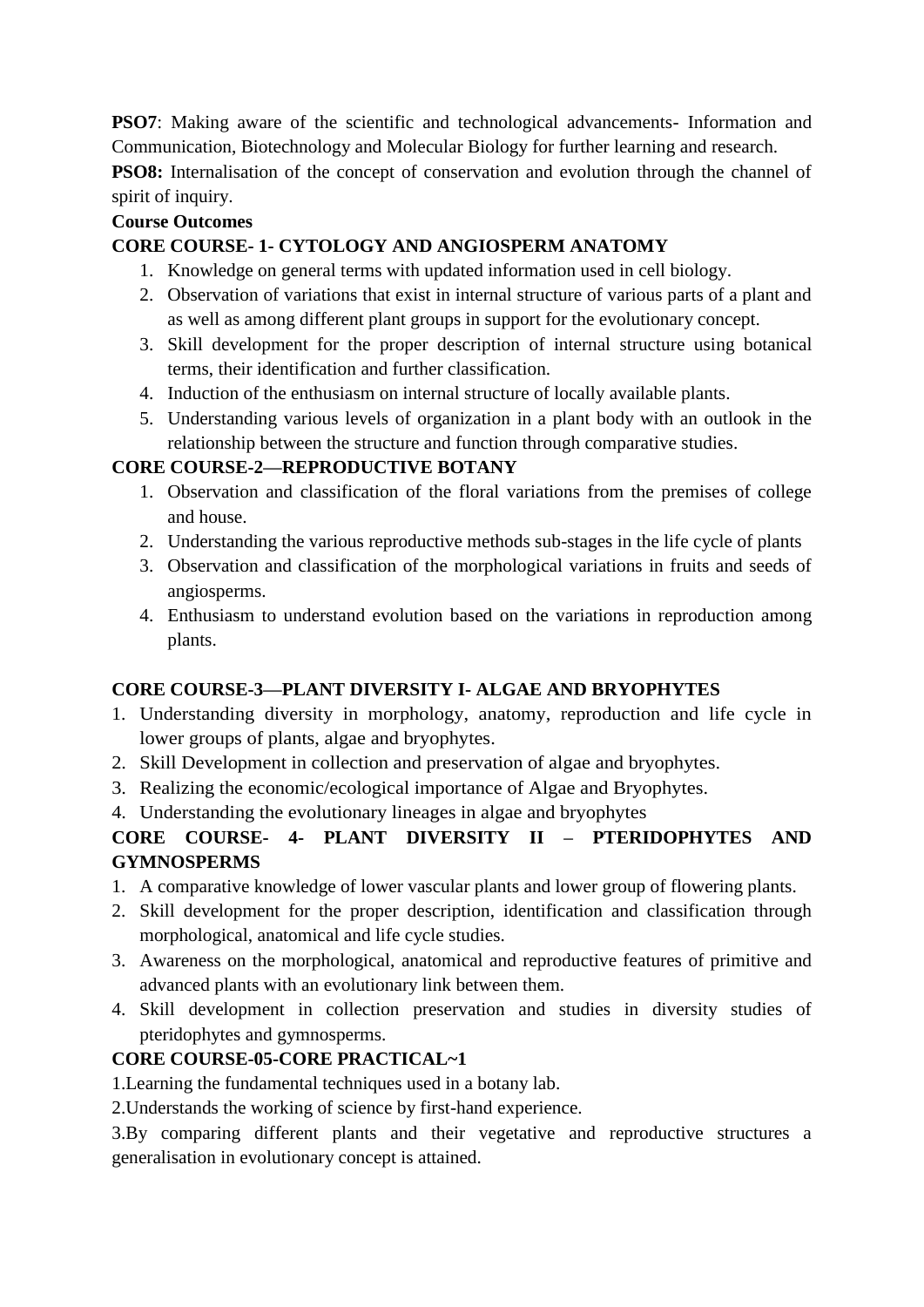**PSO7**: Making aware of the scientific and technological advancements- Information and Communication, Biotechnology and Molecular Biology for further learning and research.

**PSO8:** Internalisation of the concept of conservation and evolution through the channel of spirit of inquiry.

# **Course Outcomes**

# **CORE COURSE- 1- CYTOLOGY AND ANGIOSPERM ANATOMY**

- 1. Knowledge on general terms with updated information used in cell biology.
- 2. Observation of variations that exist in internal structure of various parts of a plant and as well as among different plant groups in support for the evolutionary concept.
- 3. Skill development for the proper description of internal structure using botanical terms, their identification and further classification.
- 4. Induction of the enthusiasm on internal structure of locally available plants.
- 5. Understanding various levels of organization in a plant body with an outlook in the relationship between the structure and function through comparative studies.

# **CORE COURSE-2—REPRODUCTIVE BOTANY**

- 1. Observation and classification of the floral variations from the premises of college and house.
- 2. Understanding the various reproductive methods sub-stages in the life cycle of plants
- 3. Observation and classification of the morphological variations in fruits and seeds of angiosperms.
- 4. Enthusiasm to understand evolution based on the variations in reproduction among plants.

# **CORE COURSE-3—PLANT DIVERSITY I- ALGAE AND BRYOPHYTES**

- 1. Understanding diversity in morphology, anatomy, reproduction and life cycle in lower groups of plants, algae and bryophytes.
- 2. Skill Development in collection and preservation of algae and bryophytes.
- 3. Realizing the economic/ecological importance of Algae and Bryophytes.
- 4. Understanding the evolutionary lineages in algae and bryophytes

# **CORE COURSE- 4- PLANT DIVERSITY II – PTERIDOPHYTES AND GYMNOSPERMS**

- 1. A comparative knowledge of lower vascular plants and lower group of flowering plants.
- 2. Skill development for the proper description, identification and classification through morphological, anatomical and life cycle studies.
- 3. Awareness on the morphological, anatomical and reproductive features of primitive and advanced plants with an evolutionary link between them.
- 4. Skill development in collection preservation and studies in diversity studies of pteridophytes and gymnosperms.

# **CORE COURSE-05-CORE PRACTICAL~1**

1.Learning the fundamental techniques used in a botany lab.

2.Understands the working of science by first-hand experience.

3.By comparing different plants and their vegetative and reproductive structures a generalisation in evolutionary concept is attained.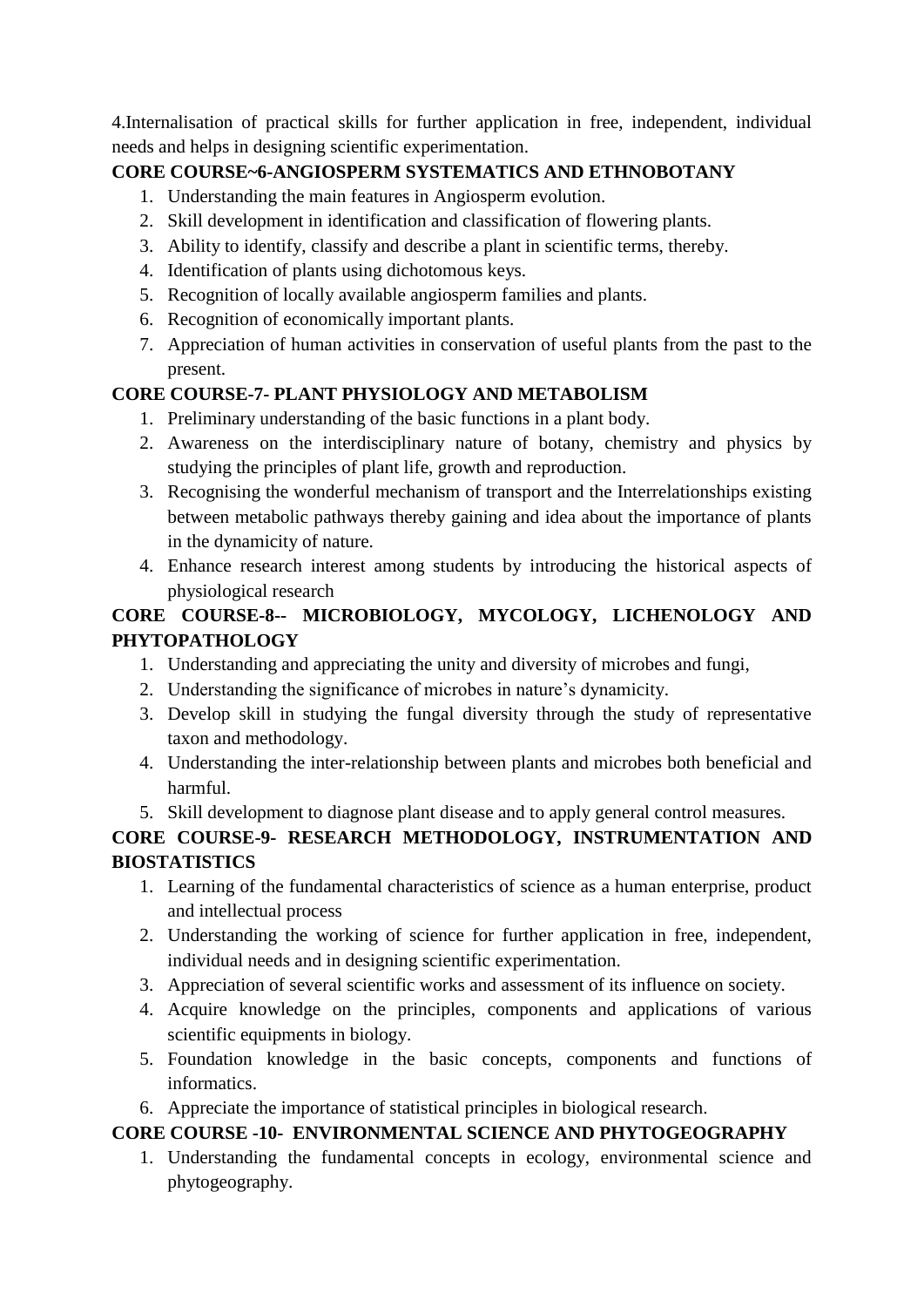4.Internalisation of practical skills for further application in free, independent, individual needs and helps in designing scientific experimentation.

# **CORE COURSE~6-ANGIOSPERM SYSTEMATICS AND ETHNOBOTANY**

- 1. Understanding the main features in Angiosperm evolution.
- 2. Skill development in identification and classification of flowering plants.
- 3. Ability to identify, classify and describe a plant in scientific terms, thereby.
- 4. Identification of plants using dichotomous keys.
- 5. Recognition of locally available angiosperm families and plants.
- 6. Recognition of economically important plants.
- 7. Appreciation of human activities in conservation of useful plants from the past to the present.

# **CORE COURSE-7- PLANT PHYSIOLOGY AND METABOLISM**

- 1. Preliminary understanding of the basic functions in a plant body.
- 2. Awareness on the interdisciplinary nature of botany, chemistry and physics by studying the principles of plant life, growth and reproduction.
- 3. Recognising the wonderful mechanism of transport and the Interrelationships existing between metabolic pathways thereby gaining and idea about the importance of plants in the dynamicity of nature.
- 4. Enhance research interest among students by introducing the historical aspects of physiological research

# **CORE COURSE-8-- MICROBIOLOGY, MYCOLOGY, LICHENOLOGY AND PHYTOPATHOLOGY**

- 1. Understanding and appreciating the unity and diversity of microbes and fungi,
- 2. Understanding the significance of microbes in nature's dynamicity.
- 3. Develop skill in studying the fungal diversity through the study of representative taxon and methodology.
- 4. Understanding the inter-relationship between plants and microbes both beneficial and harmful.
- 5. Skill development to diagnose plant disease and to apply general control measures.

# **CORE COURSE-9- RESEARCH METHODOLOGY, INSTRUMENTATION AND BIOSTATISTICS**

- 1. Learning of the fundamental characteristics of science as a human enterprise, product and intellectual process
- 2. Understanding the working of science for further application in free, independent, individual needs and in designing scientific experimentation.
- 3. Appreciation of several scientific works and assessment of its influence on society.
- 4. Acquire knowledge on the principles, components and applications of various scientific equipments in biology.
- 5. Foundation knowledge in the basic concepts, components and functions of informatics.
- 6. Appreciate the importance of statistical principles in biological research.

# **CORE COURSE -10- ENVIRONMENTAL SCIENCE AND PHYTOGEOGRAPHY**

1. Understanding the fundamental concepts in ecology, environmental science and phytogeography.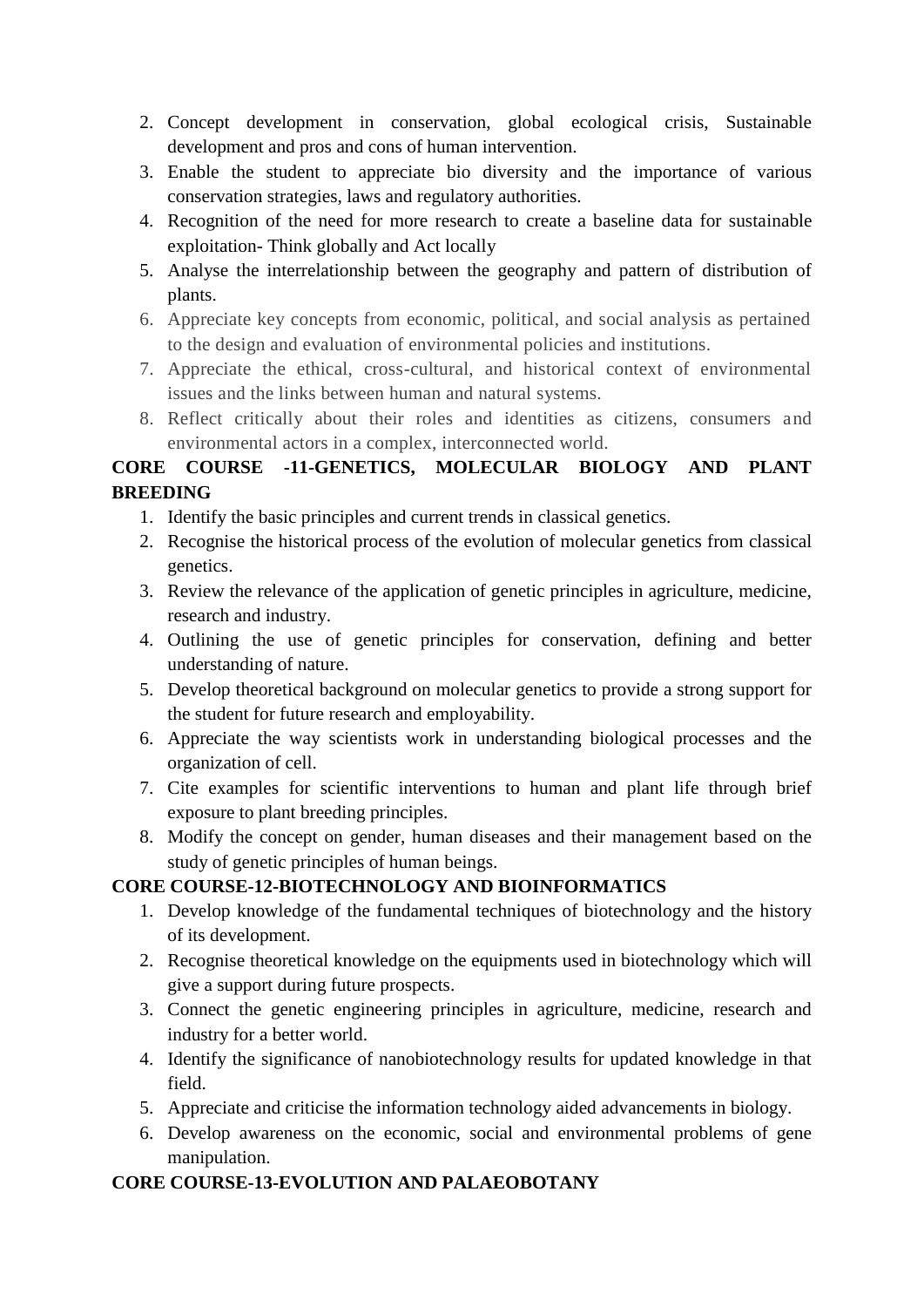- 2. Concept development in conservation, global ecological crisis, Sustainable development and pros and cons of human intervention.
- 3. Enable the student to appreciate bio diversity and the importance of various conservation strategies, laws and regulatory authorities.
- 4. Recognition of the need for more research to create a baseline data for sustainable exploitation- Think globally and Act locally
- 5. Analyse the interrelationship between the geography and pattern of distribution of plants.
- 6. Appreciate key concepts from economic, political, and social analysis as pertained to the design and evaluation of environmental policies and institutions.
- 7. Appreciate the ethical, cross-cultural, and historical context of environmental issues and the links between human and natural systems.
- 8. Reflect critically about their roles and identities as citizens, consumers and environmental actors in a complex, interconnected world.

# **CORE COURSE -11-GENETICS, MOLECULAR BIOLOGY AND PLANT BREEDING**

- 1. Identify the basic principles and current trends in classical genetics.
- 2. Recognise the historical process of the evolution of molecular genetics from classical genetics.
- 3. Review the relevance of the application of genetic principles in agriculture, medicine, research and industry.
- 4. Outlining the use of genetic principles for conservation, defining and better understanding of nature.
- 5. Develop theoretical background on molecular genetics to provide a strong support for the student for future research and employability.
- 6. Appreciate the way scientists work in understanding biological processes and the organization of cell.
- 7. Cite examples for scientific interventions to human and plant life through brief exposure to plant breeding principles.
- 8. Modify the concept on gender, human diseases and their management based on the study of genetic principles of human beings.

## **CORE COURSE-12-BIOTECHNOLOGY AND BIOINFORMATICS**

- 1. Develop knowledge of the fundamental techniques of biotechnology and the history of its development.
- 2. Recognise theoretical knowledge on the equipments used in biotechnology which will give a support during future prospects.
- 3. Connect the genetic engineering principles in agriculture, medicine, research and industry for a better world.
- 4. Identify the significance of nanobiotechnology results for updated knowledge in that field.
- 5. Appreciate and criticise the information technology aided advancements in biology.
- 6. Develop awareness on the economic, social and environmental problems of gene manipulation.

## **CORE COURSE-13-EVOLUTION AND PALAEOBOTANY**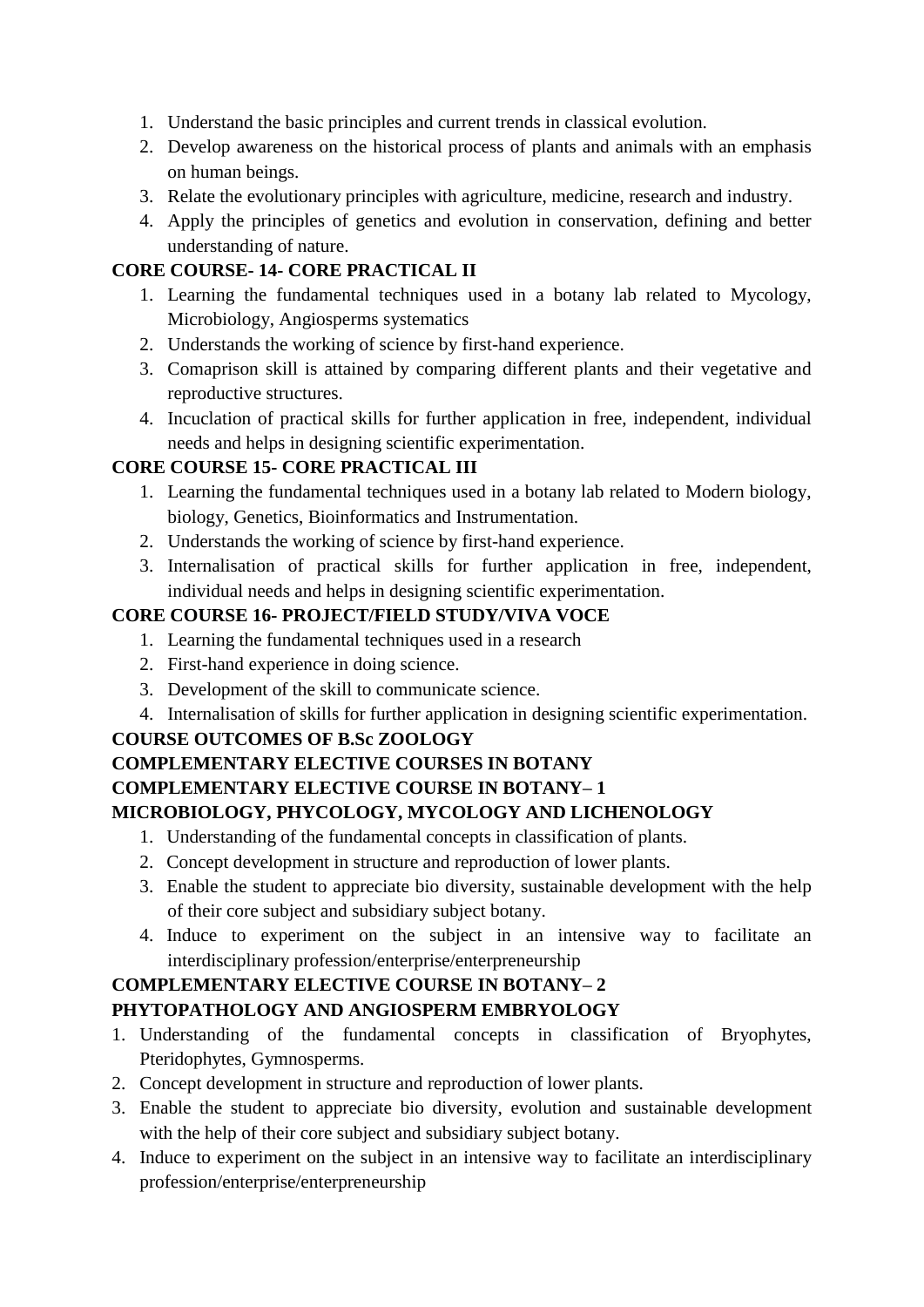- 1. Understand the basic principles and current trends in classical evolution.
- 2. Develop awareness on the historical process of plants and animals with an emphasis on human beings.
- 3. Relate the evolutionary principles with agriculture, medicine, research and industry.
- 4. Apply the principles of genetics and evolution in conservation, defining and better understanding of nature.

# **CORE COURSE- 14- CORE PRACTICAL II**

- 1. Learning the fundamental techniques used in a botany lab related to Mycology, Microbiology, Angiosperms systematics
- 2. Understands the working of science by first-hand experience.
- 3. Comaprison skill is attained by comparing different plants and their vegetative and reproductive structures.
- 4. Incuclation of practical skills for further application in free, independent, individual needs and helps in designing scientific experimentation.

## **CORE COURSE 15- CORE PRACTICAL III**

- 1. Learning the fundamental techniques used in a botany lab related to Modern biology, biology, Genetics, Bioinformatics and Instrumentation.
- 2. Understands the working of science by first-hand experience.
- 3. Internalisation of practical skills for further application in free, independent, individual needs and helps in designing scientific experimentation.

### **CORE COURSE 16- PROJECT/FIELD STUDY/VIVA VOCE**

- 1. Learning the fundamental techniques used in a research
- 2. First-hand experience in doing science.
- 3. Development of the skill to communicate science.
- 4. Internalisation of skills for further application in designing scientific experimentation.

## **COURSE OUTCOMES OF B.Sc ZOOLOGY**

## **COMPLEMENTARY ELECTIVE COURSES IN BOTANY**

## **COMPLEMENTARY ELECTIVE COURSE IN BOTANY– 1**

# **MICROBIOLOGY, PHYCOLOGY, MYCOLOGY AND LICHENOLOGY**

- 1. Understanding of the fundamental concepts in classification of plants.
- 2. Concept development in structure and reproduction of lower plants.
- 3. Enable the student to appreciate bio diversity, sustainable development with the help of their core subject and subsidiary subject botany.
- 4. Induce to experiment on the subject in an intensive way to facilitate an interdisciplinary profession/enterprise/enterpreneurship

## **COMPLEMENTARY ELECTIVE COURSE IN BOTANY– 2**

## **PHYTOPATHOLOGY AND ANGIOSPERM EMBRYOLOGY**

- 1. Understanding of the fundamental concepts in classification of Bryophytes, Pteridophytes, Gymnosperms.
- 2. Concept development in structure and reproduction of lower plants.
- 3. Enable the student to appreciate bio diversity, evolution and sustainable development with the help of their core subject and subsidiary subject botany.
- 4. Induce to experiment on the subject in an intensive way to facilitate an interdisciplinary profession/enterprise/enterpreneurship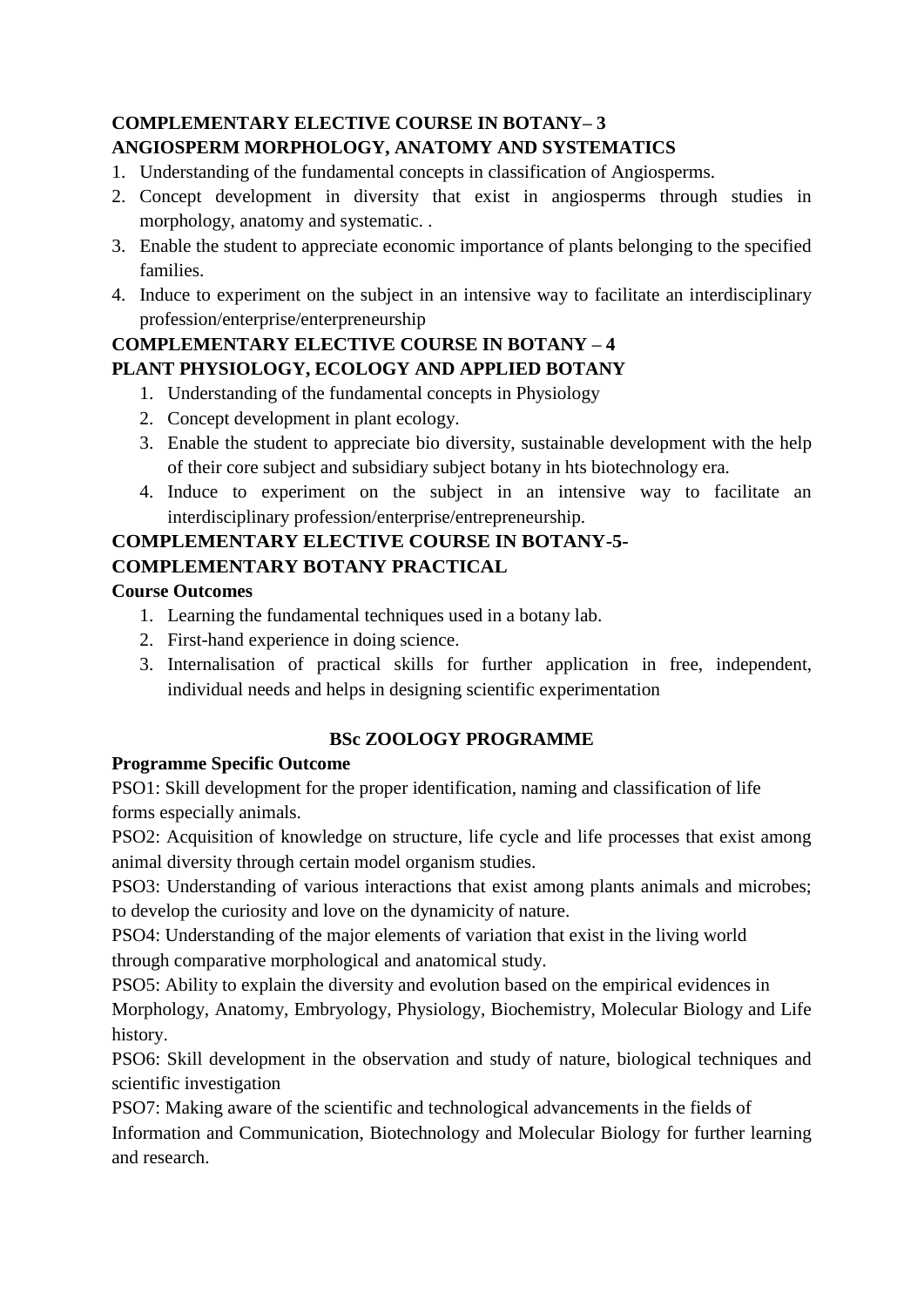# **COMPLEMENTARY ELECTIVE COURSE IN BOTANY– 3**

# **ANGIOSPERM MORPHOLOGY, ANATOMY AND SYSTEMATICS**

- 1. Understanding of the fundamental concepts in classification of Angiosperms.
- 2. Concept development in diversity that exist in angiosperms through studies in morphology, anatomy and systematic. .
- 3. Enable the student to appreciate economic importance of plants belonging to the specified families.
- 4. Induce to experiment on the subject in an intensive way to facilitate an interdisciplinary profession/enterprise/enterpreneurship

#### **COMPLEMENTARY ELECTIVE COURSE IN BOTANY – 4 PLANT PHYSIOLOGY, ECOLOGY AND APPLIED BOTANY**

- 1. Understanding of the fundamental concepts in Physiology
- 2. Concept development in plant ecology.
- 3. Enable the student to appreciate bio diversity, sustainable development with the help of their core subject and subsidiary subject botany in hts biotechnology era.
- 4. Induce to experiment on the subject in an intensive way to facilitate an interdisciplinary profession/enterprise/entrepreneurship.

# **COMPLEMENTARY ELECTIVE COURSE IN BOTANY-5-**

# **COMPLEMENTARY BOTANY PRACTICAL**

## **Course Outcomes**

- 1. Learning the fundamental techniques used in a botany lab.
- 2. First-hand experience in doing science.
- 3. Internalisation of practical skills for further application in free, independent, individual needs and helps in designing scientific experimentation

# **BSc ZOOLOGY PROGRAMME**

# **Programme Specific Outcome**

PSO1: Skill development for the proper identification, naming and classification of life forms especially animals.

PSO2: Acquisition of knowledge on structure, life cycle and life processes that exist among animal diversity through certain model organism studies.

PSO3: Understanding of various interactions that exist among plants animals and microbes; to develop the curiosity and love on the dynamicity of nature.

PSO4: Understanding of the major elements of variation that exist in the living world through comparative morphological and anatomical study.

PSO5: Ability to explain the diversity and evolution based on the empirical evidences in Morphology, Anatomy, Embryology, Physiology, Biochemistry, Molecular Biology and Life history.

PSO6: Skill development in the observation and study of nature, biological techniques and scientific investigation

PSO7: Making aware of the scientific and technological advancements in the fields of Information and Communication, Biotechnology and Molecular Biology for further learning and research.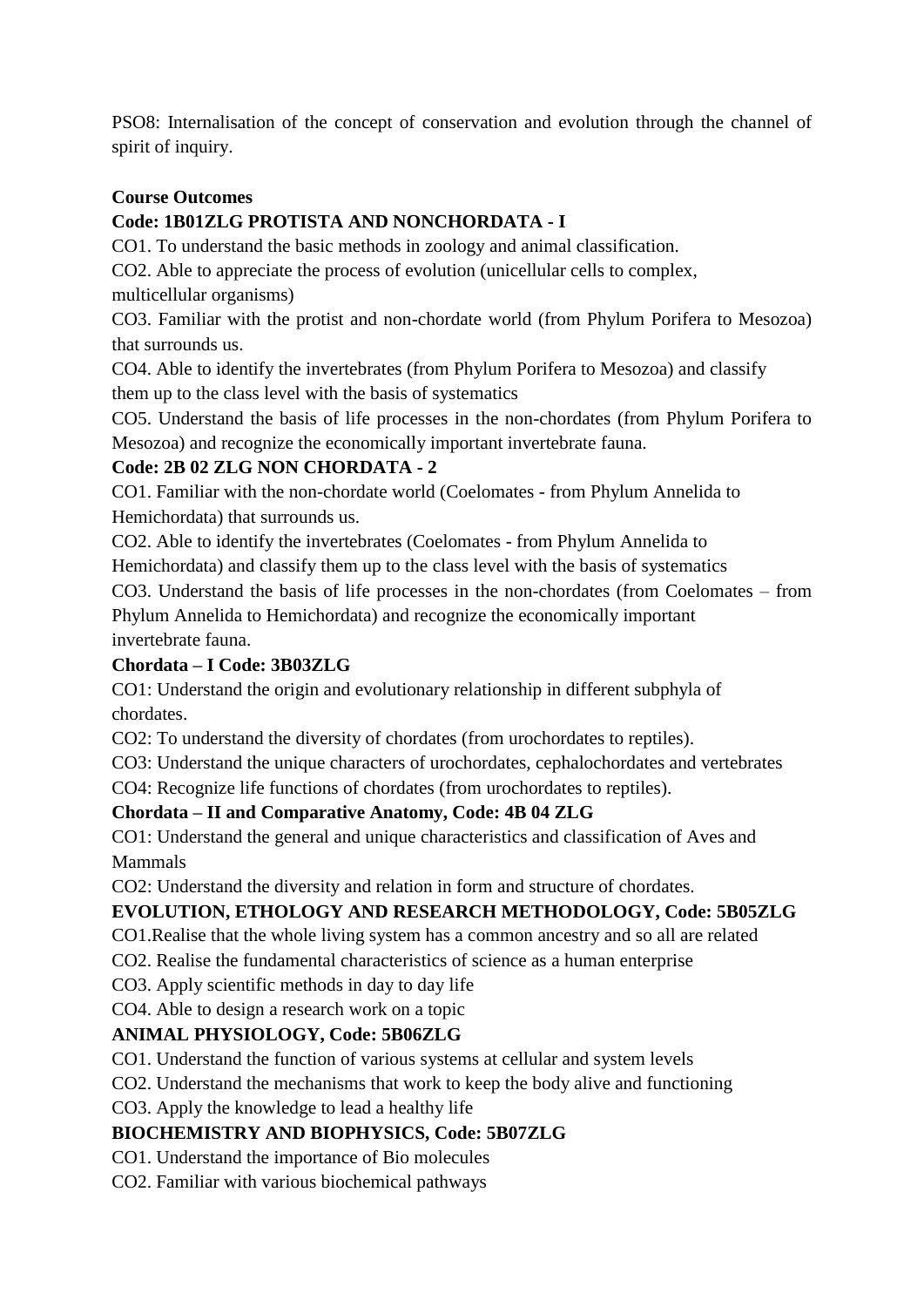PSO8: Internalisation of the concept of conservation and evolution through the channel of spirit of inquiry.

## **Course Outcomes**

# **Code: 1B01ZLG PROTISTA AND NONCHORDATA - I**

CO1. To understand the basic methods in zoology and animal classification.

CO2. Able to appreciate the process of evolution (unicellular cells to complex,

multicellular organisms)

CO3. Familiar with the protist and non-chordate world (from Phylum Porifera to Mesozoa) that surrounds us.

CO4. Able to identify the invertebrates (from Phylum Porifera to Mesozoa) and classify them up to the class level with the basis of systematics

CO5. Understand the basis of life processes in the non-chordates (from Phylum Porifera to Mesozoa) and recognize the economically important invertebrate fauna.

## **Code: 2B 02 ZLG NON CHORDATA - 2**

CO1. Familiar with the non-chordate world (Coelomates - from Phylum Annelida to Hemichordata) that surrounds us.

CO2. Able to identify the invertebrates (Coelomates - from Phylum Annelida to

Hemichordata) and classify them up to the class level with the basis of systematics CO3. Understand the basis of life processes in the non-chordates (from Coelomates – from

Phylum Annelida to Hemichordata) and recognize the economically important invertebrate fauna.

## **Chordata – I Code: 3B03ZLG**

CO1: Understand the origin and evolutionary relationship in different subphyla of chordates.

CO2: To understand the diversity of chordates (from urochordates to reptiles).

CO3: Understand the unique characters of urochordates, cephalochordates and vertebrates

CO4: Recognize life functions of chordates (from urochordates to reptiles).

## **Chordata – II and Comparative Anatomy, Code: 4B 04 ZLG**

CO1: Understand the general and unique characteristics and classification of Aves and Mammals

CO2: Understand the diversity and relation in form and structure of chordates.

# **EVOLUTION, ETHOLOGY AND RESEARCH METHODOLOGY, Code: 5B05ZLG**

CO1.Realise that the whole living system has a common ancestry and so all are related

CO2. Realise the fundamental characteristics of science as a human enterprise

CO3. Apply scientific methods in day to day life

CO4. Able to design a research work on a topic

## **ANIMAL PHYSIOLOGY, Code: 5B06ZLG**

CO1. Understand the function of various systems at cellular and system levels

CO2. Understand the mechanisms that work to keep the body alive and functioning

CO3. Apply the knowledge to lead a healthy life

## **BIOCHEMISTRY AND BIOPHYSICS, Code: 5B07ZLG**

CO1. Understand the importance of Bio molecules

CO2. Familiar with various biochemical pathways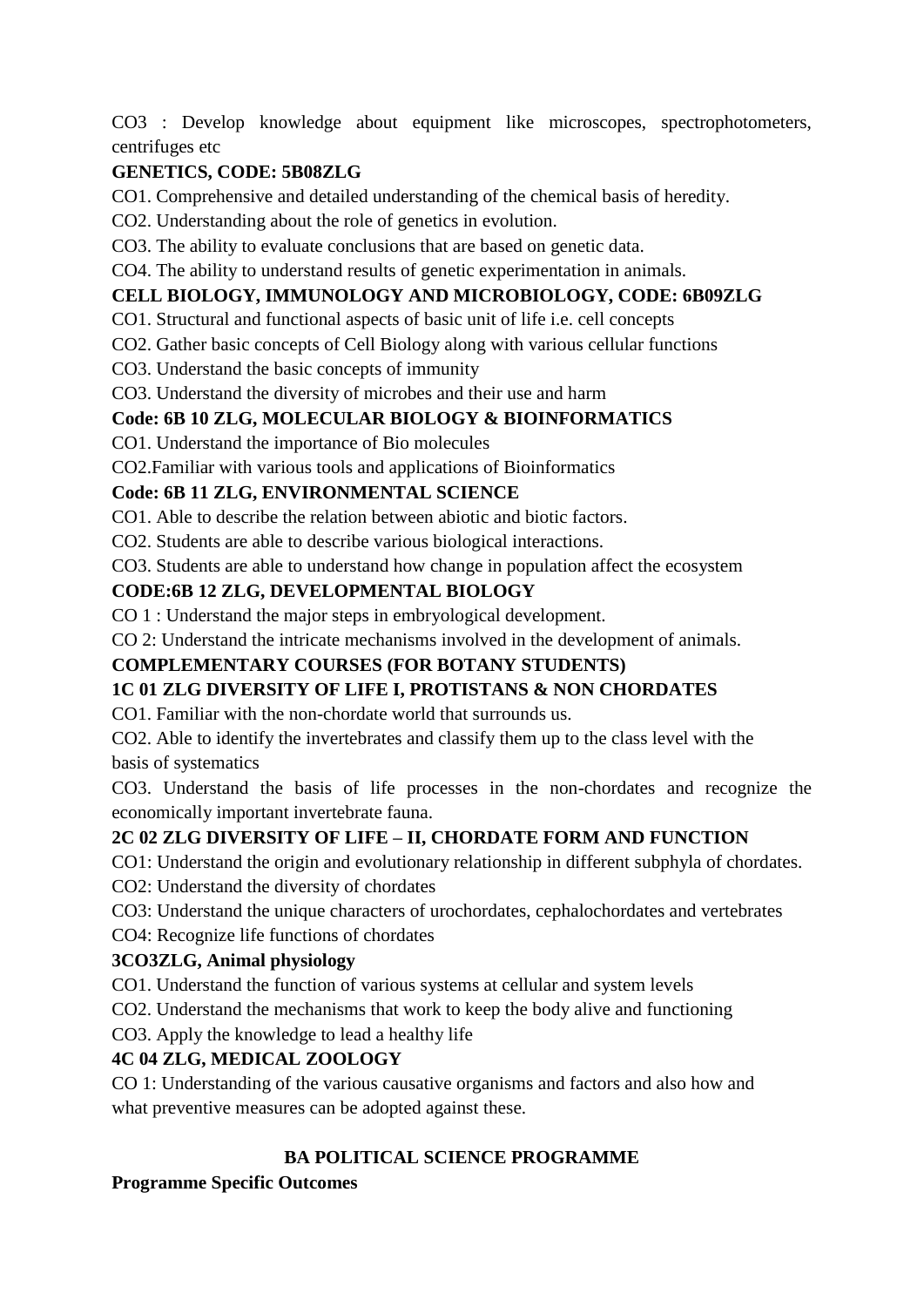CO3 : Develop knowledge about equipment like microscopes, spectrophotometers, centrifuges etc

# **GENETICS, CODE: 5B08ZLG**

CO1. Comprehensive and detailed understanding of the chemical basis of heredity.

CO2. Understanding about the role of genetics in evolution.

CO3. The ability to evaluate conclusions that are based on genetic data.

CO4. The ability to understand results of genetic experimentation in animals.

# **CELL BIOLOGY, IMMUNOLOGY AND MICROBIOLOGY, CODE: 6B09ZLG**

CO1. Structural and functional aspects of basic unit of life i.e. cell concepts

CO2. Gather basic concepts of Cell Biology along with various cellular functions

CO3. Understand the basic concepts of immunity

CO3. Understand the diversity of microbes and their use and harm

# **Code: 6B 10 ZLG, MOLECULAR BIOLOGY & BIOINFORMATICS**

CO1. Understand the importance of Bio molecules

CO2.Familiar with various tools and applications of Bioinformatics

## **Code: 6B 11 ZLG, ENVIRONMENTAL SCIENCE**

CO1. Able to describe the relation between abiotic and biotic factors.

CO2. Students are able to describe various biological interactions.

CO3. Students are able to understand how change in population affect the ecosystem

### **CODE:6B 12 ZLG, DEVELOPMENTAL BIOLOGY**

CO 1 : Understand the major steps in embryological development.

CO 2: Understand the intricate mechanisms involved in the development of animals.

# **COMPLEMENTARY COURSES (FOR BOTANY STUDENTS)**

# **1C 01 ZLG DIVERSITY OF LIFE I, PROTISTANS & NON CHORDATES**

CO1. Familiar with the non-chordate world that surrounds us.

CO2. Able to identify the invertebrates and classify them up to the class level with the basis of systematics

CO3. Understand the basis of life processes in the non-chordates and recognize the economically important invertebrate fauna.

## **2C 02 ZLG DIVERSITY OF LIFE – II, CHORDATE FORM AND FUNCTION**

CO1: Understand the origin and evolutionary relationship in different subphyla of chordates.

CO2: Understand the diversity of chordates

CO3: Understand the unique characters of urochordates, cephalochordates and vertebrates

CO4: Recognize life functions of chordates

## **3CO3ZLG, Animal physiology**

CO1. Understand the function of various systems at cellular and system levels

CO2. Understand the mechanisms that work to keep the body alive and functioning

CO3. Apply the knowledge to lead a healthy life

# **4C 04 ZLG, MEDICAL ZOOLOGY**

CO 1: Understanding of the various causative organisms and factors and also how and what preventive measures can be adopted against these.

# **BA POLITICAL SCIENCE PROGRAMME**

## **Programme Specific Outcomes**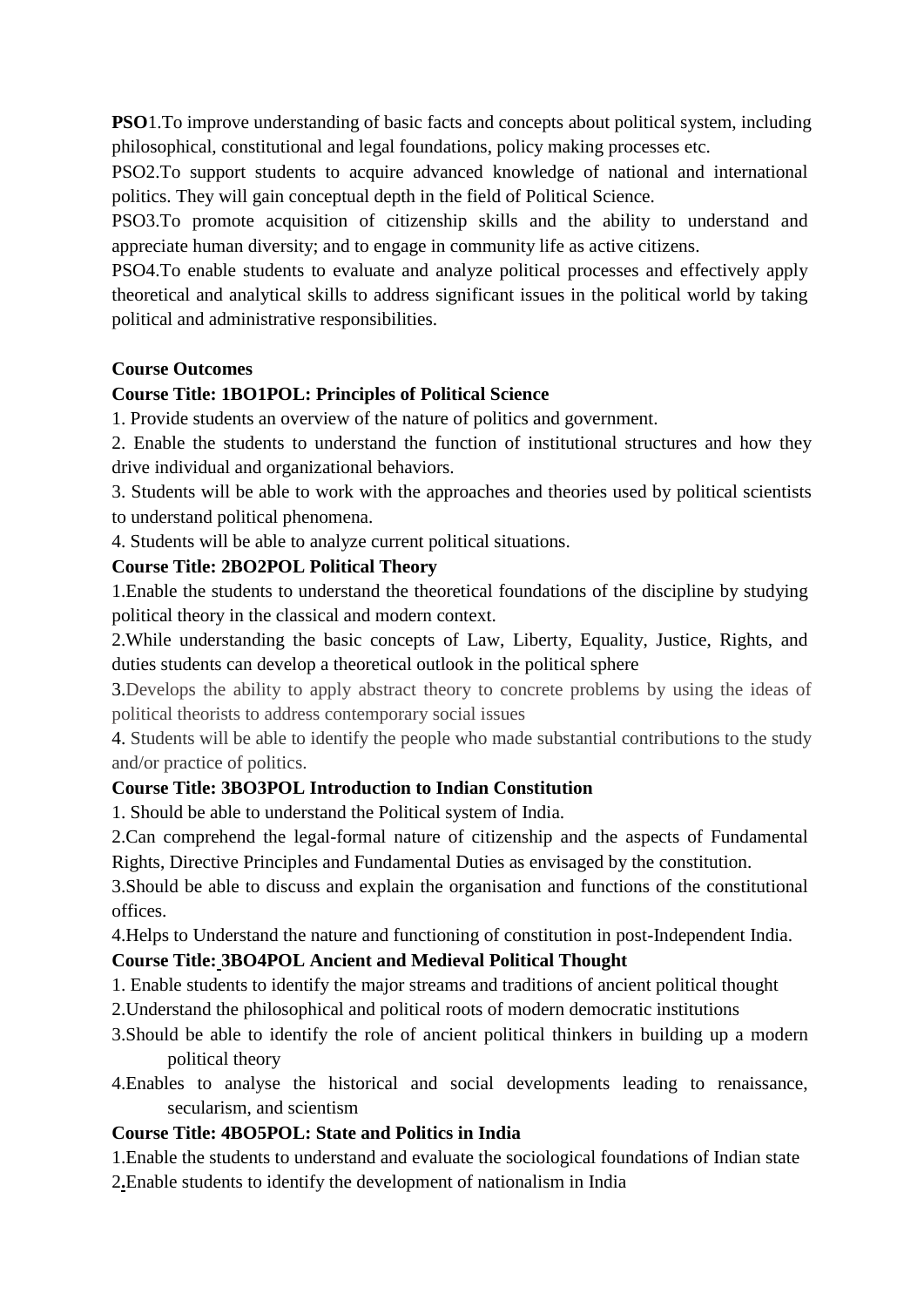**PSO**1. To improve understanding of basic facts and concepts about political system, including philosophical, constitutional and legal foundations, policy making processes etc.

PSO2.To support students to acquire advanced knowledge of national and international politics. They will gain conceptual depth in the field of Political Science.

PSO3.To promote acquisition of citizenship skills and the ability to understand and appreciate human diversity; and to engage in community life as active citizens.

PSO4.To enable students to evaluate and analyze political processes and effectively apply theoretical and analytical skills to address significant issues in the political world by taking political and administrative responsibilities.

#### **Course Outcomes**

#### **Course Title: 1BO1POL: Principles of Political Science**

1. Provide students an overview of the nature of politics and government.

2. Enable the students to understand the function of institutional structures and how they drive individual and organizational behaviors.

3. Students will be able to work with the approaches and theories used by political scientists to understand political phenomena.

4. Students will be able to analyze current political situations.

#### **Course Title: 2BO2POL Political Theory**

1.Enable the students to understand the theoretical foundations of the discipline by studying political theory in the classical and modern context.

2.While understanding the basic concepts of Law, Liberty, Equality, Justice, Rights, and duties students can develop a theoretical outlook in the political sphere

3.Develops the ability to apply abstract theory to concrete problems by using the ideas of political theorists to address contemporary social issues

4. Students will be able to identify the people who made substantial contributions to the study and/or practice of politics.

#### **Course Title: 3BO3POL Introduction to Indian Constitution**

1. Should be able to understand the Political system of India.

2.Can comprehend the legal-formal nature of citizenship and the aspects of Fundamental Rights, Directive Principles and Fundamental Duties as envisaged by the constitution.

3.Should be able to discuss and explain the organisation and functions of the constitutional offices.

4.Helps to Understand the nature and functioning of constitution in post-Independent India.

#### **Course Title: 3BO4POL Ancient and Medieval Political Thought**

1. Enable students to identify the major streams and traditions of ancient political thought

- 2.Understand the philosophical and political roots of modern democratic institutions
- 3.Should be able to identify the role of ancient political thinkers in building up a modern political theory
- 4.Enables to analyse the historical and social developments leading to renaissance, secularism, and scientism

#### **Course Title: 4BO5POL: State and Politics in India**

1.Enable the students to understand and evaluate the sociological foundations of Indian state

2**.**Enable students to identify the development of nationalism in India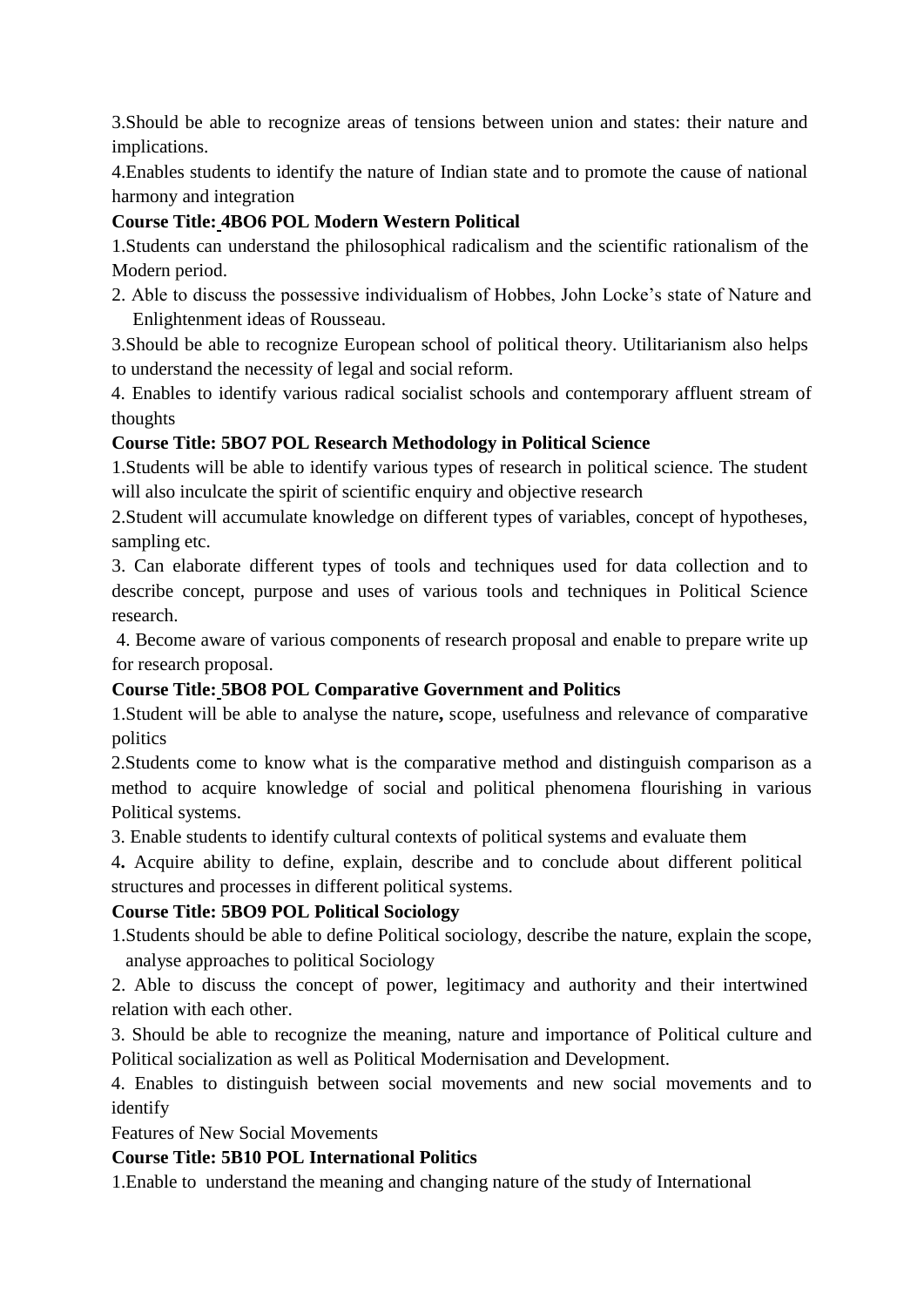3.Should be able to recognize areas of tensions between union and states: their nature and implications.

4.Enables students to identify the nature of Indian state and to promote the cause of national harmony and integration

# **Course Title: 4BO6 POL Modern Western Political**

1.Students can understand the philosophical radicalism and the scientific rationalism of the Modern period.

2. Able to discuss the possessive individualism of Hobbes, John Locke's state of Nature and Enlightenment ideas of Rousseau.

3.Should be able to recognize European school of political theory. Utilitarianism also helps to understand the necessity of legal and social reform.

4. Enables to identify various radical socialist schools and contemporary affluent stream of thoughts

# **Course Title: 5BO7 POL Research Methodology in Political Science**

1.Students will be able to identify various types of research in political science. The student will also inculcate the spirit of scientific enquiry and objective research

2.Student will accumulate knowledge on different types of variables, concept of hypotheses, sampling etc.

3. Can elaborate different types of tools and techniques used for data collection and to describe concept, purpose and uses of various tools and techniques in Political Science research.

4. Become aware of various components of research proposal and enable to prepare write up for research proposal.

# **Course Title: 5BO8 POL Comparative Government and Politics**

1.Student will be able to analyse the nature**,** scope, usefulness and relevance of comparative politics

2.Students come to know what is the comparative method and distinguish comparison as a method to acquire knowledge of social and political phenomena flourishing in various Political systems.

3. Enable students to identify cultural contexts of political systems and evaluate them

4**.** Acquire ability to define, explain, describe and to conclude about different political structures and processes in different political systems.

## **Course Title: 5BO9 POL Political Sociology**

1.Students should be able to define Political sociology, describe the nature, explain the scope, analyse approaches to political Sociology

2. Able to discuss the concept of power, legitimacy and authority and their intertwined relation with each other.

3. Should be able to recognize the meaning, nature and importance of Political culture and Political socialization as well as Political Modernisation and Development.

4. Enables to distinguish between social movements and new social movements and to identify

Features of New Social Movements

## **Course Title: 5B10 POL International Politics**

1.Enable to understand the meaning and changing nature of the study of International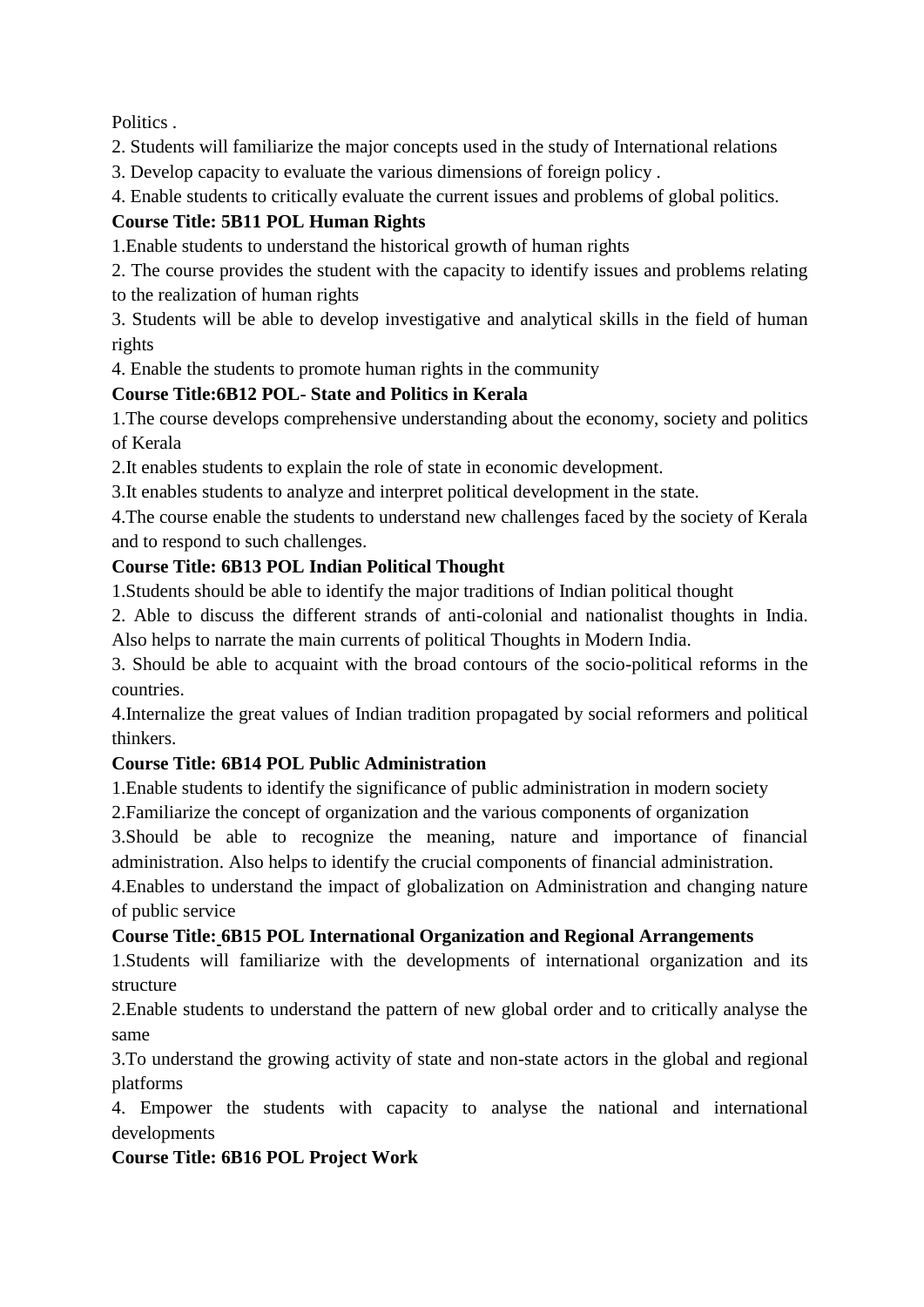Politics .

2. Students will familiarize the major concepts used in the study of International relations

3. Develop capacity to evaluate the various dimensions of foreign policy .

4. Enable students to critically evaluate the current issues and problems of global politics.

# **Course Title: 5B11 POL Human Rights**

1.Enable students to understand the historical growth of human rights

2. The course provides the student with the capacity to identify issues and problems relating to the realization of human rights

3. Students will be able to develop investigative and analytical skills in the field of human rights

4. Enable the students to promote human rights in the community

# **Course Title:6B12 POL- State and Politics in Kerala**

1.The course develops comprehensive understanding about the economy, society and politics of Kerala

2.It enables students to explain the role of state in economic development.

3.It enables students to analyze and interpret political development in the state.

4.The course enable the students to understand new challenges faced by the society of Kerala and to respond to such challenges.

# **Course Title: 6B13 POL Indian Political Thought**

1.Students should be able to identify the major traditions of Indian political thought

2. Able to discuss the different strands of anti-colonial and nationalist thoughts in India. Also helps to narrate the main currents of political Thoughts in Modern India.

3. Should be able to acquaint with the broad contours of the socio-political reforms in the countries.

4.Internalize the great values of Indian tradition propagated by social reformers and political thinkers.

# **Course Title: 6B14 POL Public Administration**

1.Enable students to identify the significance of public administration in modern society 2.Familiarize the concept of organization and the various components of organization

3.Should be able to recognize the meaning, nature and importance of financial

administration. Also helps to identify the crucial components of financial administration.

4.Enables to understand the impact of globalization on Administration and changing nature of public service

# **Course Title: 6B15 POL International Organization and Regional Arrangements**

1.Students will familiarize with the developments of international organization and its structure

2.Enable students to understand the pattern of new global order and to critically analyse the same

3.To understand the growing activity of state and non-state actors in the global and regional platforms

4. Empower the students with capacity to analyse the national and international developments

# **Course Title: 6B16 POL Project Work**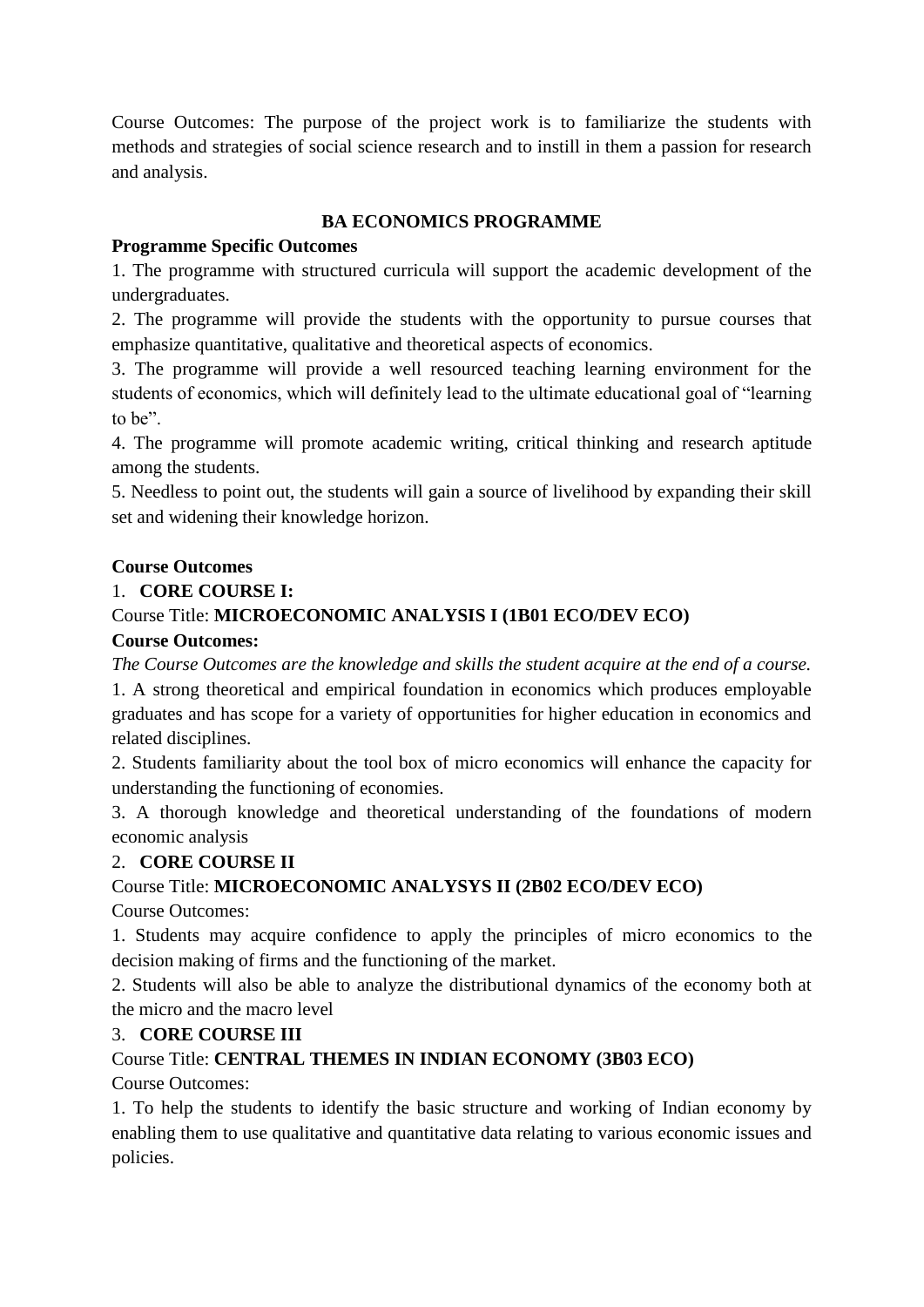Course Outcomes: The purpose of the project work is to familiarize the students with methods and strategies of social science research and to instill in them a passion for research and analysis.

## **BA ECONOMICS PROGRAMME**

# **Programme Specific Outcomes**

1. The programme with structured curricula will support the academic development of the undergraduates.

2. The programme will provide the students with the opportunity to pursue courses that emphasize quantitative, qualitative and theoretical aspects of economics.

3. The programme will provide a well resourced teaching learning environment for the students of economics, which will definitely lead to the ultimate educational goal of "learning to be".

4. The programme will promote academic writing, critical thinking and research aptitude among the students.

5. Needless to point out, the students will gain a source of livelihood by expanding their skill set and widening their knowledge horizon.

## **Course Outcomes**

# 1. **CORE COURSE I:**

# Course Title: **MICROECONOMIC ANALYSIS I (1B01 ECO/DEV ECO)**

## **Course Outcomes:**

*The Course Outcomes are the knowledge and skills the student acquire at the end of a course.* 1. A strong theoretical and empirical foundation in economics which produces employable graduates and has scope for a variety of opportunities for higher education in economics and related disciplines.

2. Students familiarity about the tool box of micro economics will enhance the capacity for understanding the functioning of economies.

3. A thorough knowledge and theoretical understanding of the foundations of modern economic analysis

# 2. **CORE COURSE II**

# Course Title: **MICROECONOMIC ANALYSYS II (2B02 ECO/DEV ECO)**

Course Outcomes:

1. Students may acquire confidence to apply the principles of micro economics to the decision making of firms and the functioning of the market.

2. Students will also be able to analyze the distributional dynamics of the economy both at the micro and the macro level

# 3. **CORE COURSE III**

# Course Title: **CENTRAL THEMES IN INDIAN ECONOMY (3B03 ECO)**

Course Outcomes:

1. To help the students to identify the basic structure and working of Indian economy by enabling them to use qualitative and quantitative data relating to various economic issues and policies.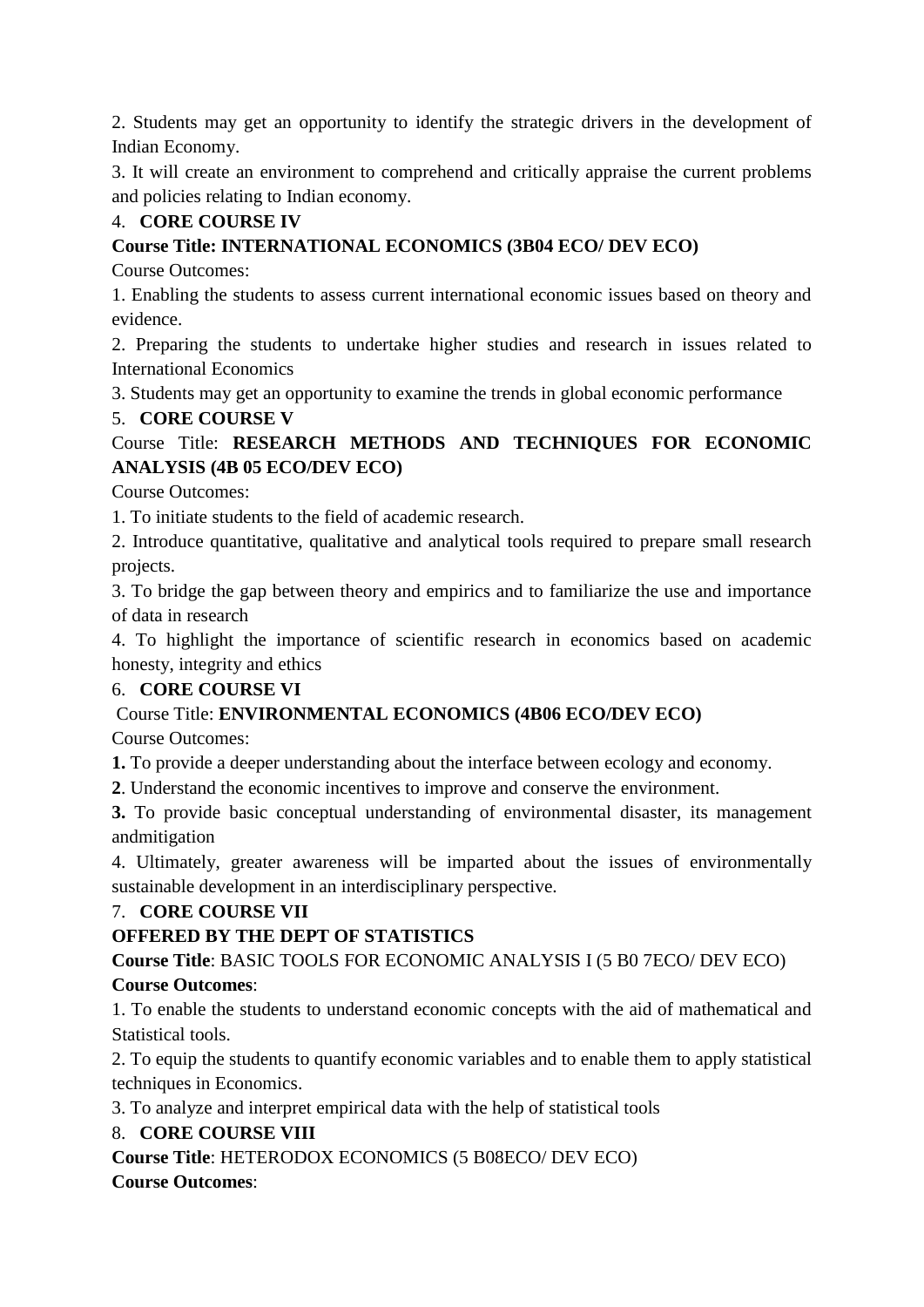2. Students may get an opportunity to identify the strategic drivers in the development of Indian Economy.

3. It will create an environment to comprehend and critically appraise the current problems and policies relating to Indian economy.

# 4. **CORE COURSE IV**

# **Course Title: INTERNATIONAL ECONOMICS (3B04 ECO/ DEV ECO)**

Course Outcomes:

1. Enabling the students to assess current international economic issues based on theory and evidence.

2. Preparing the students to undertake higher studies and research in issues related to International Economics

3. Students may get an opportunity to examine the trends in global economic performance

## 5. **CORE COURSE V**

# Course Title: **RESEARCH METHODS AND TECHNIQUES FOR ECONOMIC ANALYSIS (4B 05 ECO/DEV ECO)**

Course Outcomes:

1. To initiate students to the field of academic research.

2. Introduce quantitative, qualitative and analytical tools required to prepare small research projects.

3. To bridge the gap between theory and empirics and to familiarize the use and importance of data in research

4. To highlight the importance of scientific research in economics based on academic honesty, integrity and ethics

## 6. **CORE COURSE VI**

## Course Title: **ENVIRONMENTAL ECONOMICS (4B06 ECO/DEV ECO)**

Course Outcomes:

**1.** To provide a deeper understanding about the interface between ecology and economy.

**2**. Understand the economic incentives to improve and conserve the environment.

**3.** To provide basic conceptual understanding of environmental disaster, its management andmitigation

4. Ultimately, greater awareness will be imparted about the issues of environmentally sustainable development in an interdisciplinary perspective.

## 7. **CORE COURSE VII**

## **OFFERED BY THE DEPT OF STATISTICS**

**Course Title**: BASIC TOOLS FOR ECONOMIC ANALYSIS I (5 B0 7ECO/ DEV ECO)

## **Course Outcomes**:

1. To enable the students to understand economic concepts with the aid of mathematical and Statistical tools.

2. To equip the students to quantify economic variables and to enable them to apply statistical techniques in Economics.

3. To analyze and interpret empirical data with the help of statistical tools

## 8. **CORE COURSE VIII**

**Course Title**: HETERODOX ECONOMICS (5 B08ECO/ DEV ECO)

## **Course Outcomes**: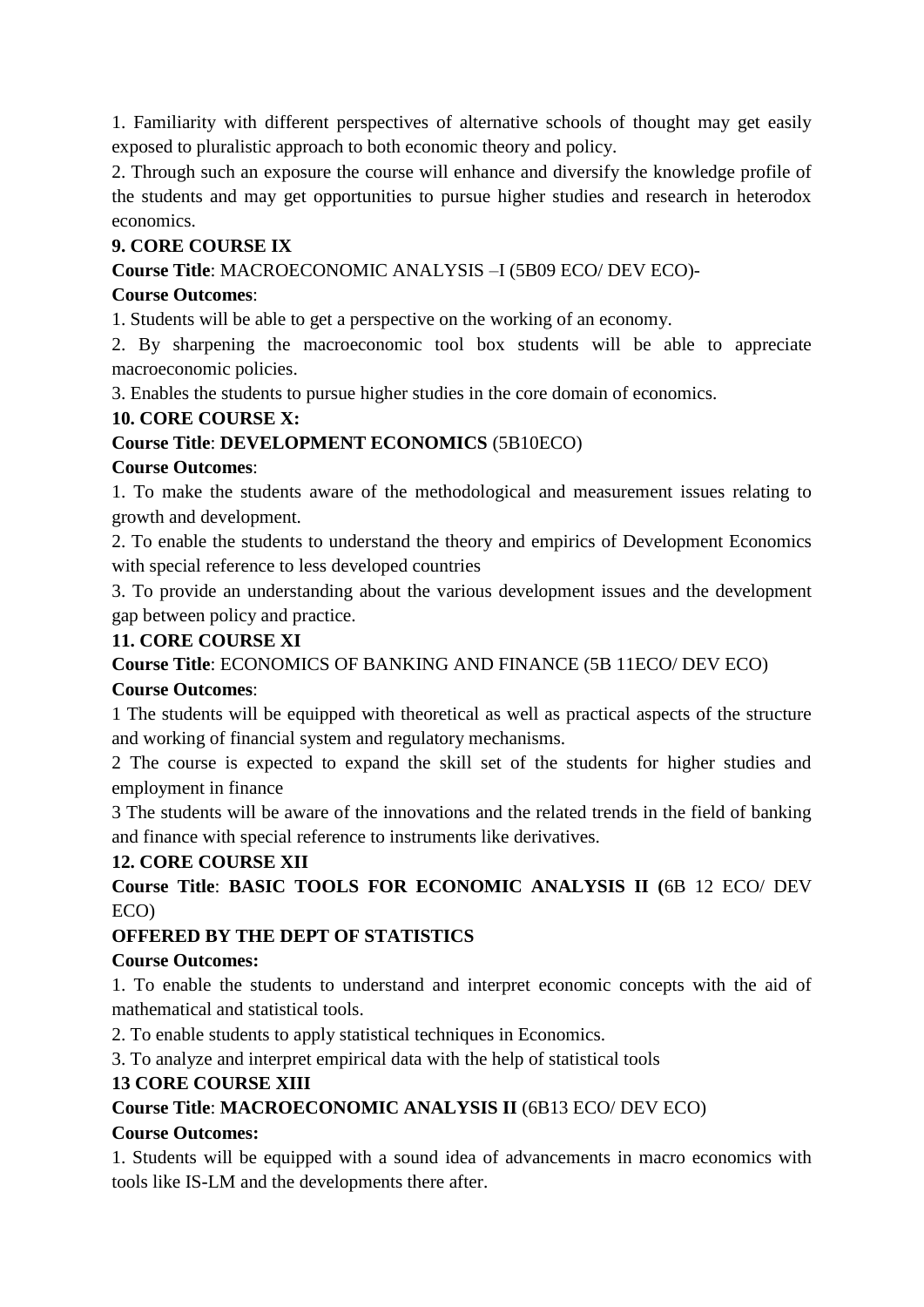1. Familiarity with different perspectives of alternative schools of thought may get easily exposed to pluralistic approach to both economic theory and policy.

2. Through such an exposure the course will enhance and diversify the knowledge profile of the students and may get opportunities to pursue higher studies and research in heterodox economics.

### **9. CORE COURSE IX**

**Course Title**: MACROECONOMIC ANALYSIS –I (5B09 ECO/ DEV ECO)-

#### **Course Outcomes**:

1. Students will be able to get a perspective on the working of an economy.

2. By sharpening the macroeconomic tool box students will be able to appreciate macroeconomic policies.

3. Enables the students to pursue higher studies in the core domain of economics.

### **10. CORE COURSE X:**

### **Course Title**: **DEVELOPMENT ECONOMICS** (5B10ECO)

#### **Course Outcomes**:

1. To make the students aware of the methodological and measurement issues relating to growth and development.

2. To enable the students to understand the theory and empirics of Development Economics with special reference to less developed countries

3. To provide an understanding about the various development issues and the development gap between policy and practice.

### **11. CORE COURSE XI**

**Course Title**: ECONOMICS OF BANKING AND FINANCE (5B 11ECO/ DEV ECO)

#### **Course Outcomes**:

1 The students will be equipped with theoretical as well as practical aspects of the structure and working of financial system and regulatory mechanisms.

2 The course is expected to expand the skill set of the students for higher studies and employment in finance

3 The students will be aware of the innovations and the related trends in the field of banking and finance with special reference to instruments like derivatives.

## **12. CORE COURSE XII**

**Course Title**: **BASIC TOOLS FOR ECONOMIC ANALYSIS II (**6B 12 ECO/ DEV ECO)

## **OFFERED BY THE DEPT OF STATISTICS**

#### **Course Outcomes:**

1. To enable the students to understand and interpret economic concepts with the aid of mathematical and statistical tools.

2. To enable students to apply statistical techniques in Economics.

3. To analyze and interpret empirical data with the help of statistical tools

## **13 CORE COURSE XIII**

## **Course Title**: **MACROECONOMIC ANALYSIS II** (6B13 ECO/ DEV ECO)

## **Course Outcomes:**

1. Students will be equipped with a sound idea of advancements in macro economics with tools like IS-LM and the developments there after.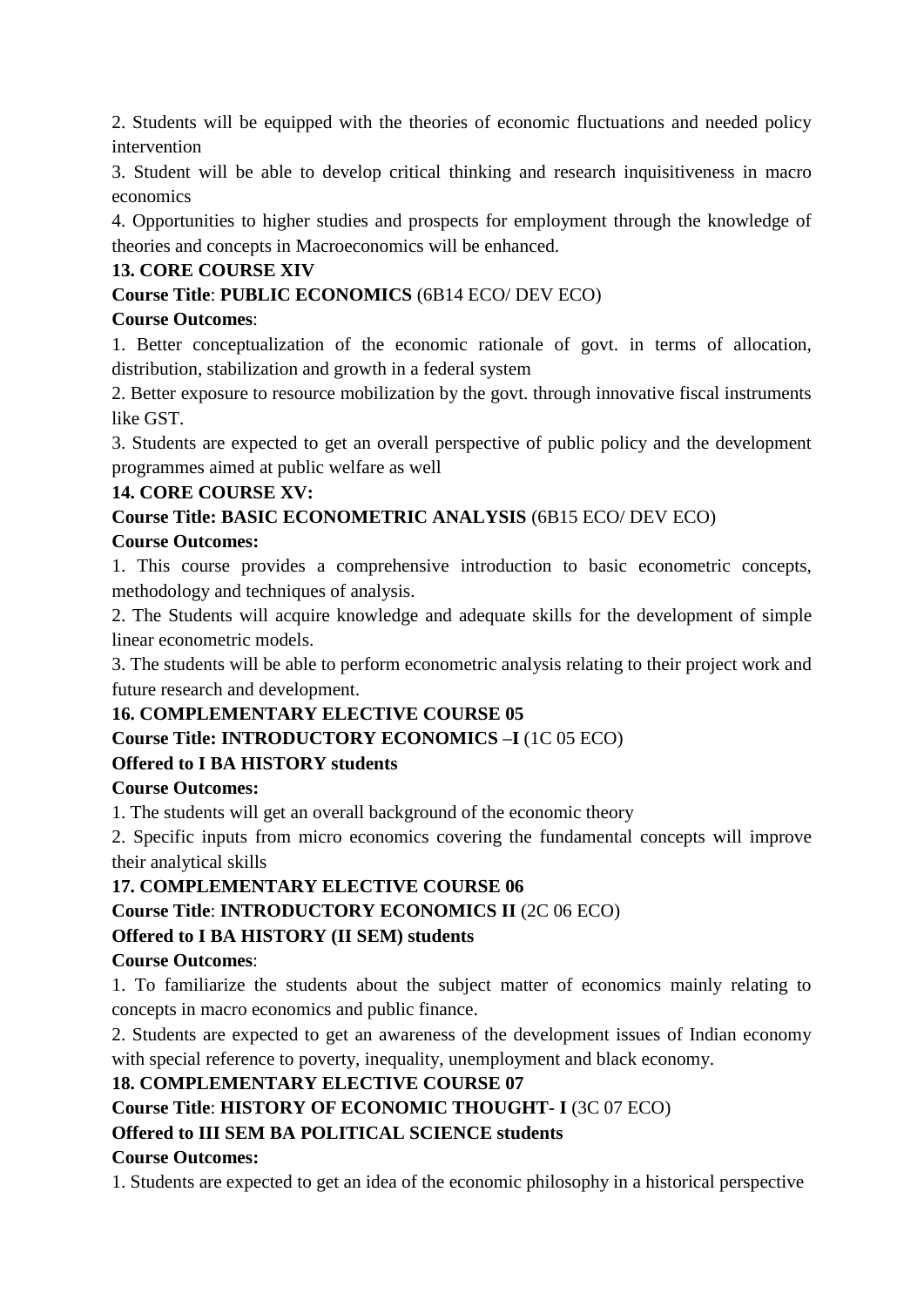2. Students will be equipped with the theories of economic fluctuations and needed policy intervention

3. Student will be able to develop critical thinking and research inquisitiveness in macro economics

4. Opportunities to higher studies and prospects for employment through the knowledge of theories and concepts in Macroeconomics will be enhanced.

# **13. CORE COURSE XIV**

**Course Title**: **PUBLIC ECONOMICS** (6B14 ECO/ DEV ECO)

### **Course Outcomes**:

1. Better conceptualization of the economic rationale of govt. in terms of allocation, distribution, stabilization and growth in a federal system

2. Better exposure to resource mobilization by the govt. through innovative fiscal instruments like GST.

3. Students are expected to get an overall perspective of public policy and the development programmes aimed at public welfare as well

### **14. CORE COURSE XV:**

**Course Title: BASIC ECONOMETRIC ANALYSIS** (6B15 ECO/ DEV ECO)

### **Course Outcomes:**

1. This course provides a comprehensive introduction to basic econometric concepts, methodology and techniques of analysis.

2. The Students will acquire knowledge and adequate skills for the development of simple linear econometric models.

3. The students will be able to perform econometric analysis relating to their project work and future research and development.

## **16. COMPLEMENTARY ELECTIVE COURSE 05**

## **Course Title: INTRODUCTORY ECONOMICS –I** (1C 05 ECO)

## **Offered to I BA HISTORY students**

## **Course Outcomes:**

1. The students will get an overall background of the economic theory

2. Specific inputs from micro economics covering the fundamental concepts will improve their analytical skills

## **17. COMPLEMENTARY ELECTIVE COURSE 06**

**Course Title**: **INTRODUCTORY ECONOMICS II** (2C 06 ECO)

## **Offered to I BA HISTORY (II SEM) students**

#### **Course Outcomes**:

1. To familiarize the students about the subject matter of economics mainly relating to concepts in macro economics and public finance.

2. Students are expected to get an awareness of the development issues of Indian economy with special reference to poverty, inequality, unemployment and black economy.

## **18. COMPLEMENTARY ELECTIVE COURSE 07**

**Course Title**: **HISTORY OF ECONOMIC THOUGHT- I** (3C 07 ECO)

## **Offered to III SEM BA POLITICAL SCIENCE students**

## **Course Outcomes:**

1. Students are expected to get an idea of the economic philosophy in a historical perspective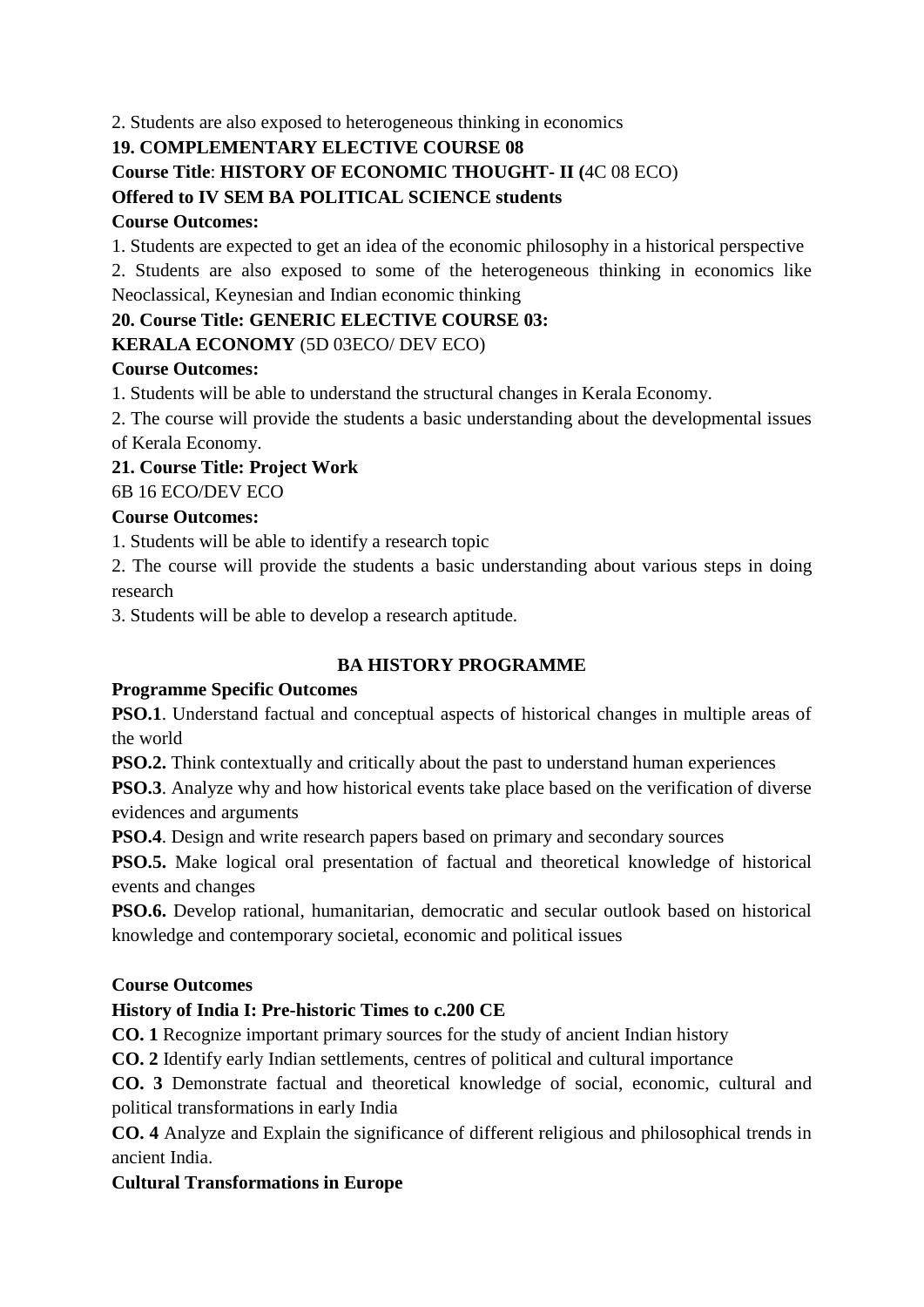2. Students are also exposed to heterogeneous thinking in economics

## **19. COMPLEMENTARY ELECTIVE COURSE 08**

# **Course Title**: **HISTORY OF ECONOMIC THOUGHT- II (**4C 08 ECO)

# **Offered to IV SEM BA POLITICAL SCIENCE students**

## **Course Outcomes:**

1. Students are expected to get an idea of the economic philosophy in a historical perspective

2. Students are also exposed to some of the heterogeneous thinking in economics like Neoclassical, Keynesian and Indian economic thinking

# **20. Course Title: GENERIC ELECTIVE COURSE 03:**

# **KERALA ECONOMY** (5D 03ECO/ DEV ECO)

# **Course Outcomes:**

1. Students will be able to understand the structural changes in Kerala Economy.

2. The course will provide the students a basic understanding about the developmental issues of Kerala Economy.

# **21. Course Title: Project Work**

6B 16 ECO/DEV ECO

# **Course Outcomes:**

1. Students will be able to identify a research topic

2. The course will provide the students a basic understanding about various steps in doing research

3. Students will be able to develop a research aptitude.

# **BA HISTORY PROGRAMME**

# **Programme Specific Outcomes**

**PSO.1**. Understand factual and conceptual aspects of historical changes in multiple areas of the world

**PSO.2.** Think contextually and critically about the past to understand human experiences

**PSO.3**. Analyze why and how historical events take place based on the verification of diverse evidences and arguments

**PSO.4**. Design and write research papers based on primary and secondary sources

**PSO.5.** Make logical oral presentation of factual and theoretical knowledge of historical events and changes

**PSO.6.** Develop rational, humanitarian, democratic and secular outlook based on historical knowledge and contemporary societal, economic and political issues

# **Course Outcomes**

# **History of India I: Pre-historic Times to c.200 CE**

**CO. 1** Recognize important primary sources for the study of ancient Indian history

**CO. 2** Identify early Indian settlements, centres of political and cultural importance

**CO. 3** Demonstrate factual and theoretical knowledge of social, economic, cultural and political transformations in early India

**CO. 4** Analyze and Explain the significance of different religious and philosophical trends in ancient India.

## **Cultural Transformations in Europe**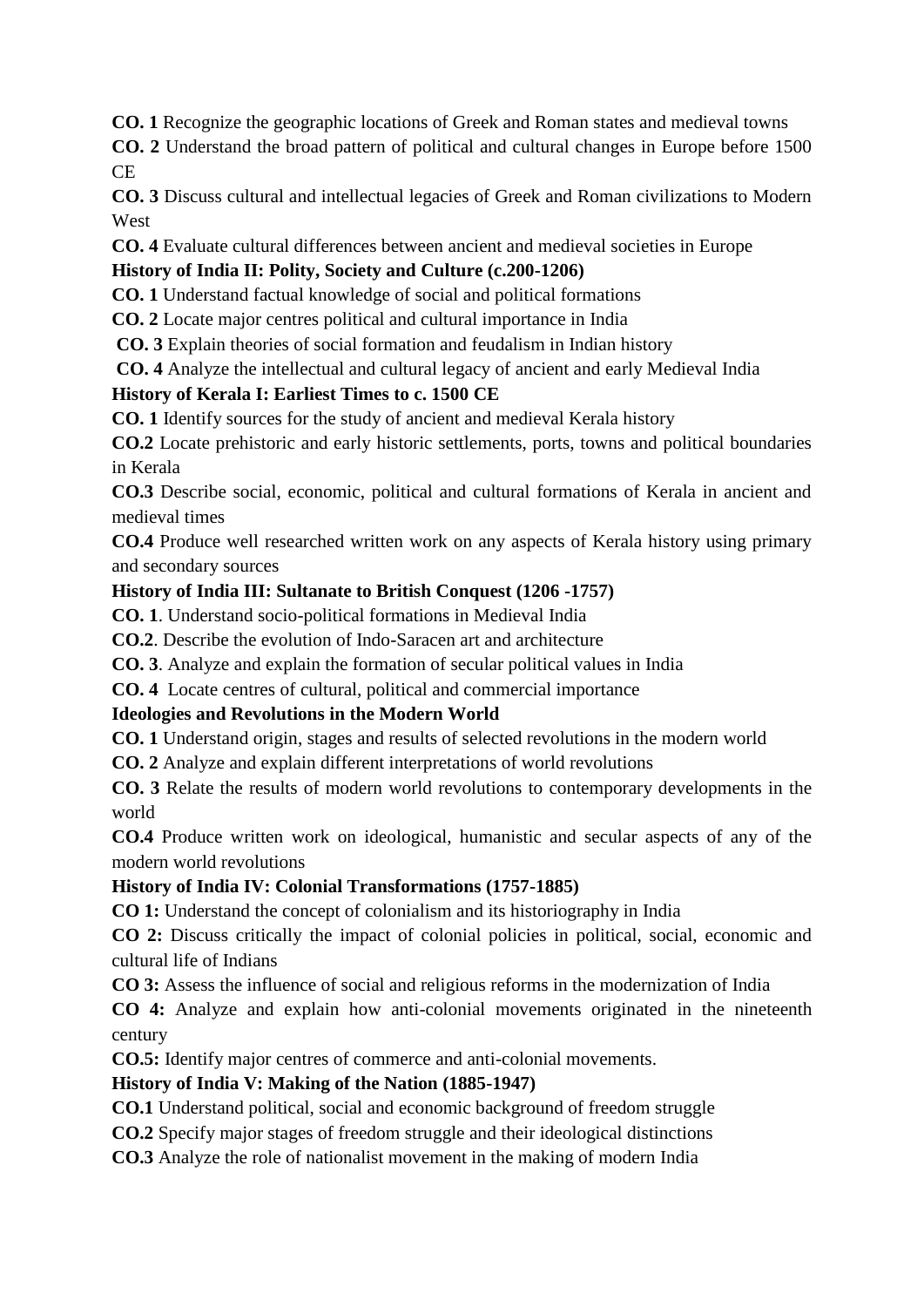**CO. 1** Recognize the geographic locations of Greek and Roman states and medieval towns

**CO. 2** Understand the broad pattern of political and cultural changes in Europe before 1500 CE

**CO. 3** Discuss cultural and intellectual legacies of Greek and Roman civilizations to Modern West

**CO. 4** Evaluate cultural differences between ancient and medieval societies in Europe

# **History of India II: Polity, Society and Culture (c.200-1206)**

**CO. 1** Understand factual knowledge of social and political formations

**CO. 2** Locate major centres political and cultural importance in India

**CO. 3** Explain theories of social formation and feudalism in Indian history

**CO. 4** Analyze the intellectual and cultural legacy of ancient and early Medieval India

# **History of Kerala I: Earliest Times to c. 1500 CE**

**CO. 1** Identify sources for the study of ancient and medieval Kerala history

**CO.2** Locate prehistoric and early historic settlements, ports, towns and political boundaries in Kerala

**CO.3** Describe social, economic, political and cultural formations of Kerala in ancient and medieval times

**CO.4** Produce well researched written work on any aspects of Kerala history using primary and secondary sources

# **History of India III: Sultanate to British Conquest (1206 -1757)**

**CO. 1**. Understand socio-political formations in Medieval India

**CO.2**. Describe the evolution of Indo-Saracen art and architecture

**CO. 3**. Analyze and explain the formation of secular political values in India

**CO. 4** Locate centres of cultural, political and commercial importance

# **Ideologies and Revolutions in the Modern World**

**CO. 1** Understand origin, stages and results of selected revolutions in the modern world

**CO. 2** Analyze and explain different interpretations of world revolutions

**CO. 3** Relate the results of modern world revolutions to contemporary developments in the world

**CO.4** Produce written work on ideological, humanistic and secular aspects of any of the modern world revolutions

# **History of India IV: Colonial Transformations (1757-1885)**

**CO 1:** Understand the concept of colonialism and its historiography in India

**CO 2:** Discuss critically the impact of colonial policies in political, social, economic and cultural life of Indians

**CO 3:** Assess the influence of social and religious reforms in the modernization of India

**CO 4:** Analyze and explain how anti-colonial movements originated in the nineteenth century

**CO.5:** Identify major centres of commerce and anti-colonial movements.

# **History of India V: Making of the Nation (1885-1947)**

**CO.1** Understand political, social and economic background of freedom struggle

**CO.2** Specify major stages of freedom struggle and their ideological distinctions

**CO.3** Analyze the role of nationalist movement in the making of modern India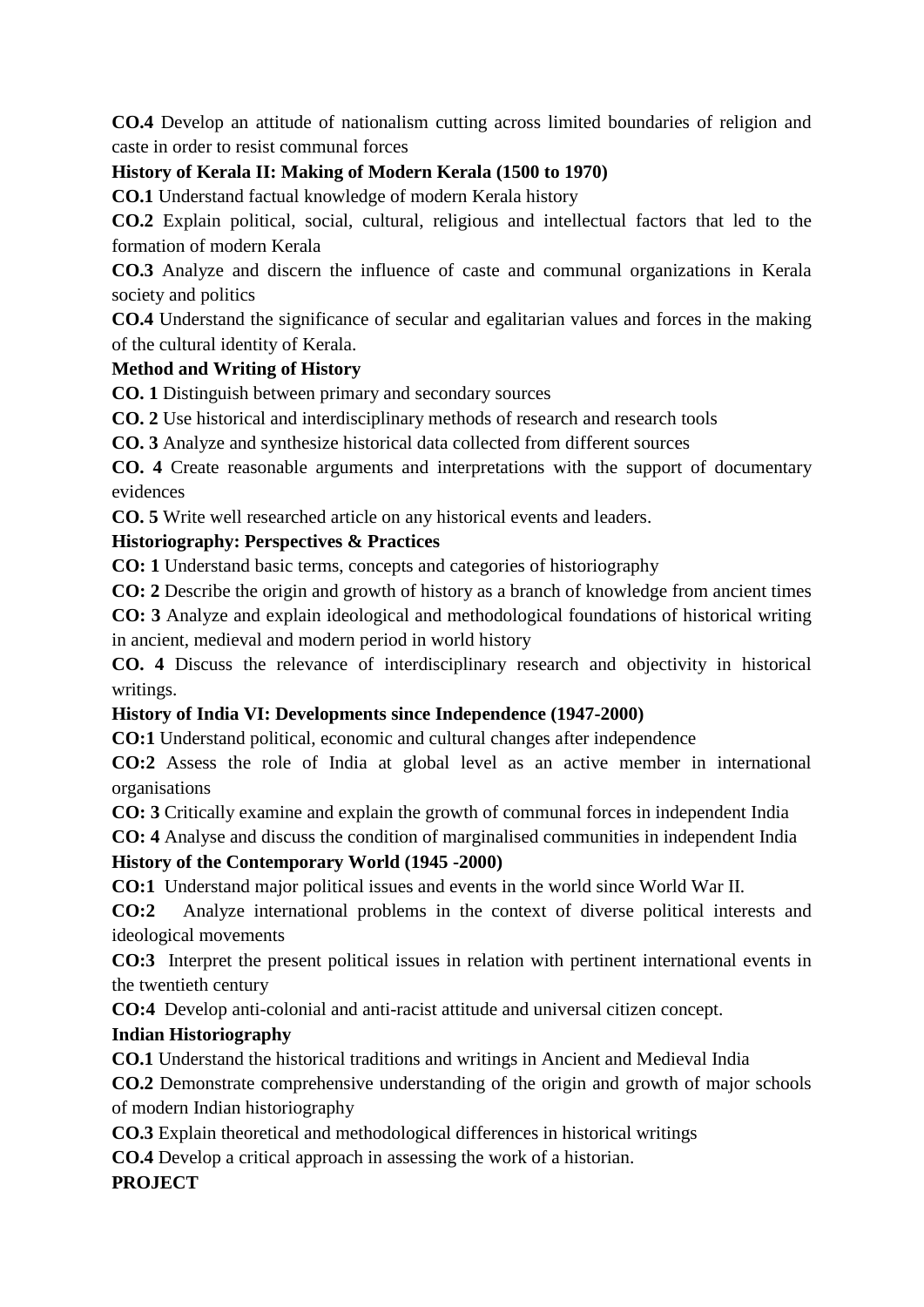**CO.4** Develop an attitude of nationalism cutting across limited boundaries of religion and caste in order to resist communal forces

# **History of Kerala II: Making of Modern Kerala (1500 to 1970)**

**CO.1** Understand factual knowledge of modern Kerala history

**CO.2** Explain political, social, cultural, religious and intellectual factors that led to the formation of modern Kerala

**CO.3** Analyze and discern the influence of caste and communal organizations in Kerala society and politics

**CO.4** Understand the significance of secular and egalitarian values and forces in the making of the cultural identity of Kerala.

## **Method and Writing of History**

**CO. 1** Distinguish between primary and secondary sources

**CO. 2** Use historical and interdisciplinary methods of research and research tools

**CO. 3** Analyze and synthesize historical data collected from different sources

**CO. 4** Create reasonable arguments and interpretations with the support of documentary evidences

**CO. 5** Write well researched article on any historical events and leaders.

### **Historiography: Perspectives & Practices**

**CO: 1** Understand basic terms, concepts and categories of historiography

**CO: 2** Describe the origin and growth of history as a branch of knowledge from ancient times

**CO: 3** Analyze and explain ideological and methodological foundations of historical writing in ancient, medieval and modern period in world history

**CO. 4** Discuss the relevance of interdisciplinary research and objectivity in historical writings.

#### **History of India VI: Developments since Independence (1947-2000)**

**CO:1** Understand political, economic and cultural changes after independence

**CO:2** Assess the role of India at global level as an active member in international organisations

**CO: 3** Critically examine and explain the growth of communal forces in independent India

**CO: 4** Analyse and discuss the condition of marginalised communities in independent India

#### **History of the Contemporary World (1945 -2000)**

**CO:1** Understand major political issues and events in the world since World War II.

**CO:2** Analyze international problems in the context of diverse political interests and ideological movements

**CO:3** Interpret the present political issues in relation with pertinent international events in the twentieth century

**CO:4** Develop anti-colonial and anti-racist attitude and universal citizen concept.

## **Indian Historiography**

**CO.1** Understand the historical traditions and writings in Ancient and Medieval India

**CO.2** Demonstrate comprehensive understanding of the origin and growth of major schools of modern Indian historiography

**CO.3** Explain theoretical and methodological differences in historical writings

**CO.4** Develop a critical approach in assessing the work of a historian.

## **PROJECT**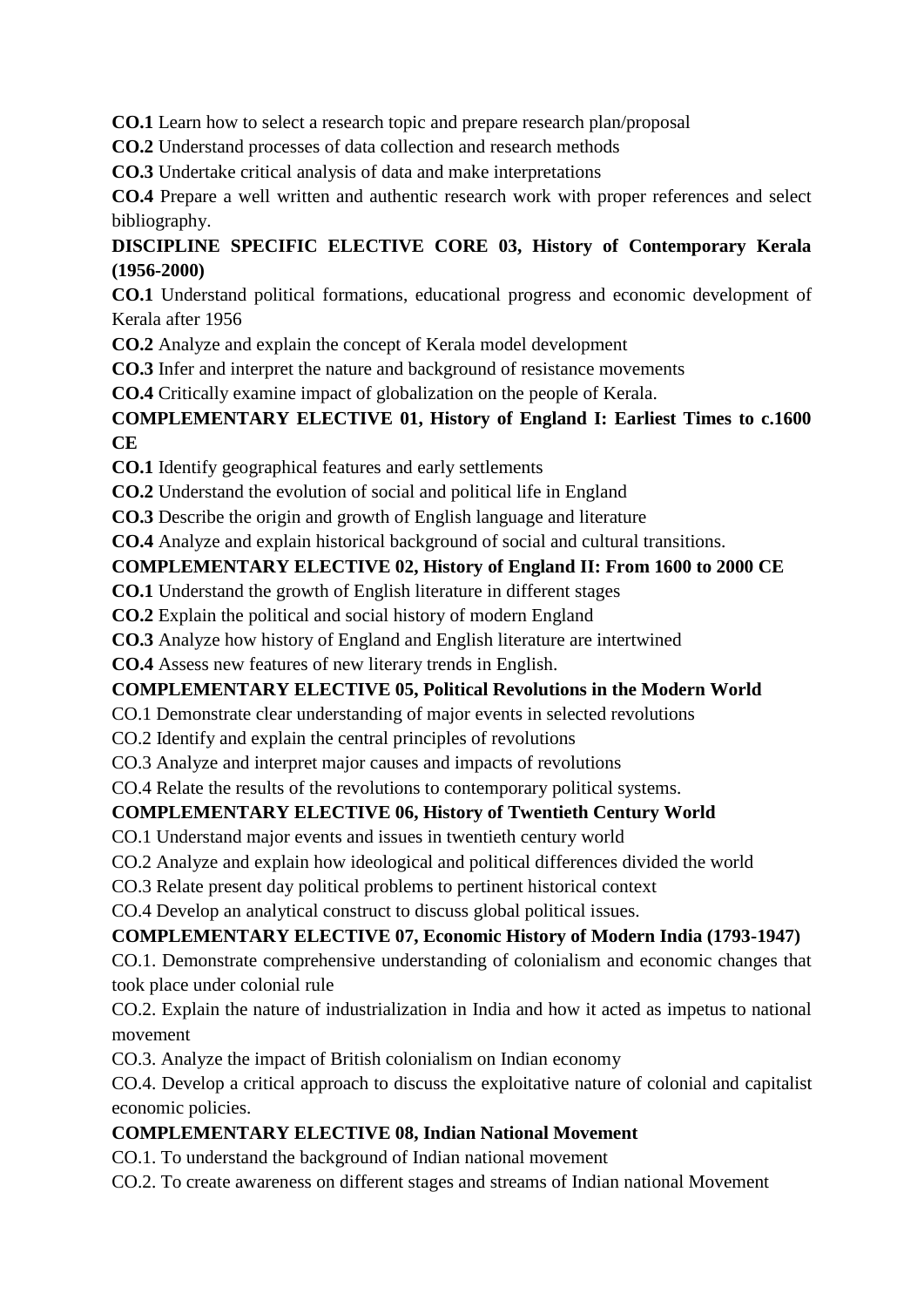**CO.1** Learn how to select a research topic and prepare research plan/proposal

**CO.2** Understand processes of data collection and research methods

**CO.3** Undertake critical analysis of data and make interpretations

**CO.4** Prepare a well written and authentic research work with proper references and select bibliography.

# **DISCIPLINE SPECIFIC ELECTIVE CORE 03, History of Contemporary Kerala (1956-2000)**

**CO.1** Understand political formations, educational progress and economic development of Kerala after 1956

**CO.2** Analyze and explain the concept of Kerala model development

**CO.3** Infer and interpret the nature and background of resistance movements

**CO.4** Critically examine impact of globalization on the people of Kerala.

# **COMPLEMENTARY ELECTIVE 01, History of England I: Earliest Times to c.1600 CE**

**CO.1** Identify geographical features and early settlements

**CO.2** Understand the evolution of social and political life in England

**CO.3** Describe the origin and growth of English language and literature

**CO.4** Analyze and explain historical background of social and cultural transitions.

# **COMPLEMENTARY ELECTIVE 02, History of England II: From 1600 to 2000 CE**

# **CO.1** Understand the growth of English literature in different stages

**CO.2** Explain the political and social history of modern England

**CO.3** Analyze how history of England and English literature are intertwined

**CO.4** Assess new features of new literary trends in English.

# **COMPLEMENTARY ELECTIVE 05, Political Revolutions in the Modern World**

CO.1 Demonstrate clear understanding of major events in selected revolutions

CO.2 Identify and explain the central principles of revolutions

CO.3 Analyze and interpret major causes and impacts of revolutions

CO.4 Relate the results of the revolutions to contemporary political systems.

# **COMPLEMENTARY ELECTIVE 06, History of Twentieth Century World**

CO.1 Understand major events and issues in twentieth century world

CO.2 Analyze and explain how ideological and political differences divided the world

CO.3 Relate present day political problems to pertinent historical context

CO.4 Develop an analytical construct to discuss global political issues.

# **COMPLEMENTARY ELECTIVE 07, Economic History of Modern India (1793-1947)**

CO.1. Demonstrate comprehensive understanding of colonialism and economic changes that took place under colonial rule

CO.2. Explain the nature of industrialization in India and how it acted as impetus to national movement

CO.3. Analyze the impact of British colonialism on Indian economy

CO.4. Develop a critical approach to discuss the exploitative nature of colonial and capitalist economic policies.

# **COMPLEMENTARY ELECTIVE 08, Indian National Movement**

CO.1. To understand the background of Indian national movement

CO.2. To create awareness on different stages and streams of Indian national Movement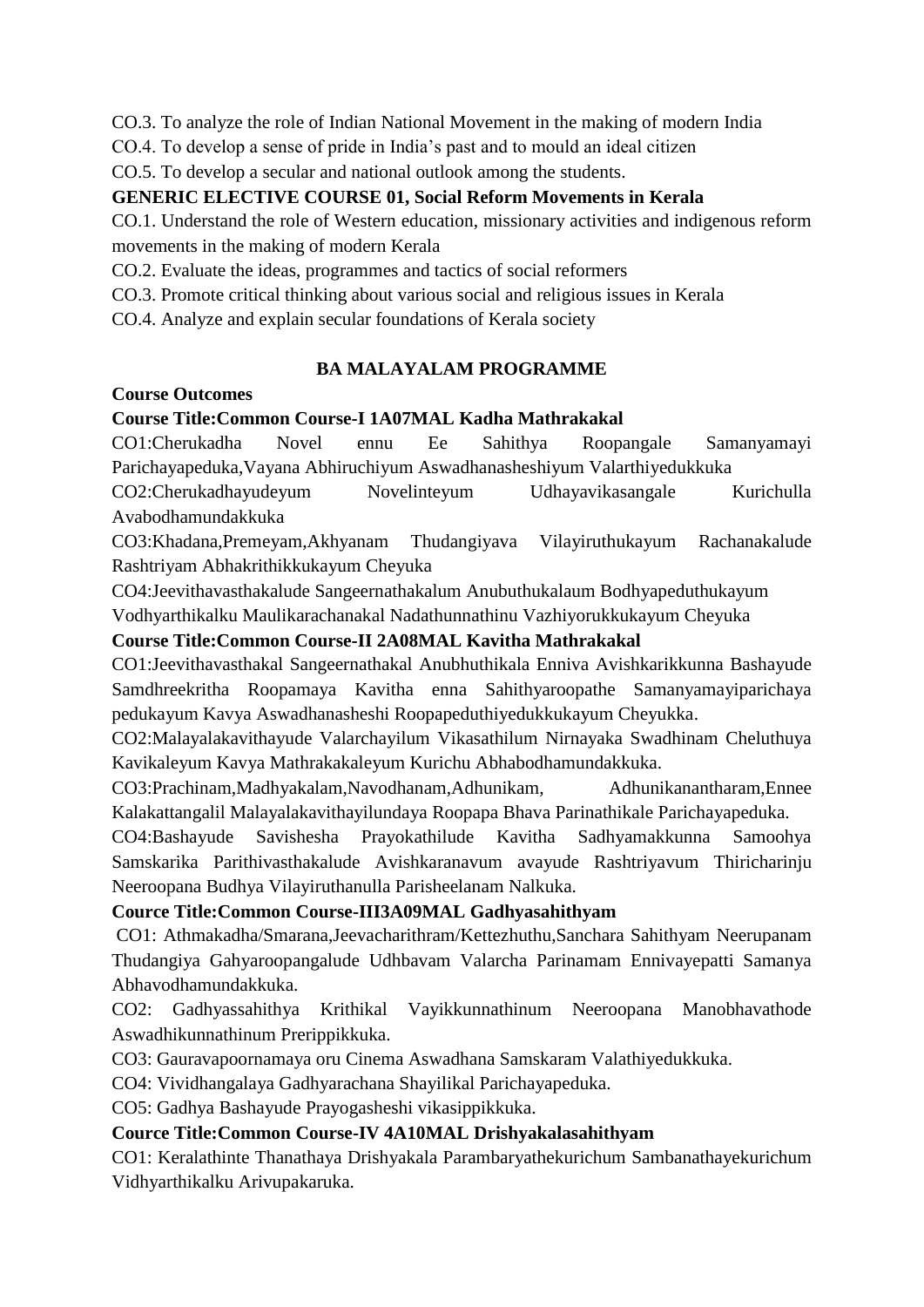CO.3. To analyze the role of Indian National Movement in the making of modern India

CO.4. To develop a sense of pride in India's past and to mould an ideal citizen

CO.5. To develop a secular and national outlook among the students.

#### **GENERIC ELECTIVE COURSE 01, Social Reform Movements in Kerala**

CO.1. Understand the role of Western education, missionary activities and indigenous reform movements in the making of modern Kerala

CO.2. Evaluate the ideas, programmes and tactics of social reformers

CO.3. Promote critical thinking about various social and religious issues in Kerala

CO.4. Analyze and explain secular foundations of Kerala society

## **BA MALAYALAM PROGRAMME**

#### **Course Outcomes**

### **Course Title:Common Course-I 1A07MAL Kadha Mathrakakal**

CO1:Cherukadha Novel ennu Ee Sahithya Roopangale Samanyamayi Parichayapeduka,Vayana Abhiruchiyum Aswadhanasheshiyum Valarthiyedukkuka

CO2:Cherukadhayudeyum Novelinteyum Udhayavikasangale Kurichulla Avabodhamundakkuka

CO3:Khadana,Premeyam,Akhyanam Thudangiyava Vilayiruthukayum Rachanakalude Rashtriyam Abhakrithikkukayum Cheyuka

CO4:Jeevithavasthakalude Sangeernathakalum Anubuthukalaum Bodhyapeduthukayum Vodhyarthikalku Maulikarachanakal Nadathunnathinu Vazhiyorukkukayum Cheyuka

### **Course Title:Common Course-II 2A08MAL Kavitha Mathrakakal**

CO1:Jeevithavasthakal Sangeernathakal Anubhuthikala Enniva Avishkarikkunna Bashayude Samdhreekritha Roopamaya Kavitha enna Sahithyaroopathe Samanyamayiparichaya pedukayum Kavya Aswadhanasheshi Roopapeduthiyedukkukayum Cheyukka.

CO2:Malayalakavithayude Valarchayilum Vikasathilum Nirnayaka Swadhinam Cheluthuya Kavikaleyum Kavya Mathrakakaleyum Kurichu Abhabodhamundakkuka.

CO3:Prachinam,Madhyakalam,Navodhanam,Adhunikam, Adhunikanantharam,Ennee Kalakattangalil Malayalakavithayilundaya Roopapa Bhava Parinathikale Parichayapeduka.

CO4:Bashayude Savishesha Prayokathilude Kavitha Sadhyamakkunna Samoohya Samskarika Parithivasthakalude Avishkaranavum avayude Rashtriyavum Thiricharinju Neeroopana Budhya Vilayiruthanulla Parisheelanam Nalkuka.

## **Cource Title:Common Course-III3A09MAL Gadhyasahithyam**

CO1: Athmakadha/Smarana,Jeevacharithram/Kettezhuthu,Sanchara Sahithyam Neerupanam Thudangiya Gahyaroopangalude Udhbavam Valarcha Parinamam Ennivayepatti Samanya Abhavodhamundakkuka.

CO2: Gadhyassahithya Krithikal Vayikkunnathinum Neeroopana Manobhavathode Aswadhikunnathinum Prerippikkuka.

CO3: Gauravapoornamaya oru Cinema Aswadhana Samskaram Valathiyedukkuka.

CO4: Vividhangalaya Gadhyarachana Shayilikal Parichayapeduka.

CO5: Gadhya Bashayude Prayogasheshi vikasippikkuka.

## **Cource Title:Common Course-IV 4A10MAL Drishyakalasahithyam**

CO1: Keralathinte Thanathaya Drishyakala Parambaryathekurichum Sambanathayekurichum Vidhyarthikalku Arivupakaruka.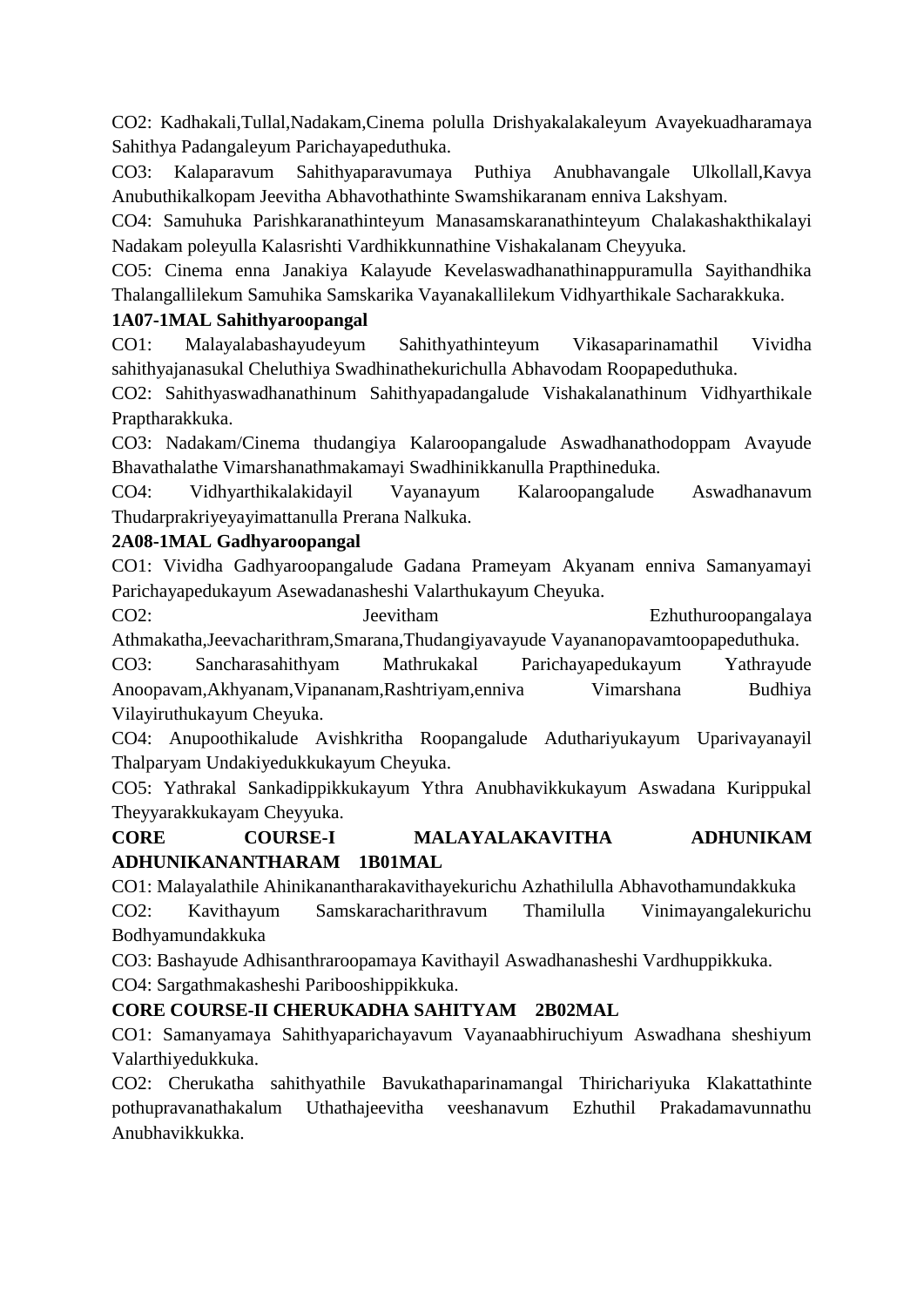CO2: Kadhakali,Tullal,Nadakam,Cinema polulla Drishyakalakaleyum Avayekuadharamaya Sahithya Padangaleyum Parichayapeduthuka.

CO3: Kalaparavum Sahithyaparavumaya Puthiya Anubhavangale Ulkollall,Kavya Anubuthikalkopam Jeevitha Abhavothathinte Swamshikaranam enniva Lakshyam.

CO4: Samuhuka Parishkaranathinteyum Manasamskaranathinteyum Chalakashakthikalayi Nadakam poleyulla Kalasrishti Vardhikkunnathine Vishakalanam Cheyyuka.

CO5: Cinema enna Janakiya Kalayude Kevelaswadhanathinappuramulla Sayithandhika Thalangallilekum Samuhika Samskarika Vayanakallilekum Vidhyarthikale Sacharakkuka.

## **1A07-1MAL Sahithyaroopangal**

CO1: Malayalabashayudeyum Sahithyathinteyum Vikasaparinamathil Vividha sahithyajanasukal Cheluthiya Swadhinathekurichulla Abhavodam Roopapeduthuka.

CO2: Sahithyaswadhanathinum Sahithyapadangalude Vishakalanathinum Vidhyarthikale Praptharakkuka.

CO3: Nadakam/Cinema thudangiya Kalaroopangalude Aswadhanathodoppam Avayude Bhavathalathe Vimarshanathmakamayi Swadhinikkanulla Prapthineduka.

CO4: Vidhyarthikalakidayil Vayanayum Kalaroopangalude Aswadhanavum Thudarprakriyeyayimattanulla Prerana Nalkuka.

### **2A08-1MAL Gadhyaroopangal**

CO1: Vividha Gadhyaroopangalude Gadana Prameyam Akyanam enniva Samanyamayi Parichayapedukayum Asewadanasheshi Valarthukayum Cheyuka.

CO2: Jeevitham Legislated Ezhuthuroopangalaya Athmakatha,Jeevacharithram,Smarana,Thudangiyavayude Vayananopavamtoopapeduthuka.

CO3: Sancharasahithyam Mathrukakal Parichayapedukayum Yathrayude Anoopavam,Akhyanam,Vipananam,Rashtriyam,enniva Vimarshana Budhiya Vilayiruthukayum Cheyuka.

CO4: Anupoothikalude Avishkritha Roopangalude Aduthariyukayum Uparivayanayil Thalparyam Undakiyedukkukayum Cheyuka.

CO5: Yathrakal Sankadippikkukayum Ythra Anubhavikkukayum Aswadana Kurippukal Theyyarakkukayam Cheyyuka.

**CORE COURSE-I MALAYALAKAVITHA ADHUNIKAM ADHUNIKANANTHARAM 1B01MAL**

CO1: Malayalathile Ahinikanantharakavithayekurichu Azhathilulla Abhavothamundakkuka CO2: Kavithayum Samskaracharithravum Thamilulla Vinimayangalekurichu Bodhyamundakkuka

CO3: Bashayude Adhisanthraroopamaya Kavithayil Aswadhanasheshi Vardhuppikkuka.

CO4: Sargathmakasheshi Paribooshippikkuka.

# **CORE COURSE-II CHERUKADHA SAHITYAM 2B02MAL**

CO1: Samanyamaya Sahithyaparichayavum Vayanaabhiruchiyum Aswadhana sheshiyum Valarthiyedukkuka.

CO2: Cherukatha sahithyathile Bavukathaparinamangal Thirichariyuka Klakattathinte pothupravanathakalum Uthathajeevitha veeshanavum Ezhuthil Prakadamavunnathu Anubhavikkukka.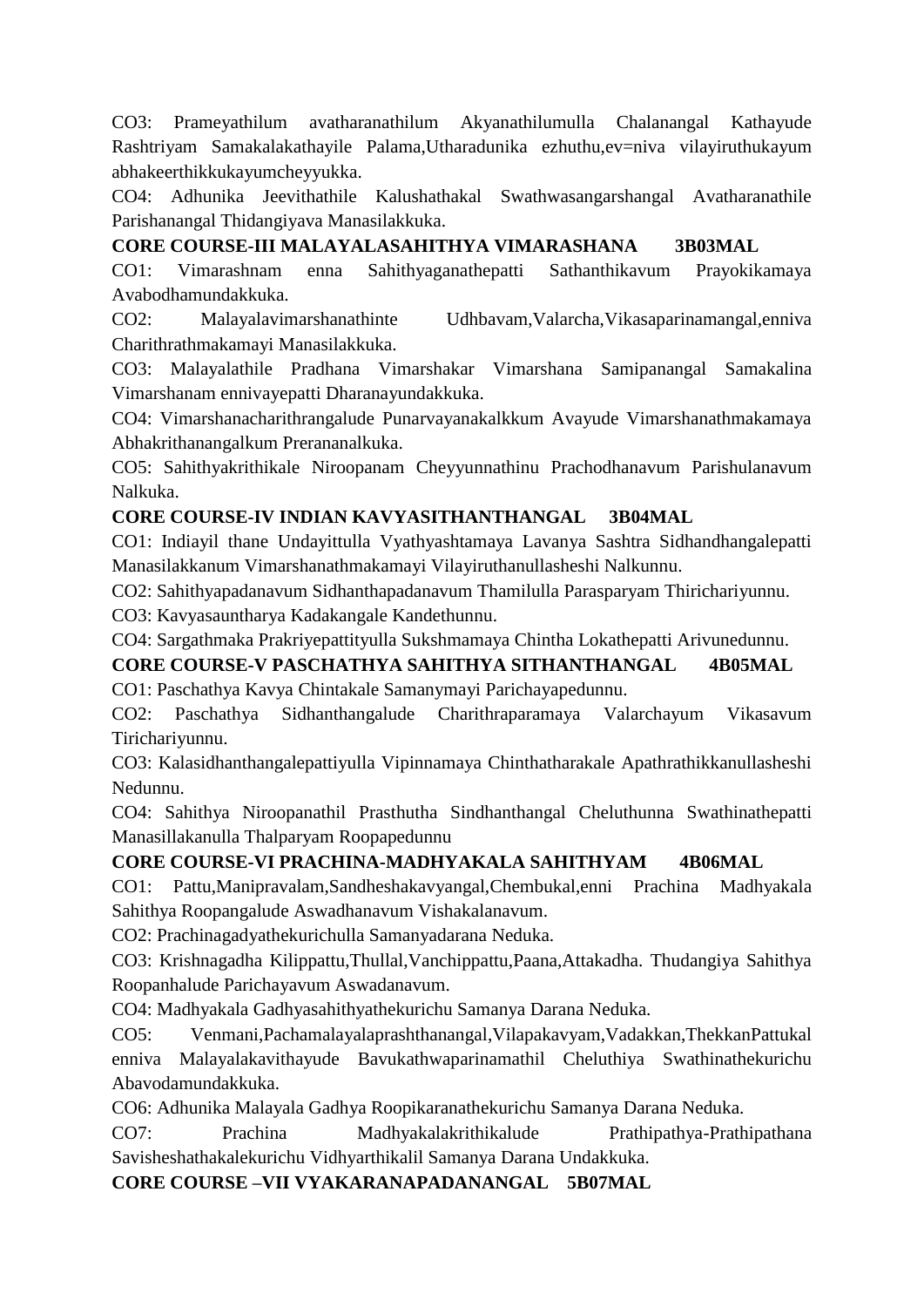CO3: Prameyathilum avatharanathilum Akyanathilumulla Chalanangal Kathayude Rashtriyam Samakalakathayile Palama,Utharadunika ezhuthu,ev=niva vilayiruthukayum abhakeerthikkukayumcheyyukka.

CO4: Adhunika Jeevithathile Kalushathakal Swathwasangarshangal Avatharanathile Parishanangal Thidangiyava Manasilakkuka.

## **CORE COURSE-III MALAYALASAHITHYA VIMARASHANA 3B03MAL**

CO1: Vimarashnam enna Sahithyaganathepatti Sathanthikavum Prayokikamaya Avabodhamundakkuka.

CO2: Malayalavimarshanathinte Udhbavam,Valarcha,Vikasaparinamangal,enniva Charithrathmakamayi Manasilakkuka.

CO3: Malayalathile Pradhana Vimarshakar Vimarshana Samipanangal Samakalina Vimarshanam ennivayepatti Dharanayundakkuka.

CO4: Vimarshanacharithrangalude Punarvayanakalkkum Avayude Vimarshanathmakamaya Abhakrithanangalkum Prerananalkuka.

CO5: Sahithyakrithikale Niroopanam Cheyyunnathinu Prachodhanavum Parishulanavum Nalkuka.

# **CORE COURSE-IV INDIAN KAVYASITHANTHANGAL 3B04MAL**

CO1: Indiayil thane Undayittulla Vyathyashtamaya Lavanya Sashtra Sidhandhangalepatti Manasilakkanum Vimarshanathmakamayi Vilayiruthanullasheshi Nalkunnu.

CO2: Sahithyapadanavum Sidhanthapadanavum Thamilulla Parasparyam Thirichariyunnu.

CO3: Kavyasauntharya Kadakangale Kandethunnu.

CO4: Sargathmaka Prakriyepattityulla Sukshmamaya Chintha Lokathepatti Arivunedunnu.

# **CORE COURSE-V PASCHATHYA SAHITHYA SITHANTHANGAL 4B05MAL**

CO1: Paschathya Kavya Chintakale Samanymayi Parichayapedunnu.

CO2: Paschathya Sidhanthangalude Charithraparamaya Valarchayum Vikasavum Tirichariyunnu.

CO3: Kalasidhanthangalepattiyulla Vipinnamaya Chinthatharakale Apathrathikkanullasheshi Nedunnu.

CO4: Sahithya Niroopanathil Prasthutha Sindhanthangal Cheluthunna Swathinathepatti Manasillakanulla Thalparyam Roopapedunnu

## **CORE COURSE-VI PRACHINA-MADHYAKALA SAHITHYAM 4B06MAL**

CO1: Pattu,Manipravalam,Sandheshakavyangal,Chembukal,enni Prachina Madhyakala Sahithya Roopangalude Aswadhanavum Vishakalanavum.

CO2: Prachinagadyathekurichulla Samanyadarana Neduka.

CO3: Krishnagadha Kilippattu,Thullal,Vanchippattu,Paana,Attakadha. Thudangiya Sahithya Roopanhalude Parichayavum Aswadanavum.

CO4: Madhyakala Gadhyasahithyathekurichu Samanya Darana Neduka.

CO5: Venmani,Pachamalayalaprashthanangal,Vilapakavyam,Vadakkan,ThekkanPattukal enniva Malayalakavithayude Bavukathwaparinamathil Cheluthiya Swathinathekurichu Abavodamundakkuka.

CO6: Adhunika Malayala Gadhya Roopikaranathekurichu Samanya Darana Neduka.

CO7: Prachina Madhyakalakrithikalude Prathipathya-Prathipathana Savisheshathakalekurichu Vidhyarthikalil Samanya Darana Undakkuka.

**CORE COURSE –VII VYAKARANAPADANANGAL 5B07MAL**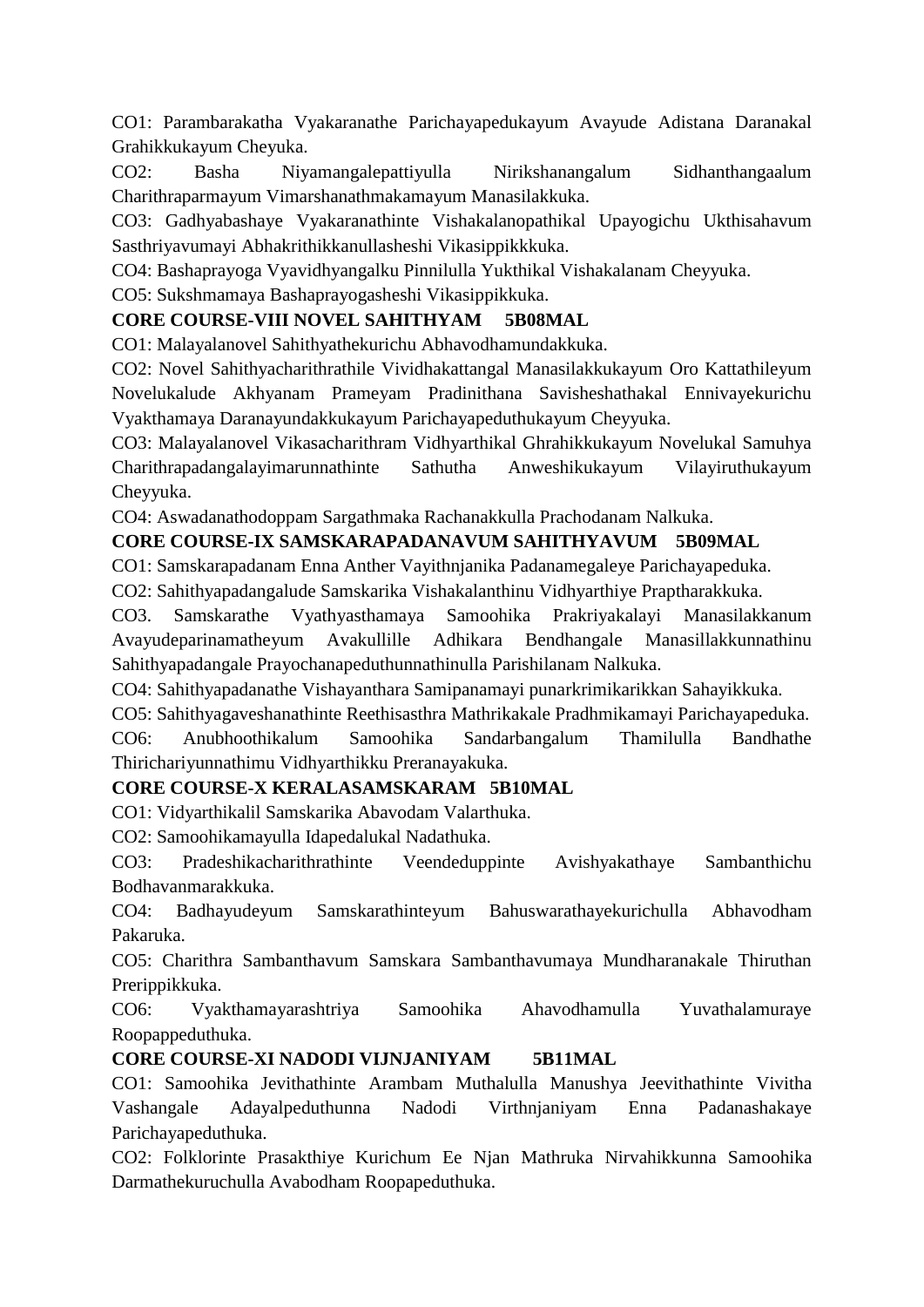CO1: Parambarakatha Vyakaranathe Parichayapedukayum Avayude Adistana Daranakal Grahikkukayum Cheyuka.

CO2: Basha Niyamangalepattiyulla Nirikshanangalum Sidhanthangaalum Charithraparmayum Vimarshanathmakamayum Manasilakkuka.

CO3: Gadhyabashaye Vyakaranathinte Vishakalanopathikal Upayogichu Ukthisahavum Sasthriyavumayi Abhakrithikkanullasheshi Vikasippikkkuka.

CO4: Bashaprayoga Vyavidhyangalku Pinnilulla Yukthikal Vishakalanam Cheyyuka.

CO5: Sukshmamaya Bashaprayogasheshi Vikasippikkuka.

# **CORE COURSE-VIII NOVEL SAHITHYAM 5B08MAL**

CO1: Malayalanovel Sahithyathekurichu Abhavodhamundakkuka.

CO2: Novel Sahithyacharithrathile Vividhakattangal Manasilakkukayum Oro Kattathileyum Novelukalude Akhyanam Prameyam Pradinithana Savisheshathakal Ennivayekurichu Vyakthamaya Daranayundakkukayum Parichayapeduthukayum Cheyyuka.

CO3: Malayalanovel Vikasacharithram Vidhyarthikal Ghrahikkukayum Novelukal Samuhya Charithrapadangalayimarunnathinte Sathutha Anweshikukayum Vilayiruthukayum Cheyyuka.

CO4: Aswadanathodoppam Sargathmaka Rachanakkulla Prachodanam Nalkuka.

# **CORE COURSE-IX SAMSKARAPADANAVUM SAHITHYAVUM 5B09MAL**

CO1: Samskarapadanam Enna Anther Vayithnjanika Padanamegaleye Parichayapeduka.

CO2: Sahithyapadangalude Samskarika Vishakalanthinu Vidhyarthiye Praptharakkuka.

CO3. Samskarathe Vyathyasthamaya Samoohika Prakriyakalayi Manasilakkanum Avayudeparinamatheyum Avakullille Adhikara Bendhangale Manasillakkunnathinu Sahithyapadangale Prayochanapeduthunnathinulla Parishilanam Nalkuka.

CO4: Sahithyapadanathe Vishayanthara Samipanamayi punarkrimikarikkan Sahayikkuka.

CO5: Sahithyagaveshanathinte Reethisasthra Mathrikakale Pradhmikamayi Parichayapeduka.

CO6: Anubhoothikalum Samoohika Sandarbangalum Thamilulla Bandhathe Thirichariyunnathimu Vidhyarthikku Preranayakuka.

## **CORE COURSE-X KERALASAMSKARAM 5B10MAL**

CO1: Vidyarthikalil Samskarika Abavodam Valarthuka.

CO2: Samoohikamayulla Idapedalukal Nadathuka.

CO3: Pradeshikacharithrathinte Veendeduppinte Avishyakathaye Sambanthichu Bodhavanmarakkuka.

CO4: Badhayudeyum Samskarathinteyum Bahuswarathayekurichulla Abhavodham Pakaruka.

CO5: Charithra Sambanthavum Samskara Sambanthavumaya Mundharanakale Thiruthan Prerippikkuka.

CO6: Vyakthamayarashtriya Samoohika Ahavodhamulla Yuvathalamuraye Roopappeduthuka.

# **CORE COURSE-XI NADODI VIJNJANIYAM 5B11MAL**

CO1: Samoohika Jevithathinte Arambam Muthalulla Manushya Jeevithathinte Vivitha Vashangale Adayalpeduthunna Nadodi Virthnjaniyam Enna Padanashakaye Parichayapeduthuka.

CO2: Folklorinte Prasakthiye Kurichum Ee Njan Mathruka Nirvahikkunna Samoohika Darmathekuruchulla Avabodham Roopapeduthuka.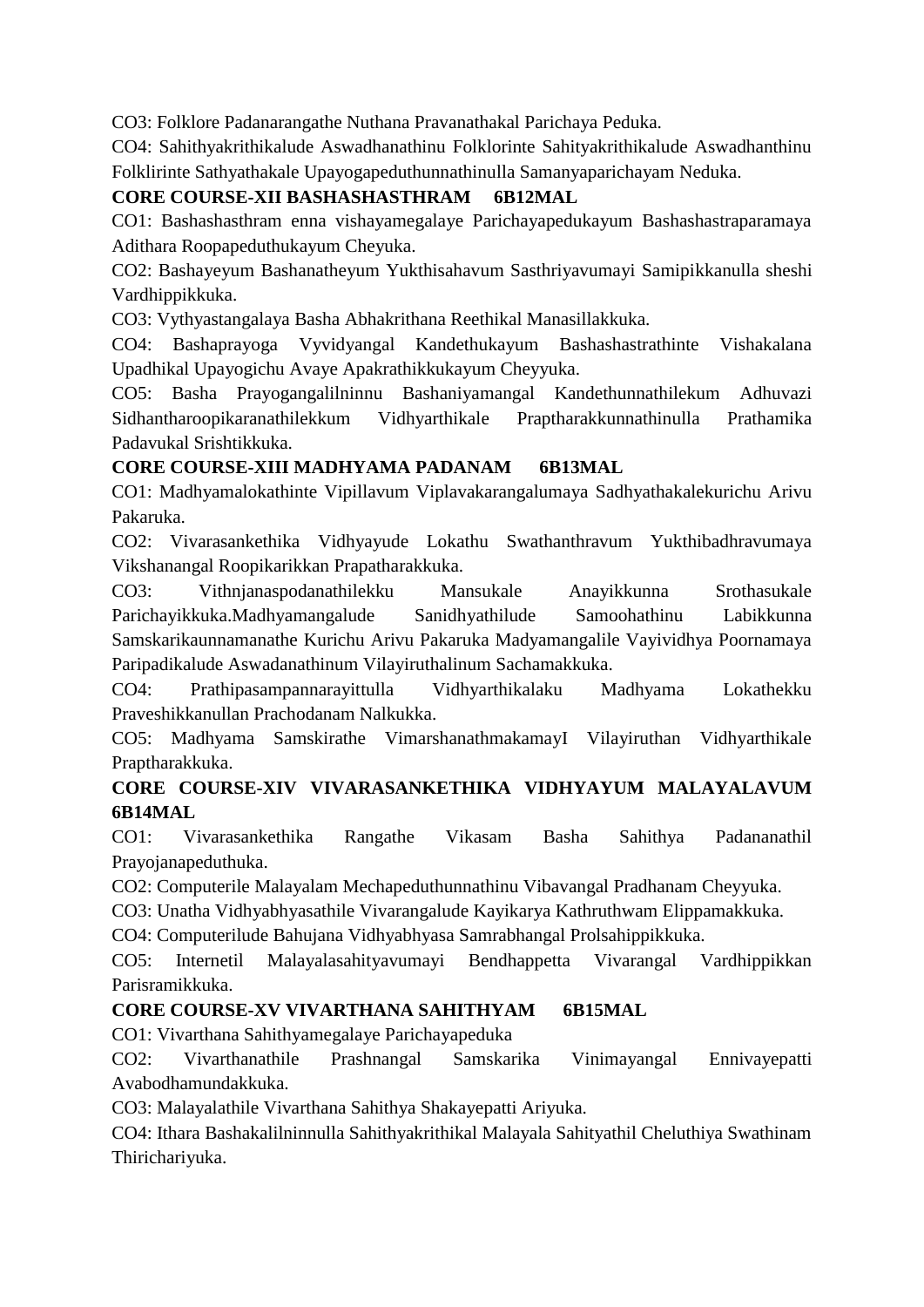CO3: Folklore Padanarangathe Nuthana Pravanathakal Parichaya Peduka.

CO4: Sahithyakrithikalude Aswadhanathinu Folklorinte Sahityakrithikalude Aswadhanthinu Folklirinte Sathyathakale Upayogapeduthunnathinulla Samanyaparichayam Neduka.

# **CORE COURSE-XII BASHASHASTHRAM 6B12MAL**

CO1: Bashashasthram enna vishayamegalaye Parichayapedukayum Bashashastraparamaya Adithara Roopapeduthukayum Cheyuka.

CO2: Bashayeyum Bashanatheyum Yukthisahavum Sasthriyavumayi Samipikkanulla sheshi Vardhippikkuka.

CO3: Vythyastangalaya Basha Abhakrithana Reethikal Manasillakkuka.

CO4: Bashaprayoga Vyvidyangal Kandethukayum Bashashastrathinte Vishakalana Upadhikal Upayogichu Avaye Apakrathikkukayum Cheyyuka.

CO5: Basha Prayogangalilninnu Bashaniyamangal Kandethunnathilekum Adhuvazi Sidhantharoopikaranathilekkum Vidhyarthikale Praptharakkunnathinulla Prathamika Padavukal Srishtikkuka.

# **CORE COURSE-XIII MADHYAMA PADANAM 6B13MAL**

CO1: Madhyamalokathinte Vipillavum Viplavakarangalumaya Sadhyathakalekurichu Arivu Pakaruka.

CO2: Vivarasankethika Vidhyayude Lokathu Swathanthravum Yukthibadhravumaya Vikshanangal Roopikarikkan Prapatharakkuka.

CO3: Vithnjanaspodanathilekku Mansukale Anayikkunna Srothasukale Parichayikkuka.Madhyamangalude Sanidhyathilude Samoohathinu Labikkunna Samskarikaunnamanathe Kurichu Arivu Pakaruka Madyamangalile Vayividhya Poornamaya Paripadikalude Aswadanathinum Vilayiruthalinum Sachamakkuka.

CO4: Prathipasampannarayittulla Vidhyarthikalaku Madhyama Lokathekku Praveshikkanullan Prachodanam Nalkukka.

CO5: Madhyama Samskirathe VimarshanathmakamayI Vilayiruthan Vidhyarthikale Praptharakkuka.

# **CORE COURSE-XIV VIVARASANKETHIKA VIDHYAYUM MALAYALAVUM 6B14MAL**

CO1: Vivarasankethika Rangathe Vikasam Basha Sahithya Padananathil Prayojanapeduthuka.

CO2: Computerile Malayalam Mechapeduthunnathinu Vibavangal Pradhanam Cheyyuka.

CO3: Unatha Vidhyabhyasathile Vivarangalude Kayikarya Kathruthwam Elippamakkuka.

CO4: Computerilude Bahujana Vidhyabhyasa Samrabhangal Prolsahippikkuka.

CO5: Internetil Malayalasahityavumayi Bendhappetta Vivarangal Vardhippikkan Parisramikkuka.

## **CORE COURSE-XV VIVARTHANA SAHITHYAM 6B15MAL**

CO1: Vivarthana Sahithyamegalaye Parichayapeduka

CO2: Vivarthanathile Prashnangal Samskarika Vinimayangal Ennivayepatti Avabodhamundakkuka.

CO3: Malayalathile Vivarthana Sahithya Shakayepatti Ariyuka.

CO4: Ithara Bashakalilninnulla Sahithyakrithikal Malayala Sahityathil Cheluthiya Swathinam Thirichariyuka.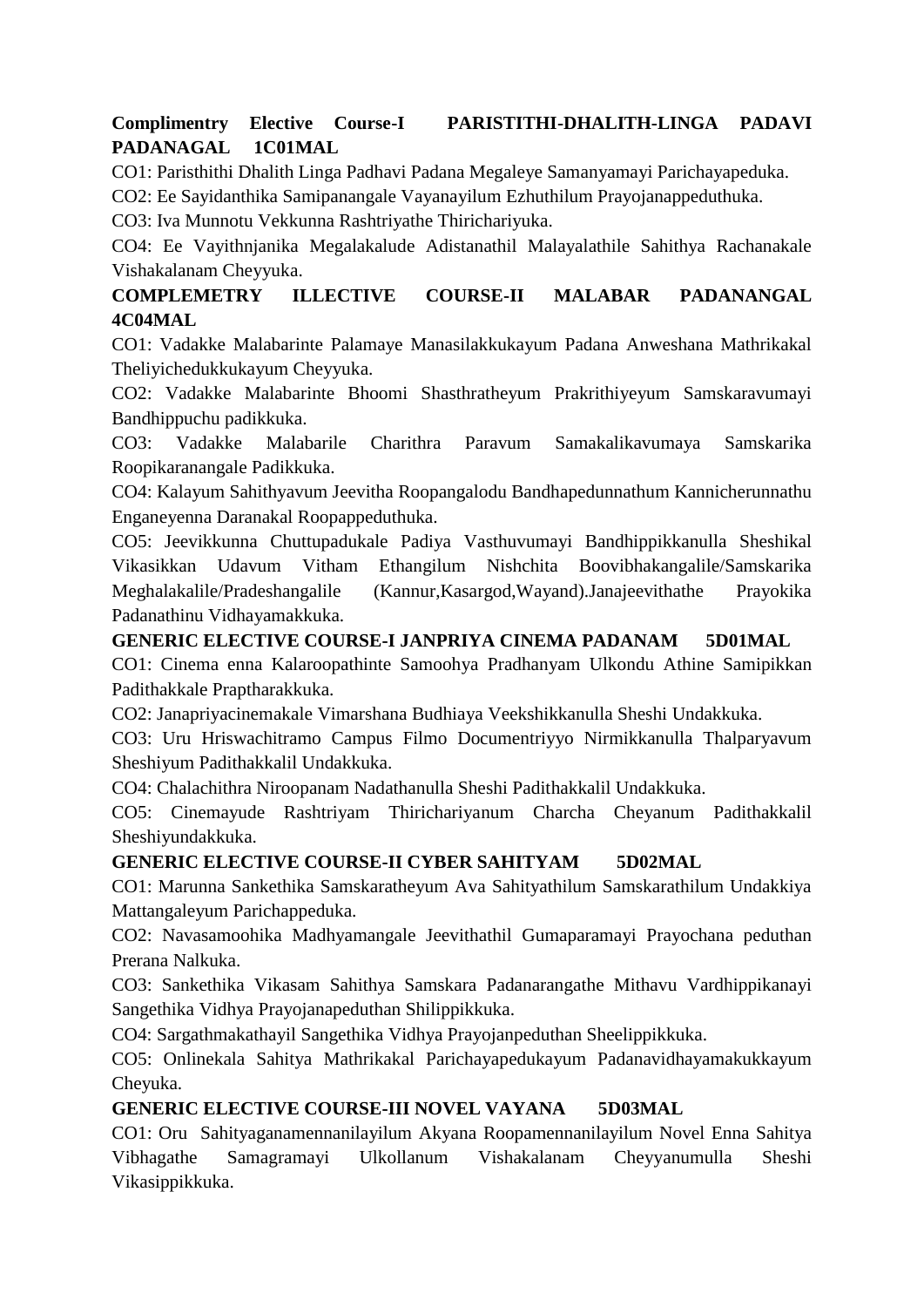# **Complimentry Elective Course-I PARISTITHI-DHALITH-LINGA PADAVI PADANAGAL 1C01MAL**

CO1: Paristhithi Dhalith Linga Padhavi Padana Megaleye Samanyamayi Parichayapeduka.

CO2: Ee Sayidanthika Samipanangale Vayanayilum Ezhuthilum Prayojanappeduthuka.

CO3: Iva Munnotu Vekkunna Rashtriyathe Thirichariyuka.

CO4: Ee Vayithnjanika Megalakalude Adistanathil Malayalathile Sahithya Rachanakale Vishakalanam Cheyyuka.

# **COMPLEMETRY ILLECTIVE COURSE-II MALABAR PADANANGAL 4C04MAL**

CO1: Vadakke Malabarinte Palamaye Manasilakkukayum Padana Anweshana Mathrikakal Theliyichedukkukayum Cheyyuka.

CO2: Vadakke Malabarinte Bhoomi Shasthratheyum Prakrithiyeyum Samskaravumayi Bandhippuchu padikkuka.

CO3: Vadakke Malabarile Charithra Paravum Samakalikavumaya Samskarika Roopikaranangale Padikkuka.

CO4: Kalayum Sahithyavum Jeevitha Roopangalodu Bandhapedunnathum Kannicherunnathu Enganeyenna Daranakal Roopappeduthuka.

CO5: Jeevikkunna Chuttupadukale Padiya Vasthuvumayi Bandhippikkanulla Sheshikal Vikasikkan Udavum Vitham Ethangilum Nishchita Boovibhakangalile/Samskarika Meghalakalile/Pradeshangalile (Kannur,Kasargod,Wayand).Janajeevithathe Prayokika Padanathinu Vidhayamakkuka.

# **GENERIC ELECTIVE COURSE-I JANPRIYA CINEMA PADANAM 5D01MAL**

CO1: Cinema enna Kalaroopathinte Samoohya Pradhanyam Ulkondu Athine Samipikkan Padithakkale Praptharakkuka.

CO2: Janapriyacinemakale Vimarshana Budhiaya Veekshikkanulla Sheshi Undakkuka.

CO3: Uru Hriswachitramo Campus Filmo Documentriyyo Nirmikkanulla Thalparyavum Sheshiyum Padithakkalil Undakkuka.

CO4: Chalachithra Niroopanam Nadathanulla Sheshi Padithakkalil Undakkuka.

CO5: Cinemayude Rashtriyam Thirichariyanum Charcha Cheyanum Padithakkalil Sheshiyundakkuka.

## **GENERIC ELECTIVE COURSE-II CYBER SAHITYAM 5D02MAL**

CO1: Marunna Sankethika Samskaratheyum Ava Sahityathilum Samskarathilum Undakkiya Mattangaleyum Parichappeduka.

CO2: Navasamoohika Madhyamangale Jeevithathil Gumaparamayi Prayochana peduthan Prerana Nalkuka.

CO3: Sankethika Vikasam Sahithya Samskara Padanarangathe Mithavu Vardhippikanayi Sangethika Vidhya Prayojanapeduthan Shilippikkuka.

CO4: Sargathmakathayil Sangethika Vidhya Prayojanpeduthan Sheelippikkuka.

CO5: Onlinekala Sahitya Mathrikakal Parichayapedukayum Padanavidhayamakukkayum Cheyuka.

## **GENERIC ELECTIVE COURSE-III NOVEL VAYANA 5D03MAL**

CO1: Oru Sahityaganamennanilayilum Akyana Roopamennanilayilum Novel Enna Sahitya Vibhagathe Samagramayi Ulkollanum Vishakalanam Cheyyanumulla Sheshi Vikasippikkuka.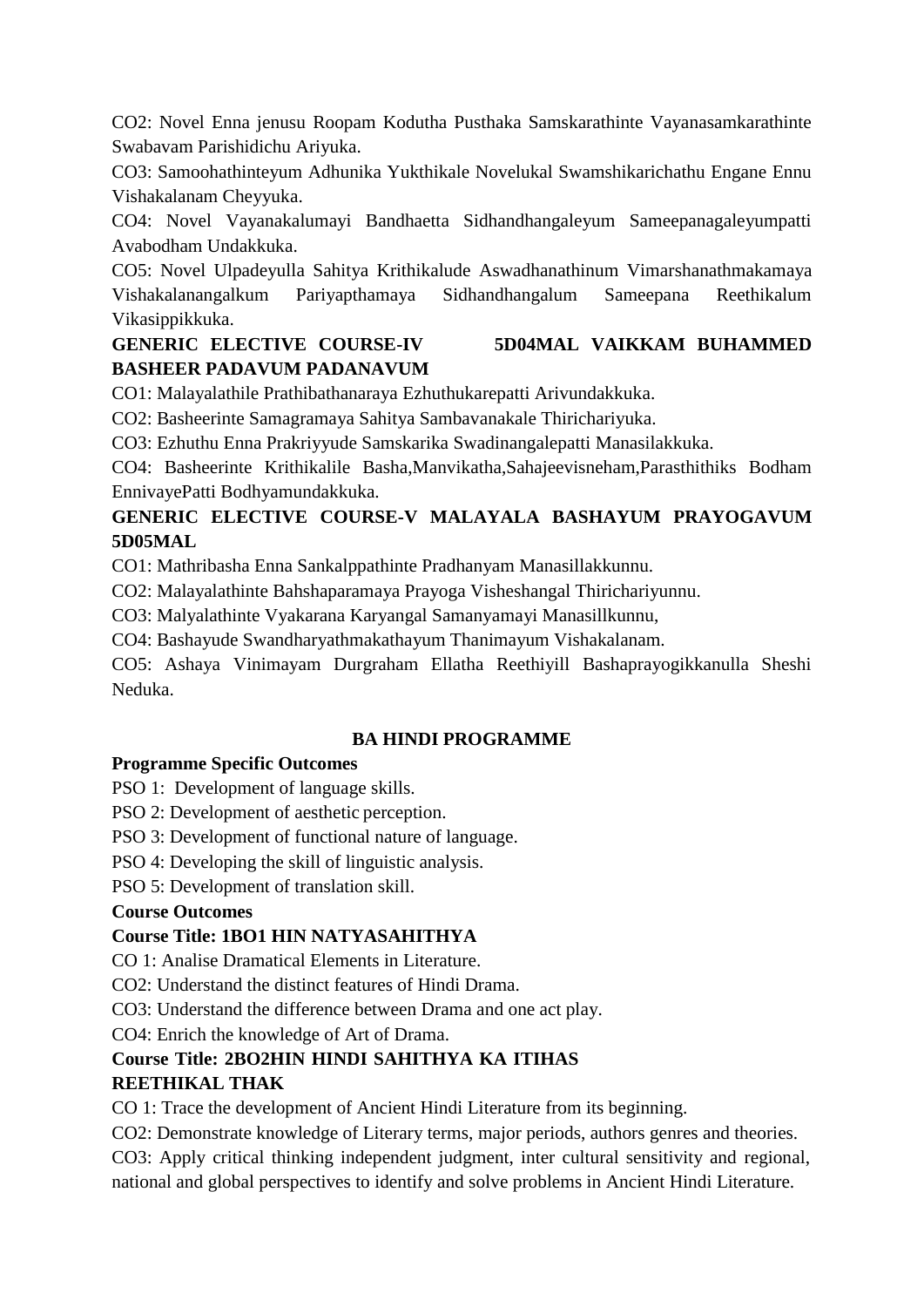CO2: Novel Enna jenusu Roopam Kodutha Pusthaka Samskarathinte Vayanasamkarathinte Swabavam Parishidichu Ariyuka.

CO3: Samoohathinteyum Adhunika Yukthikale Novelukal Swamshikarichathu Engane Ennu Vishakalanam Cheyyuka.

CO4: Novel Vayanakalumayi Bandhaetta Sidhandhangaleyum Sameepanagaleyumpatti Avabodham Undakkuka.

CO5: Novel Ulpadeyulla Sahitya Krithikalude Aswadhanathinum Vimarshanathmakamaya Vishakalanangalkum Pariyapthamaya Sidhandhangalum Sameepana Reethikalum Vikasippikkuka.

# **GENERIC ELECTIVE COURSE-IV 5D04MAL VAIKKAM BUHAMMED BASHEER PADAVUM PADANAVUM**

CO1: Malayalathile Prathibathanaraya Ezhuthukarepatti Arivundakkuka.

CO2: Basheerinte Samagramaya Sahitya Sambavanakale Thirichariyuka.

CO3: Ezhuthu Enna Prakriyyude Samskarika Swadinangalepatti Manasilakkuka.

CO4: Basheerinte Krithikalile Basha,Manvikatha,Sahajeevisneham,Parasthithiks Bodham EnnivayePatti Bodhyamundakkuka.

# **GENERIC ELECTIVE COURSE-V MALAYALA BASHAYUM PRAYOGAVUM 5D05MAL**

CO1: Mathribasha Enna Sankalppathinte Pradhanyam Manasillakkunnu.

CO2: Malayalathinte Bahshaparamaya Prayoga Visheshangal Thirichariyunnu.

CO3: Malyalathinte Vyakarana Karyangal Samanyamayi Manasillkunnu,

CO4: Bashayude Swandharyathmakathayum Thanimayum Vishakalanam.

CO5: Ashaya Vinimayam Durgraham Ellatha Reethiyill Bashaprayogikkanulla Sheshi Neduka.

## **BA HINDI PROGRAMME**

## **Programme Specific Outcomes**

PSO 1: Development of language skills.

PSO 2: Development of aesthetic perception.

PSO 3: Development of functional nature of language.

PSO 4: Developing the skill of linguistic analysis.

PSO 5: Development of translation skill.

## **Course Outcomes**

# **Course Title: 1BO1 HIN NATYASAHITHYA**

CO 1: Analise Dramatical Elements in Literature.

CO2: Understand the distinct features of Hindi Drama.

CO3: Understand the difference between Drama and one act play.

CO4: Enrich the knowledge of Art of Drama.

# **Course Title: 2BO2HIN HINDI SAHITHYA KA ITIHAS**

## **REETHIKAL THAK**

CO 1: Trace the development of Ancient Hindi Literature from its beginning.

CO2: Demonstrate knowledge of Literary terms, major periods, authors genres and theories.

CO3: Apply critical thinking independent judgment, inter cultural sensitivity and regional, national and global perspectives to identify and solve problems in Ancient Hindi Literature.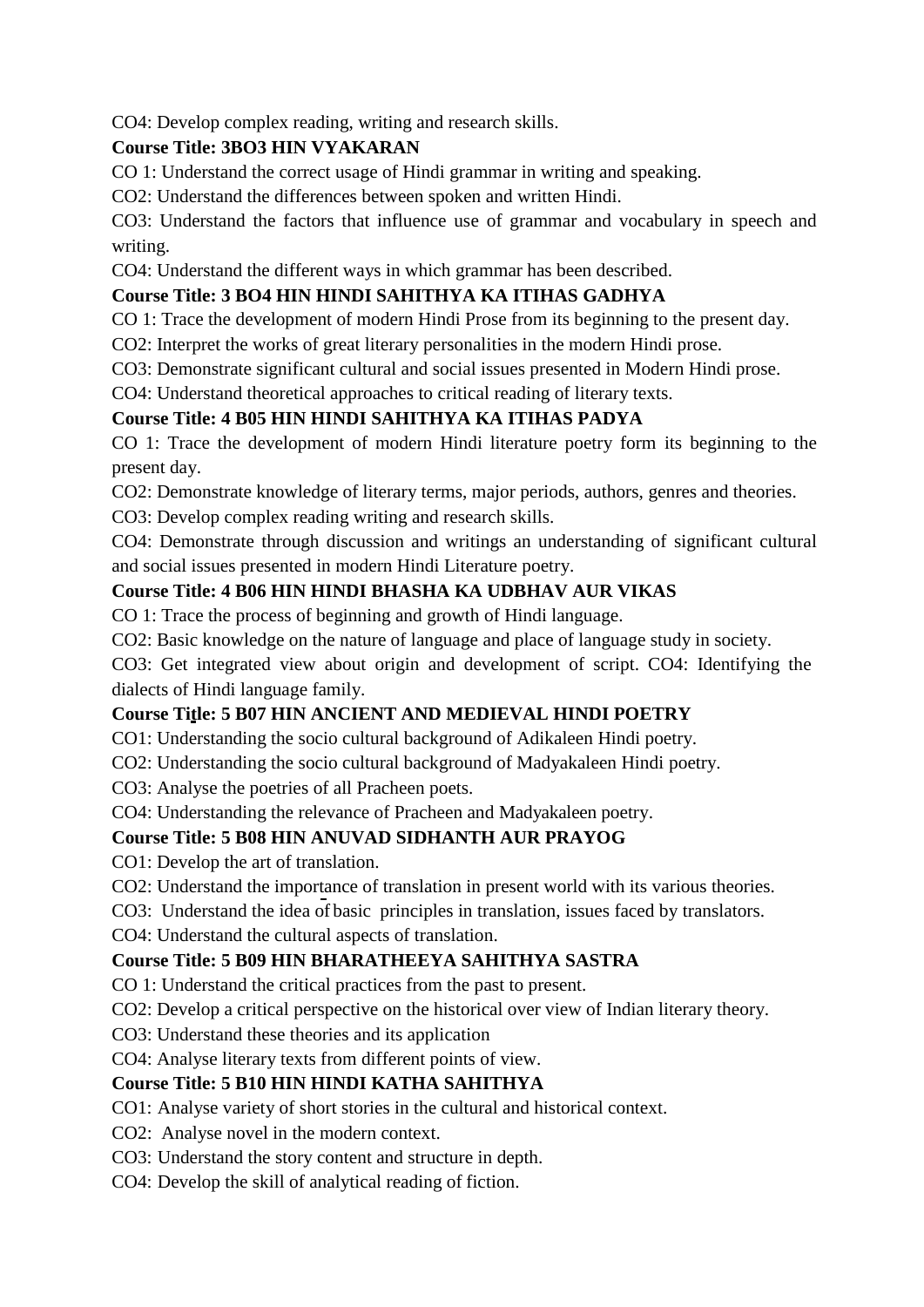CO4: Develop complex reading, writing and research skills.

# **Course Title: 3BO3 HIN VYAKARAN**

CO 1: Understand the correct usage of Hindi grammar in writing and speaking.

CO2: Understand the differences between spoken and written Hindi.

CO3: Understand the factors that influence use of grammar and vocabulary in speech and writing.

CO4: Understand the different ways in which grammar has been described.

# **Course Title: 3 BO4 HIN HINDI SAHITHYA KA ITIHAS GADHYA**

CO 1: Trace the development of modern Hindi Prose from its beginning to the present day.

CO2: Interpret the works of great literary personalities in the modern Hindi prose.

CO3: Demonstrate significant cultural and social issues presented in Modern Hindi prose.

CO4: Understand theoretical approaches to critical reading of literary texts.

# **Course Title: 4 B05 HIN HINDI SAHITHYA KA ITIHAS PADYA**

CO 1: Trace the development of modern Hindi literature poetry form its beginning to the present day.

CO2: Demonstrate knowledge of literary terms, major periods, authors, genres and theories.

CO3: Develop complex reading writing and research skills.

CO4: Demonstrate through discussion and writings an understanding of significant cultural and social issues presented in modern Hindi Literature poetry.

# **Course Title: 4 B06 HIN HINDI BHASHA KA UDBHAV AUR VIKAS**

CO 1: Trace the process of beginning and growth of Hindi language.

CO2: Basic knowledge on the nature of language and place of language study in society.

CO3: Get integrated view about origin and development of script. CO4: Identifying the dialects of Hindi language family.

## **Course Title: 5 B07 HIN ANCIENT AND MEDIEVAL HINDI POETRY**

CO1: Understanding the socio cultural background of Adikaleen Hindi poetry.

CO2: Understanding the socio cultural background of Madyakaleen Hindi poetry.

CO3: Analyse the poetries of all Pracheen poets.

CO4: Understanding the relevance of Pracheen and Madyakaleen poetry.

# **Course Title: 5 B08 HIN ANUVAD SIDHANTH AUR PRAYOG**

CO1: Develop the art of translation.

CO2: Understand the importance of translation in present world with its various theories.

CO3: Understand the idea of basic principles in translation, issues faced by translators.

CO4: Understand the cultural aspects of translation.

## **Course Title: 5 B09 HIN BHARATHEEYA SAHITHYA SASTRA**

CO 1: Understand the critical practices from the past to present.

CO2: Develop a critical perspective on the historical over view of Indian literary theory.

CO3: Understand these theories and its application

CO4: Analyse literary texts from different points of view.

## **Course Title: 5 B10 HIN HINDI KATHA SAHITHYA**

CO1: Analyse variety of short stories in the cultural and historical context.

CO2: Analyse novel in the modern context.

CO3: Understand the story content and structure in depth.

CO4: Develop the skill of analytical reading of fiction.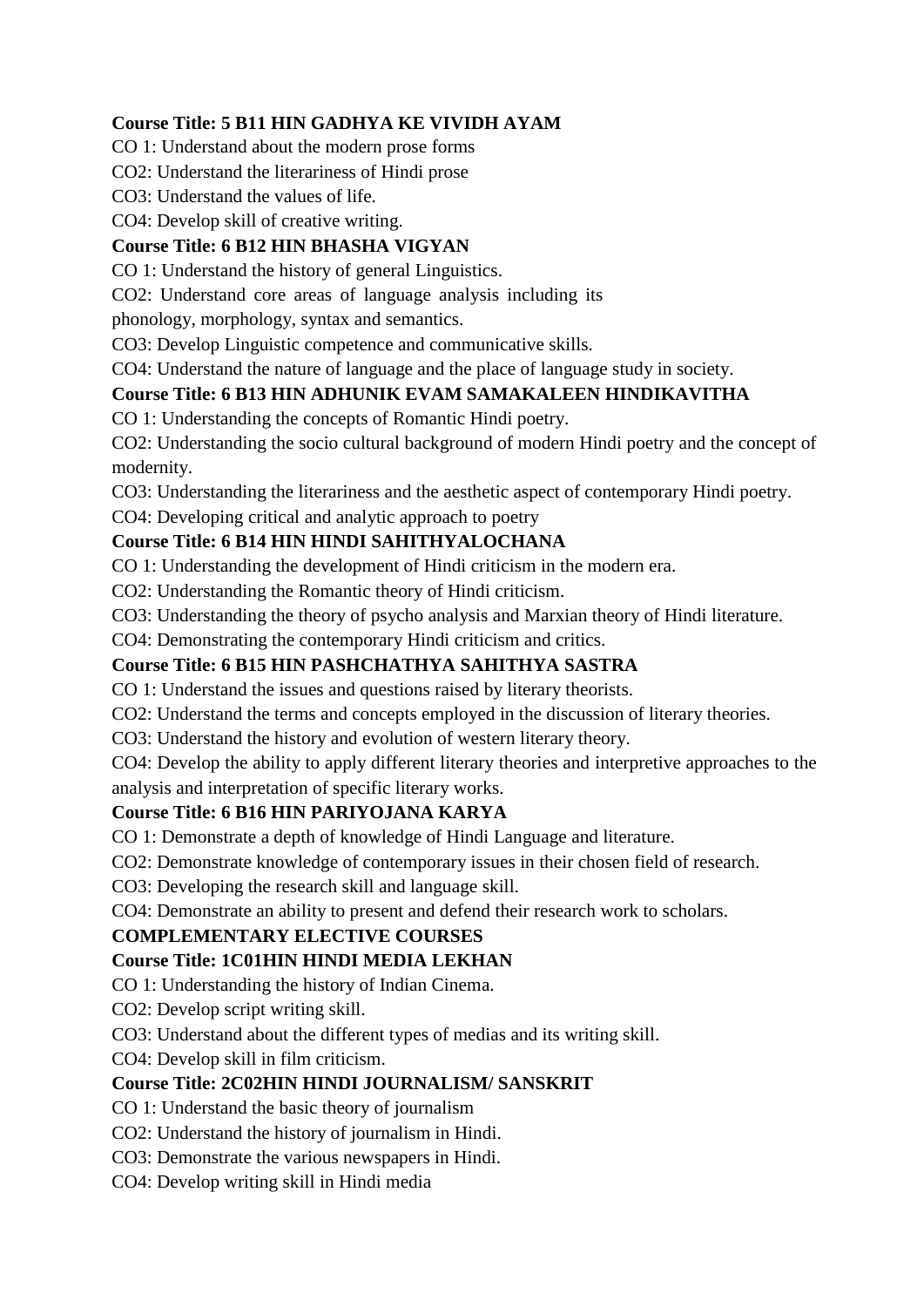# **Course Title: 5 B11 HIN GADHYA KE VIVIDH AYAM**

CO 1: Understand about the modern prose forms

CO2: Understand the literariness of Hindi prose

CO3: Understand the values of life.

CO4: Develop skill of creative writing.

# **Course Title: 6 B12 HIN BHASHA VIGYAN**

CO 1: Understand the history of general Linguistics.

CO2: Understand core areas of language analysis including its

phonology, morphology, syntax and semantics.

CO3: Develop Linguistic competence and communicative skills.

CO4: Understand the nature of language and the place of language study in society.

# **Course Title: 6 B13 HIN ADHUNIK EVAM SAMAKALEEN HINDIKAVITHA**

CO 1: Understanding the concepts of Romantic Hindi poetry.

CO2: Understanding the socio cultural background of modern Hindi poetry and the concept of modernity.

CO3: Understanding the literariness and the aesthetic aspect of contemporary Hindi poetry.

## CO4: Developing critical and analytic approach to poetry

# **Course Title: 6 B14 HIN HINDI SAHITHYALOCHANA**

CO 1: Understanding the development of Hindi criticism in the modern era.

CO2: Understanding the Romantic theory of Hindi criticism.

CO3: Understanding the theory of psycho analysis and Marxian theory of Hindi literature.

CO4: Demonstrating the contemporary Hindi criticism and critics.

# **Course Title: 6 B15 HIN PASHCHATHYA SAHITHYA SASTRA**

CO 1: Understand the issues and questions raised by literary theorists.

CO2: Understand the terms and concepts employed in the discussion of literary theories.

CO3: Understand the history and evolution of western literary theory.

CO4: Develop the ability to apply different literary theories and interpretive approaches to the analysis and interpretation of specific literary works.

## **Course Title: 6 B16 HIN PARIYOJANA KARYA**

CO 1: Demonstrate a depth of knowledge of Hindi Language and literature.

CO2: Demonstrate knowledge of contemporary issues in their chosen field of research.

CO3: Developing the research skill and language skill.

CO4: Demonstrate an ability to present and defend their research work to scholars.

## **COMPLEMENTARY ELECTIVE COURSES**

## **Course Title: 1C01HIN HINDI MEDIA LEKHAN**

CO 1: Understanding the history of Indian Cinema.

CO2: Develop script writing skill.

CO3: Understand about the different types of medias and its writing skill.

CO4: Develop skill in film criticism.

## **Course Title: 2C02HIN HINDI JOURNALISM/ SANSKRIT**

CO 1: Understand the basic theory of journalism

CO2: Understand the history of journalism in Hindi.

CO3: Demonstrate the various newspapers in Hindi.

CO4: Develop writing skill in Hindi media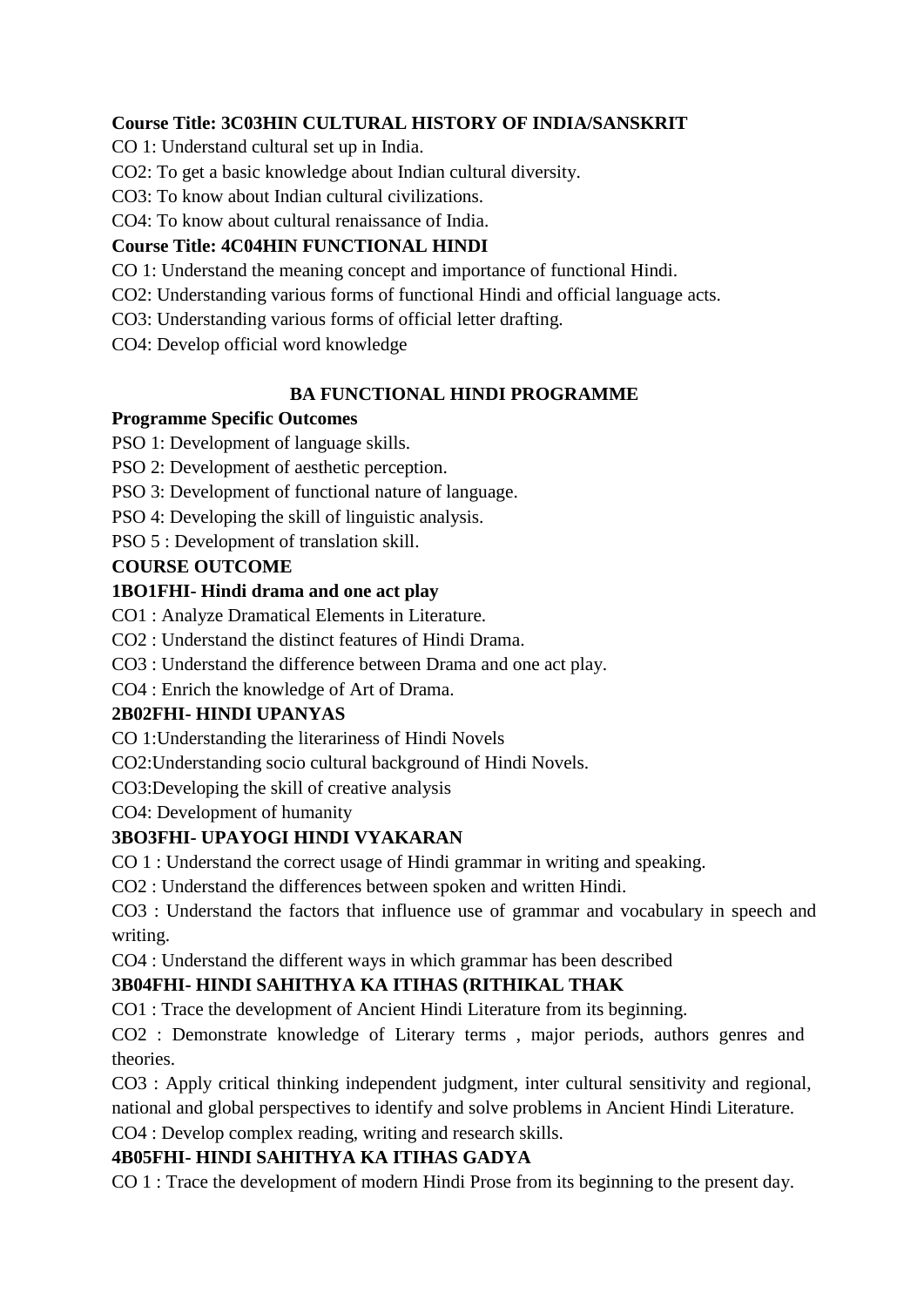# **Course Title: 3C03HIN CULTURAL HISTORY OF INDIA/SANSKRIT**

CO 1: Understand cultural set up in India.

CO2: To get a basic knowledge about Indian cultural diversity.

CO3: To know about Indian cultural civilizations.

CO4: To know about cultural renaissance of India.

# **Course Title: 4C04HIN FUNCTIONAL HINDI**

CO 1: Understand the meaning concept and importance of functional Hindi.

CO2: Understanding various forms of functional Hindi and official language acts.

CO3: Understanding various forms of official letter drafting.

CO4: Develop official word knowledge

# **BA FUNCTIONAL HINDI PROGRAMME**

## **Programme Specific Outcomes**

PSO 1: Development of language skills.

PSO 2: Development of aesthetic perception.

PSO 3: Development of functional nature of language.

PSO 4: Developing the skill of linguistic analysis.

PSO 5 : Development of translation skill.

# **COURSE OUTCOME**

# **1BO1FHI- Hindi drama and one act play**

CO1 : Analyze Dramatical Elements in Literature.

CO2 : Understand the distinct features of Hindi Drama.

CO3 : Understand the difference between Drama and one act play.

CO4 : Enrich the knowledge of Art of Drama.

## **2B02FHI- HINDI UPANYAS**

CO 1:Understanding the literariness of Hindi Novels

CO2:Understanding socio cultural background of Hindi Novels.

CO3:Developing the skill of creative analysis

CO4: Development of humanity

# **3BO3FHI- UPAYOGI HINDI VYAKARAN**

CO 1 : Understand the correct usage of Hindi grammar in writing and speaking.

CO2 : Understand the differences between spoken and written Hindi.

CO3 : Understand the factors that influence use of grammar and vocabulary in speech and writing.

CO4 : Understand the different ways in which grammar has been described

# **3B04FHI- HINDI SAHITHYA KA ITIHAS (RITHIKAL THAK**

CO1 : Trace the development of Ancient Hindi Literature from its beginning.

CO2 : Demonstrate knowledge of Literary terms , major periods, authors genres and theories.

CO3 : Apply critical thinking independent judgment, inter cultural sensitivity and regional, national and global perspectives to identify and solve problems in Ancient Hindi Literature.

CO4 : Develop complex reading, writing and research skills.

# **4B05FHI- HINDI SAHITHYA KA ITIHAS GADYA**

CO 1 : Trace the development of modern Hindi Prose from its beginning to the present day.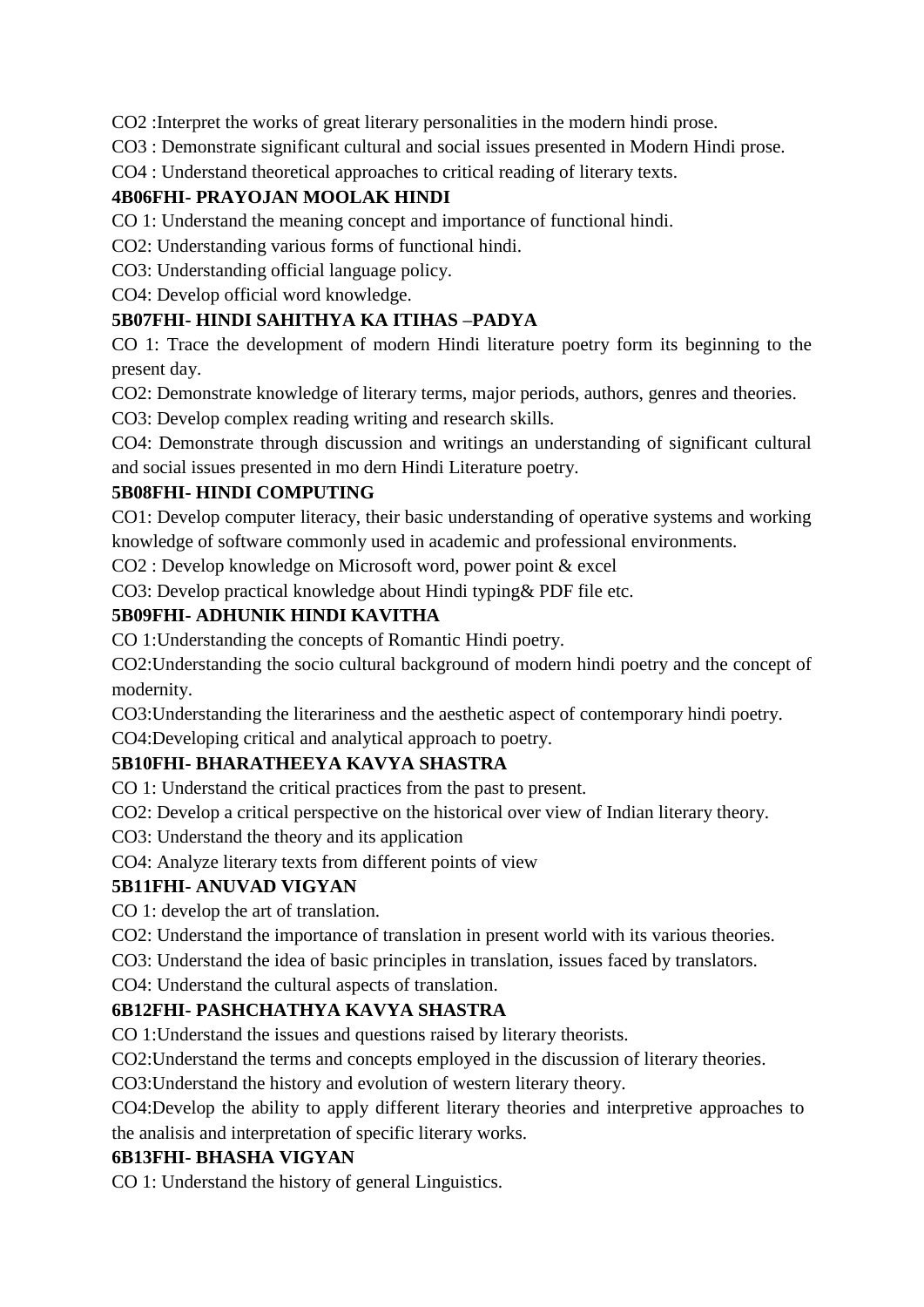CO2 :Interpret the works of great literary personalities in the modern hindi prose.

CO3 : Demonstrate significant cultural and social issues presented in Modern Hindi prose.

CO4 : Understand theoretical approaches to critical reading of literary texts.

# **4B06FHI- PRAYOJAN MOOLAK HINDI**

CO 1: Understand the meaning concept and importance of functional hindi.

CO2: Understanding various forms of functional hindi.

CO3: Understanding official language policy.

CO4: Develop official word knowledge.

# **5B07FHI- HINDI SAHITHYA KA ITIHAS –PADYA**

CO 1: Trace the development of modern Hindi literature poetry form its beginning to the present day.

CO2: Demonstrate knowledge of literary terms, major periods, authors, genres and theories.

CO3: Develop complex reading writing and research skills.

CO4: Demonstrate through discussion and writings an understanding of significant cultural and social issues presented in mo dern Hindi Literature poetry.

## **5B08FHI- HINDI COMPUTING**

CO1: Develop computer literacy, their basic understanding of operative systems and working knowledge of software commonly used in academic and professional environments.

CO2 : Develop knowledge on Microsoft word, power point & excel

CO3: Develop practical knowledge about Hindi typing& PDF file etc.

## **5B09FHI- ADHUNIK HINDI KAVITHA**

CO 1:Understanding the concepts of Romantic Hindi poetry.

CO2:Understanding the socio cultural background of modern hindi poetry and the concept of modernity.

CO3:Understanding the literariness and the aesthetic aspect of contemporary hindi poetry.

CO4:Developing critical and analytical approach to poetry.

# **5B10FHI- BHARATHEEYA KAVYA SHASTRA**

CO 1: Understand the critical practices from the past to present.

CO2: Develop a critical perspective on the historical over view of Indian literary theory.

CO3: Understand the theory and its application

CO4: Analyze literary texts from different points of view

## **5B11FHI- ANUVAD VIGYAN**

CO 1: develop the art of translation.

CO2: Understand the importance of translation in present world with its various theories.

CO3: Understand the idea of basic principles in translation, issues faced by translators.

CO4: Understand the cultural aspects of translation.

# **6B12FHI- PASHCHATHYA KAVYA SHASTRA**

CO 1:Understand the issues and questions raised by literary theorists.

CO2:Understand the terms and concepts employed in the discussion of literary theories.

CO3:Understand the history and evolution of western literary theory.

CO4:Develop the ability to apply different literary theories and interpretive approaches to the analisis and interpretation of specific literary works.

## **6B13FHI- BHASHA VIGYAN**

CO 1: Understand the history of general Linguistics.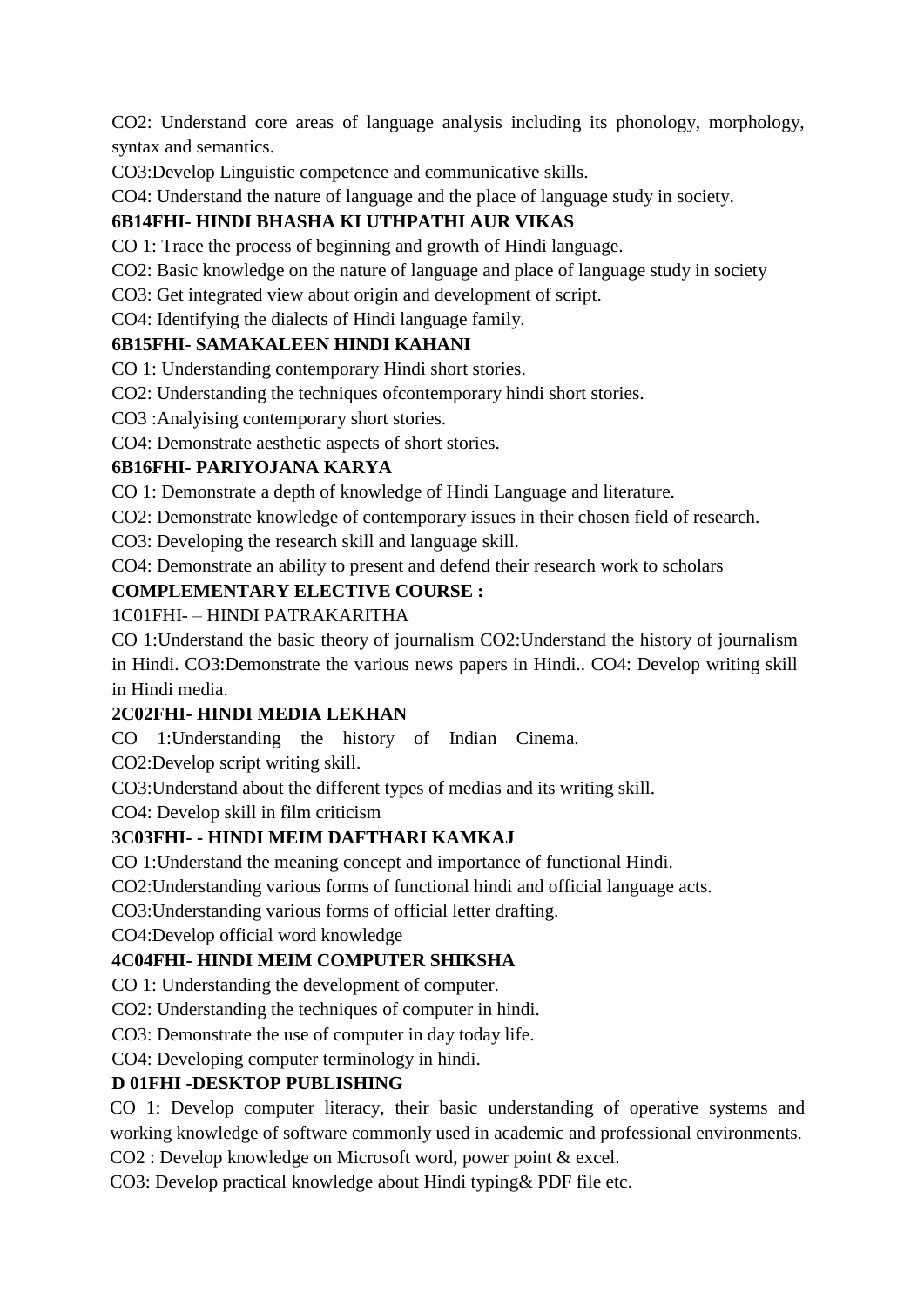CO2: Understand core areas of language analysis including its phonology, morphology, syntax and semantics.

CO3:Develop Linguistic competence and communicative skills.

CO4: Understand the nature of language and the place of language study in society.

# **6B14FHI- HINDI BHASHA KI UTHPATHI AUR VIKAS**

CO 1: Trace the process of beginning and growth of Hindi language.

CO2: Basic knowledge on the nature of language and place of language study in society

CO3: Get integrated view about origin and development of script.

CO4: Identifying the dialects of Hindi language family.

# **6B15FHI- SAMAKALEEN HINDI KAHANI**

CO 1: Understanding contemporary Hindi short stories.

CO2: Understanding the techniques ofcontemporary hindi short stories.

CO3 :Analyising contemporary short stories.

CO4: Demonstrate aesthetic aspects of short stories.

# **6B16FHI- PARIYOJANA KARYA**

CO 1: Demonstrate a depth of knowledge of Hindi Language and literature.

CO2: Demonstrate knowledge of contemporary issues in their chosen field of research.

CO3: Developing the research skill and language skill.

CO4: Demonstrate an ability to present and defend their research work to scholars

# **COMPLEMENTARY ELECTIVE COURSE :**

# 1C01FHI- – HINDI PATRAKARITHA

CO 1:Understand the basic theory of journalism CO2:Understand the history of journalism in Hindi. CO3:Demonstrate the various news papers in Hindi.. CO4: Develop writing skill in Hindi media.

# **2C02FHI- HINDI MEDIA LEKHAN**

CO 1:Understanding the history of Indian Cinema.

CO2:Develop script writing skill.

CO3:Understand about the different types of medias and its writing skill.

CO4: Develop skill in film criticism

# **3C03FHI- - HINDI MEIM DAFTHARI KAMKAJ**

CO 1:Understand the meaning concept and importance of functional Hindi.

CO2:Understanding various forms of functional hindi and official language acts.

CO3:Understanding various forms of official letter drafting.

CO4:Develop official word knowledge

# **4C04FHI- HINDI MEIM COMPUTER SHIKSHA**

CO 1: Understanding the development of computer.

CO2: Understanding the techniques of computer in hindi.

CO3: Demonstrate the use of computer in day today life.

CO4: Developing computer terminology in hindi.

# **D 01FHI -DESKTOP PUBLISHING**

CO 1: Develop computer literacy, their basic understanding of operative systems and working knowledge of software commonly used in academic and professional environments.

CO2 : Develop knowledge on Microsoft word, power point & excel.

CO3: Develop practical knowledge about Hindi typing& PDF file etc.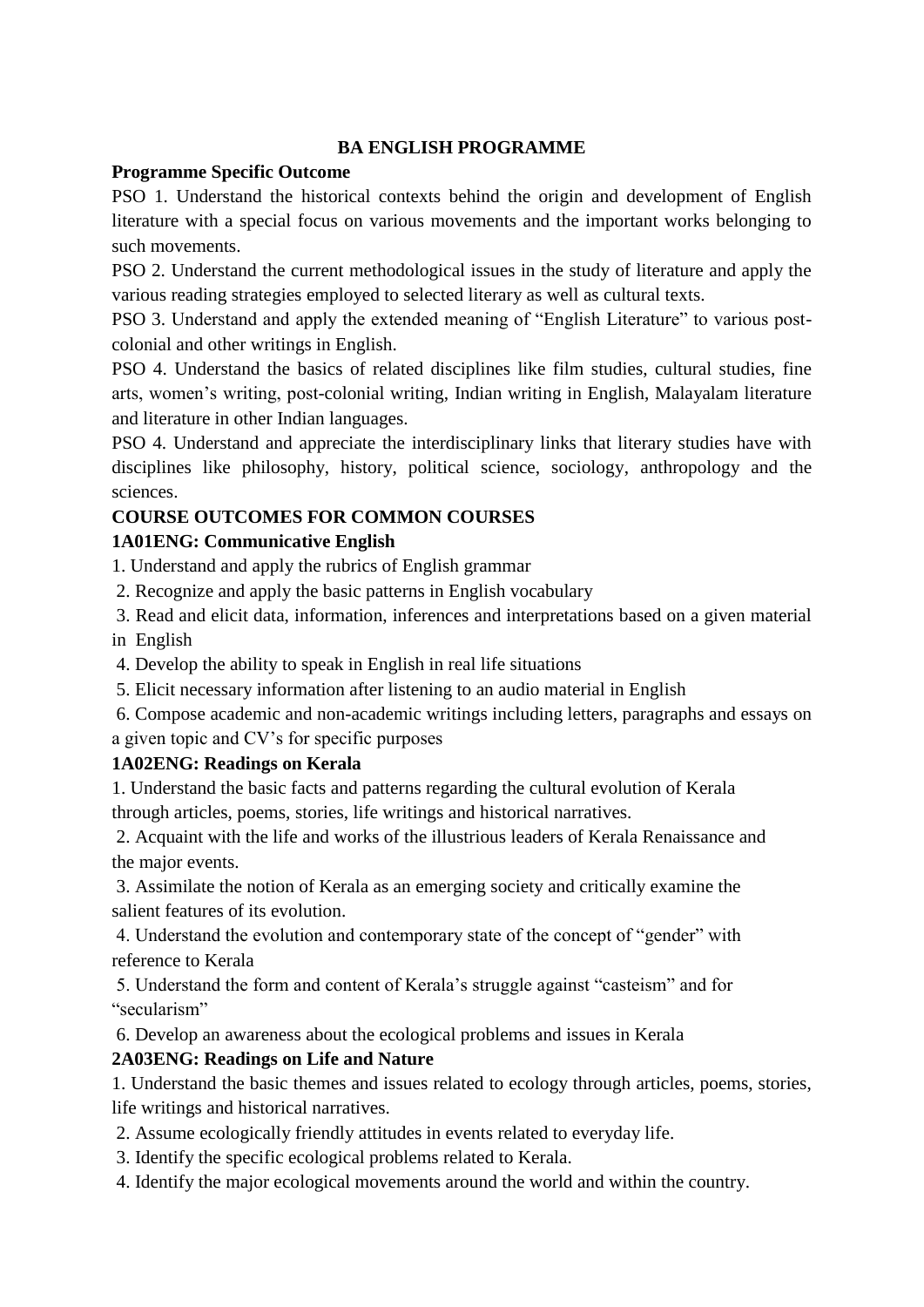#### **BA ENGLISH PROGRAMME**

#### **Programme Specific Outcome**

PSO 1. Understand the historical contexts behind the origin and development of English literature with a special focus on various movements and the important works belonging to such movements.

PSO 2. Understand the current methodological issues in the study of literature and apply the various reading strategies employed to selected literary as well as cultural texts.

PSO 3. Understand and apply the extended meaning of "English Literature" to various postcolonial and other writings in English.

PSO 4. Understand the basics of related disciplines like film studies, cultural studies, fine arts, women's writing, post-colonial writing, Indian writing in English, Malayalam literature and literature in other Indian languages.

PSO 4. Understand and appreciate the interdisciplinary links that literary studies have with disciplines like philosophy, history, political science, sociology, anthropology and the sciences.

# **COURSE OUTCOMES FOR COMMON COURSES**

## **1A01ENG: Communicative English**

1. Understand and apply the rubrics of English grammar

- 2. Recognize and apply the basic patterns in English vocabulary
- 3. Read and elicit data, information, inferences and interpretations based on a given material in English
- 4. Develop the ability to speak in English in real life situations
- 5. Elicit necessary information after listening to an audio material in English
- 6. Compose academic and non-academic writings including letters, paragraphs and essays on a given topic and CV's for specific purposes

# **1A02ENG: Readings on Kerala**

1. Understand the basic facts and patterns regarding the cultural evolution of Kerala through articles, poems, stories, life writings and historical narratives.

2. Acquaint with the life and works of the illustrious leaders of Kerala Renaissance and the major events.

3. Assimilate the notion of Kerala as an emerging society and critically examine the salient features of its evolution.

4. Understand the evolution and contemporary state of the concept of "gender" with reference to Kerala

5. Understand the form and content of Kerala's struggle against "casteism" and for "secularism"

6. Develop an awareness about the ecological problems and issues in Kerala

# **2A03ENG: Readings on Life and Nature**

1. Understand the basic themes and issues related to ecology through articles, poems, stories, life writings and historical narratives.

- 2. Assume ecologically friendly attitudes in events related to everyday life.
- 3. Identify the specific ecological problems related to Kerala.

4. Identify the major ecological movements around the world and within the country.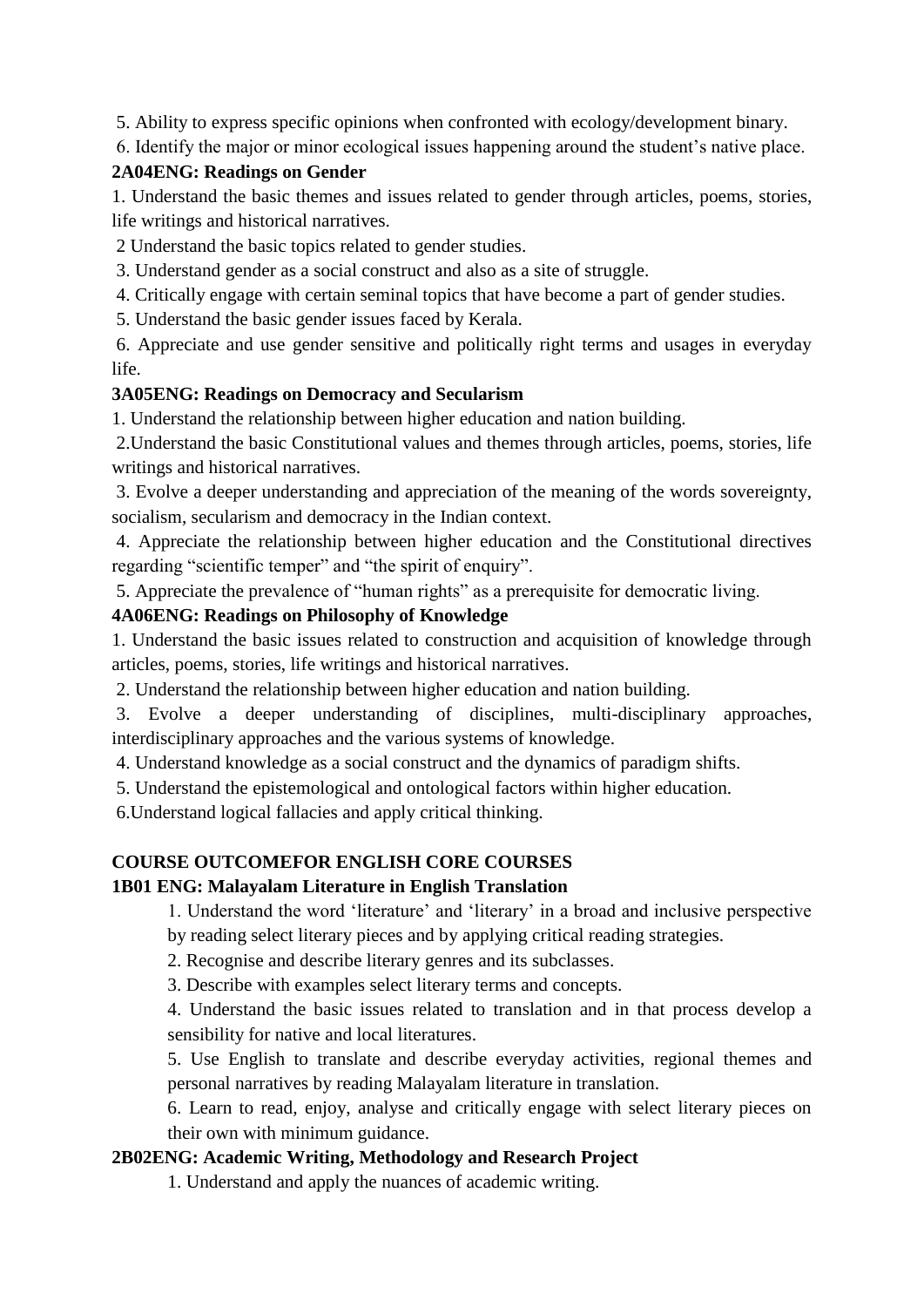5. Ability to express specific opinions when confronted with ecology/development binary.

6. Identify the major or minor ecological issues happening around the student's native place.

#### **2A04ENG: Readings on Gender**

1. Understand the basic themes and issues related to gender through articles, poems, stories, life writings and historical narratives.

2 Understand the basic topics related to gender studies.

3. Understand gender as a social construct and also as a site of struggle.

4. Critically engage with certain seminal topics that have become a part of gender studies.

5. Understand the basic gender issues faced by Kerala.

6. Appreciate and use gender sensitive and politically right terms and usages in everyday life.

### **3A05ENG: Readings on Democracy and Secularism**

1. Understand the relationship between higher education and nation building.

2.Understand the basic Constitutional values and themes through articles, poems, stories, life writings and historical narratives.

3. Evolve a deeper understanding and appreciation of the meaning of the words sovereignty, socialism, secularism and democracy in the Indian context.

4. Appreciate the relationship between higher education and the Constitutional directives regarding "scientific temper" and "the spirit of enquiry".

5. Appreciate the prevalence of "human rights" as a prerequisite for democratic living.

### **4A06ENG: Readings on Philosophy of Knowledge**

1. Understand the basic issues related to construction and acquisition of knowledge through articles, poems, stories, life writings and historical narratives.

2. Understand the relationship between higher education and nation building.

3. Evolve a deeper understanding of disciplines, multi-disciplinary approaches, interdisciplinary approaches and the various systems of knowledge.

4. Understand knowledge as a social construct and the dynamics of paradigm shifts.

5. Understand the epistemological and ontological factors within higher education.

6.Understand logical fallacies and apply critical thinking.

## **COURSE OUTCOMEFOR ENGLISH CORE COURSES**

## **1B01 ENG: Malayalam Literature in English Translation**

1. Understand the word 'literature' and 'literary' in a broad and inclusive perspective by reading select literary pieces and by applying critical reading strategies.

2. Recognise and describe literary genres and its subclasses.

3. Describe with examples select literary terms and concepts.

4. Understand the basic issues related to translation and in that process develop a sensibility for native and local literatures.

5. Use English to translate and describe everyday activities, regional themes and personal narratives by reading Malayalam literature in translation.

6. Learn to read, enjoy, analyse and critically engage with select literary pieces on their own with minimum guidance.

## **2B02ENG: Academic Writing, Methodology and Research Project**

1. Understand and apply the nuances of academic writing.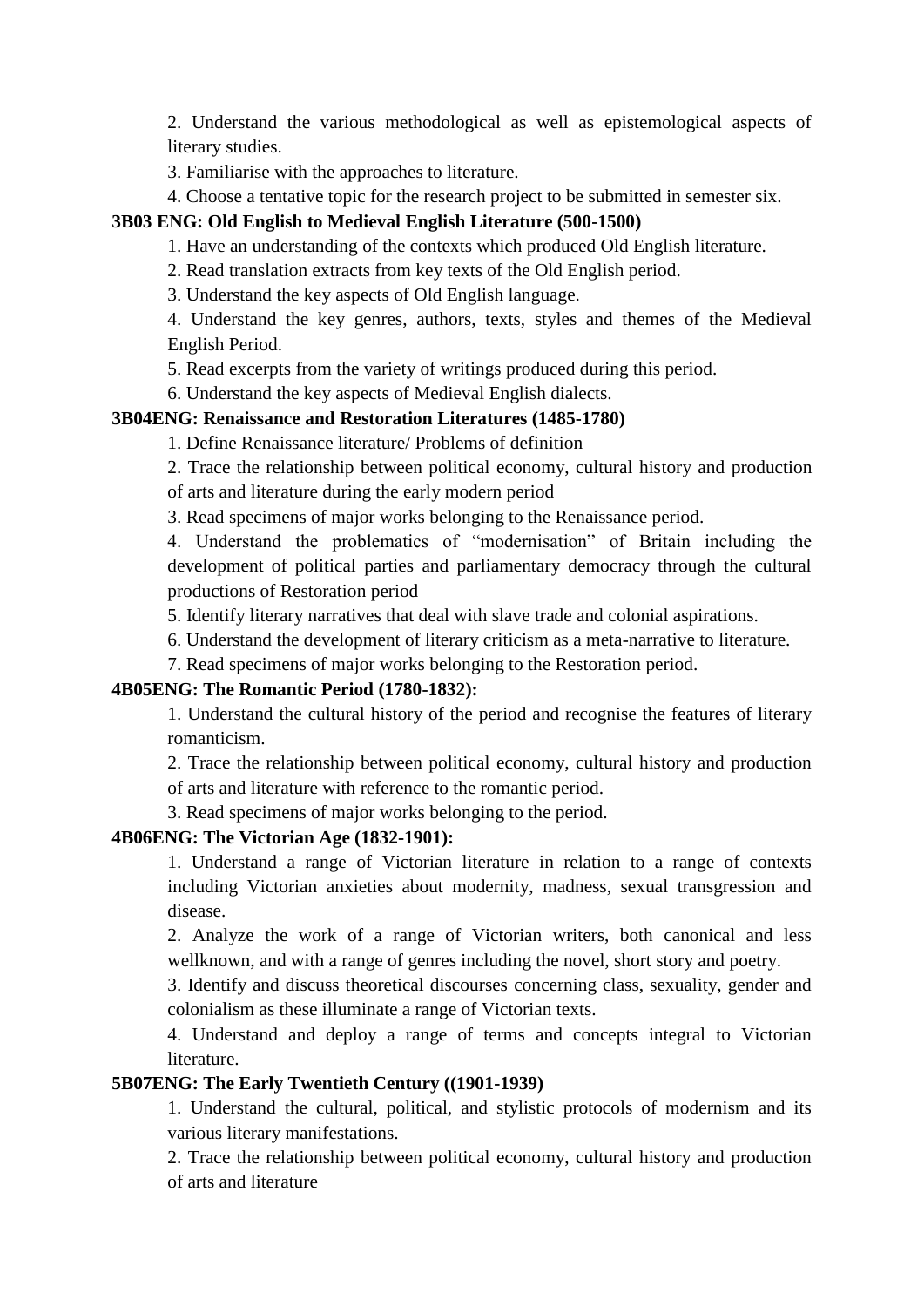2. Understand the various methodological as well as epistemological aspects of literary studies.

3. Familiarise with the approaches to literature.

4. Choose a tentative topic for the research project to be submitted in semester six.

#### **3B03 ENG: Old English to Medieval English Literature (500-1500)**

1. Have an understanding of the contexts which produced Old English literature.

2. Read translation extracts from key texts of the Old English period.

3. Understand the key aspects of Old English language.

4. Understand the key genres, authors, texts, styles and themes of the Medieval English Period.

5. Read excerpts from the variety of writings produced during this period.

6. Understand the key aspects of Medieval English dialects.

#### **3B04ENG: Renaissance and Restoration Literatures (1485-1780)**

1. Define Renaissance literature/ Problems of definition

2. Trace the relationship between political economy, cultural history and production of arts and literature during the early modern period

3. Read specimens of major works belonging to the Renaissance period.

4. Understand the problematics of "modernisation" of Britain including the development of political parties and parliamentary democracy through the cultural productions of Restoration period

5. Identify literary narratives that deal with slave trade and colonial aspirations.

6. Understand the development of literary criticism as a meta-narrative to literature.

7. Read specimens of major works belonging to the Restoration period.

#### **4B05ENG: The Romantic Period (1780-1832):**

1. Understand the cultural history of the period and recognise the features of literary romanticism.

2. Trace the relationship between political economy, cultural history and production of arts and literature with reference to the romantic period.

3. Read specimens of major works belonging to the period.

#### **4B06ENG: The Victorian Age (1832-1901):**

1. Understand a range of Victorian literature in relation to a range of contexts including Victorian anxieties about modernity, madness, sexual transgression and disease.

2. Analyze the work of a range of Victorian writers, both canonical and less wellknown, and with a range of genres including the novel, short story and poetry.

3. Identify and discuss theoretical discourses concerning class, sexuality, gender and colonialism as these illuminate a range of Victorian texts.

4. Understand and deploy a range of terms and concepts integral to Victorian literature.

#### **5B07ENG: The Early Twentieth Century ((1901-1939)**

1. Understand the cultural, political, and stylistic protocols of modernism and its various literary manifestations.

2. Trace the relationship between political economy, cultural history and production of arts and literature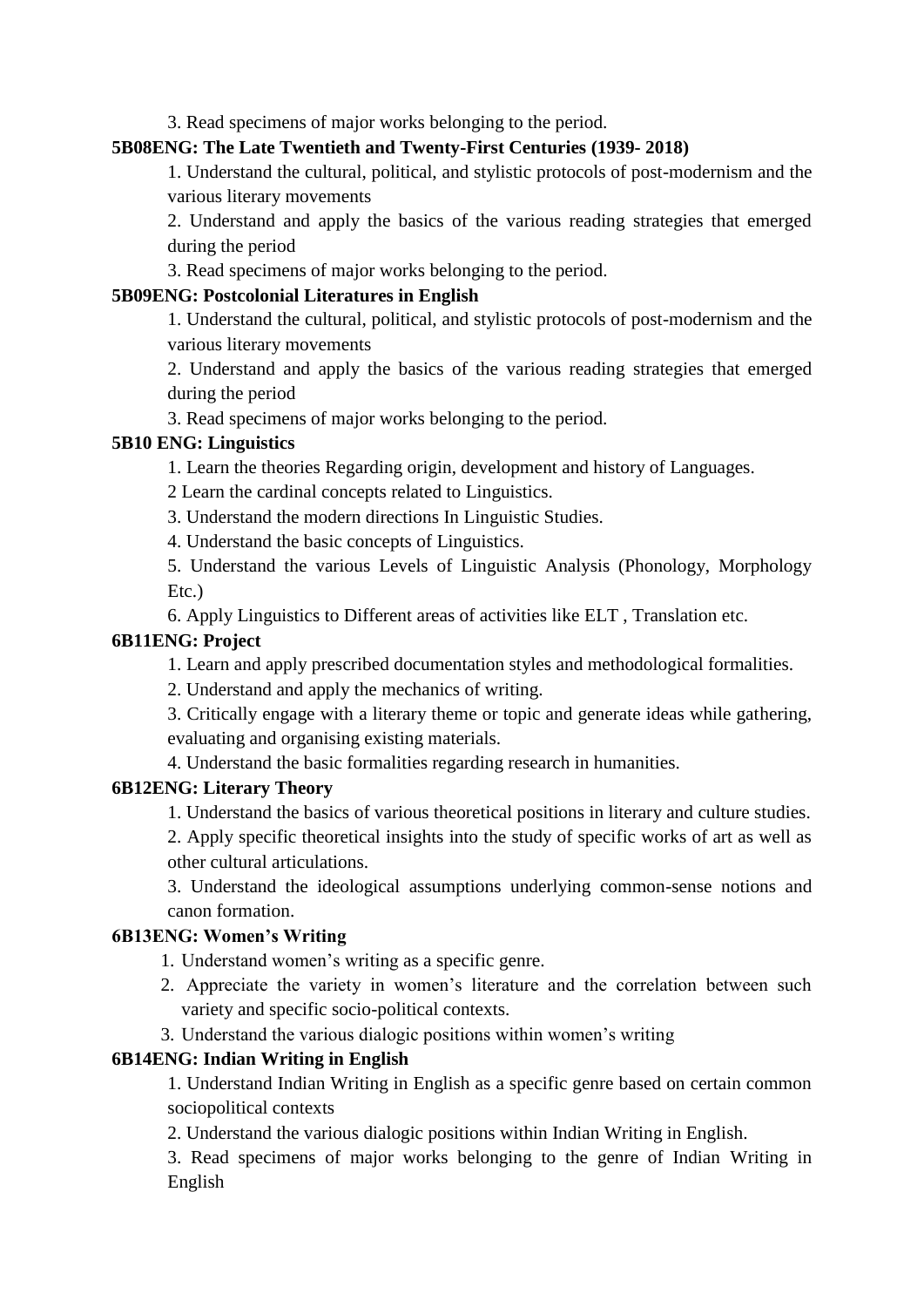3. Read specimens of major works belonging to the period.

#### **5B08ENG: The Late Twentieth and Twenty-First Centuries (1939- 2018)**

1. Understand the cultural, political, and stylistic protocols of post-modernism and the various literary movements

2. Understand and apply the basics of the various reading strategies that emerged during the period

3. Read specimens of major works belonging to the period.

### **5B09ENG: Postcolonial Literatures in English**

1. Understand the cultural, political, and stylistic protocols of post-modernism and the various literary movements

2. Understand and apply the basics of the various reading strategies that emerged during the period

3. Read specimens of major works belonging to the period.

## **5B10 ENG: Linguistics**

1. Learn the theories Regarding origin, development and history of Languages.

2 Learn the cardinal concepts related to Linguistics.

3. Understand the modern directions In Linguistic Studies.

4. Understand the basic concepts of Linguistics.

5. Understand the various Levels of Linguistic Analysis (Phonology, Morphology Etc.)

6. Apply Linguistics to Different areas of activities like ELT , Translation etc.

### **6B11ENG: Project**

1. Learn and apply prescribed documentation styles and methodological formalities.

2. Understand and apply the mechanics of writing.

3. Critically engage with a literary theme or topic and generate ideas while gathering, evaluating and organising existing materials.

4. Understand the basic formalities regarding research in humanities.

## **6B12ENG: Literary Theory**

1. Understand the basics of various theoretical positions in literary and culture studies.

2. Apply specific theoretical insights into the study of specific works of art as well as other cultural articulations.

3. Understand the ideological assumptions underlying common-sense notions and canon formation.

## **6B13ENG: Women's Writing**

1. Understand women's writing as a specific genre.

- 2. Appreciate the variety in women's literature and the correlation between such variety and specific socio-political contexts.
- 3. Understand the various dialogic positions within women's writing

## **6B14ENG: Indian Writing in English**

1. Understand Indian Writing in English as a specific genre based on certain common sociopolitical contexts

2. Understand the various dialogic positions within Indian Writing in English.

3. Read specimens of major works belonging to the genre of Indian Writing in English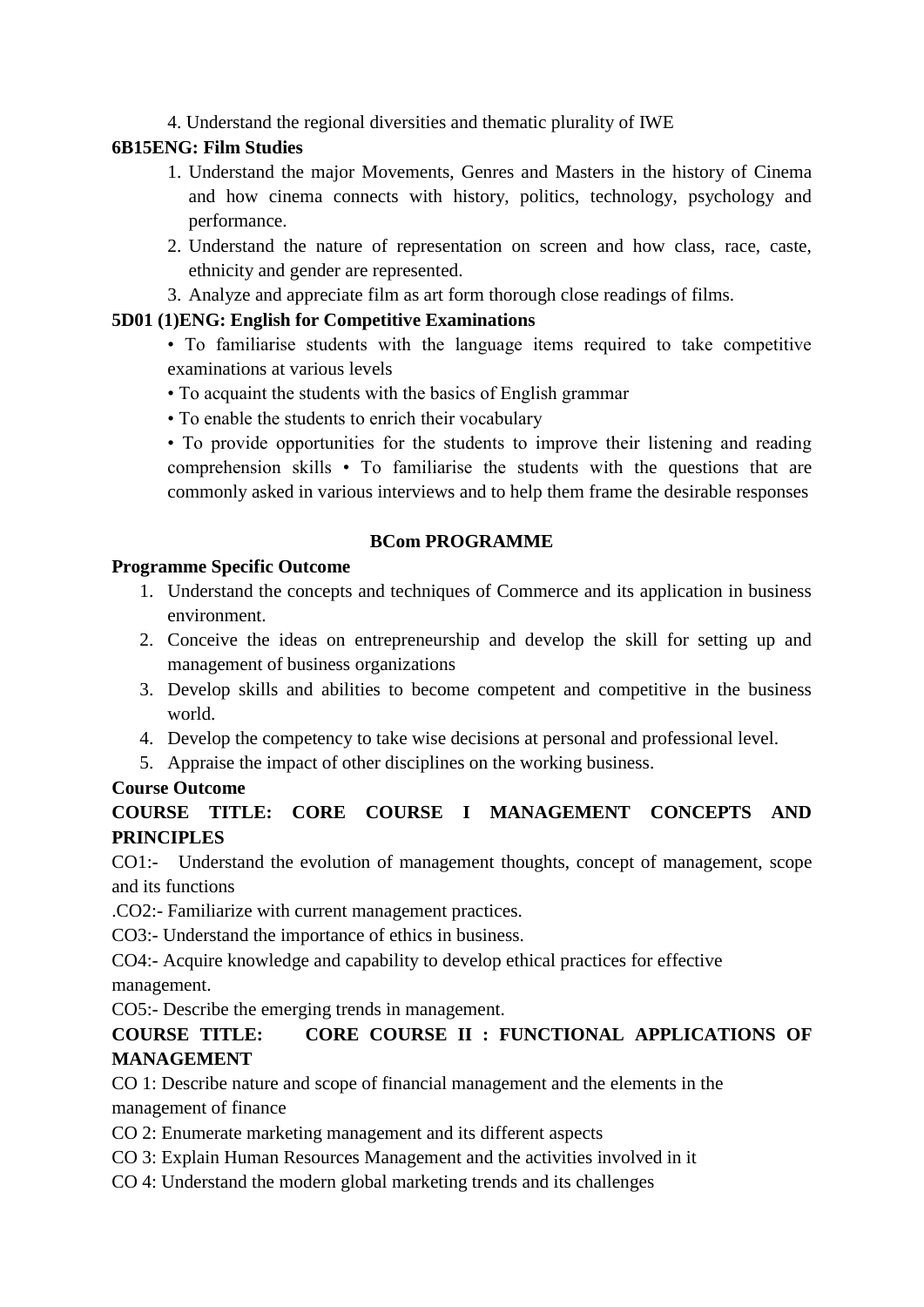4. Understand the regional diversities and thematic plurality of IWE

## **6B15ENG: Film Studies**

- 1. Understand the major Movements, Genres and Masters in the history of Cinema and how cinema connects with history, politics, technology, psychology and performance.
- 2. Understand the nature of representation on screen and how class, race, caste, ethnicity and gender are represented.
- 3. Analyze and appreciate film as art form thorough close readings of films.

## **5D01 (1)ENG: English for Competitive Examinations**

- To familiarise students with the language items required to take competitive examinations at various levels
- To acquaint the students with the basics of English grammar
- To enable the students to enrich their vocabulary

• To provide opportunities for the students to improve their listening and reading comprehension skills • To familiarise the students with the questions that are commonly asked in various interviews and to help them frame the desirable responses

#### **BCom PROGRAMME**

#### **Programme Specific Outcome**

- 1. Understand the concepts and techniques of Commerce and its application in business environment.
- 2. Conceive the ideas on entrepreneurship and develop the skill for setting up and management of business organizations
- 3. Develop skills and abilities to become competent and competitive in the business world.
- 4. Develop the competency to take wise decisions at personal and professional level.
- 5. Appraise the impact of other disciplines on the working business.

#### **Course Outcome**

## **COURSE TITLE: CORE COURSE I MANAGEMENT CONCEPTS AND PRINCIPLES**

CO1:- Understand the evolution of management thoughts, concept of management, scope and its functions

.CO2:- Familiarize with current management practices.

CO3:- Understand the importance of ethics in business.

CO4:- Acquire knowledge and capability to develop ethical practices for effective

management.

CO5:- Describe the emerging trends in management.

## **COURSE TITLE: CORE COURSE II : FUNCTIONAL APPLICATIONS OF MANAGEMENT**

CO 1: Describe nature and scope of financial management and the elements in the management of finance

CO 2: Enumerate marketing management and its different aspects

- CO 3: Explain Human Resources Management and the activities involved in it
- CO 4: Understand the modern global marketing trends and its challenges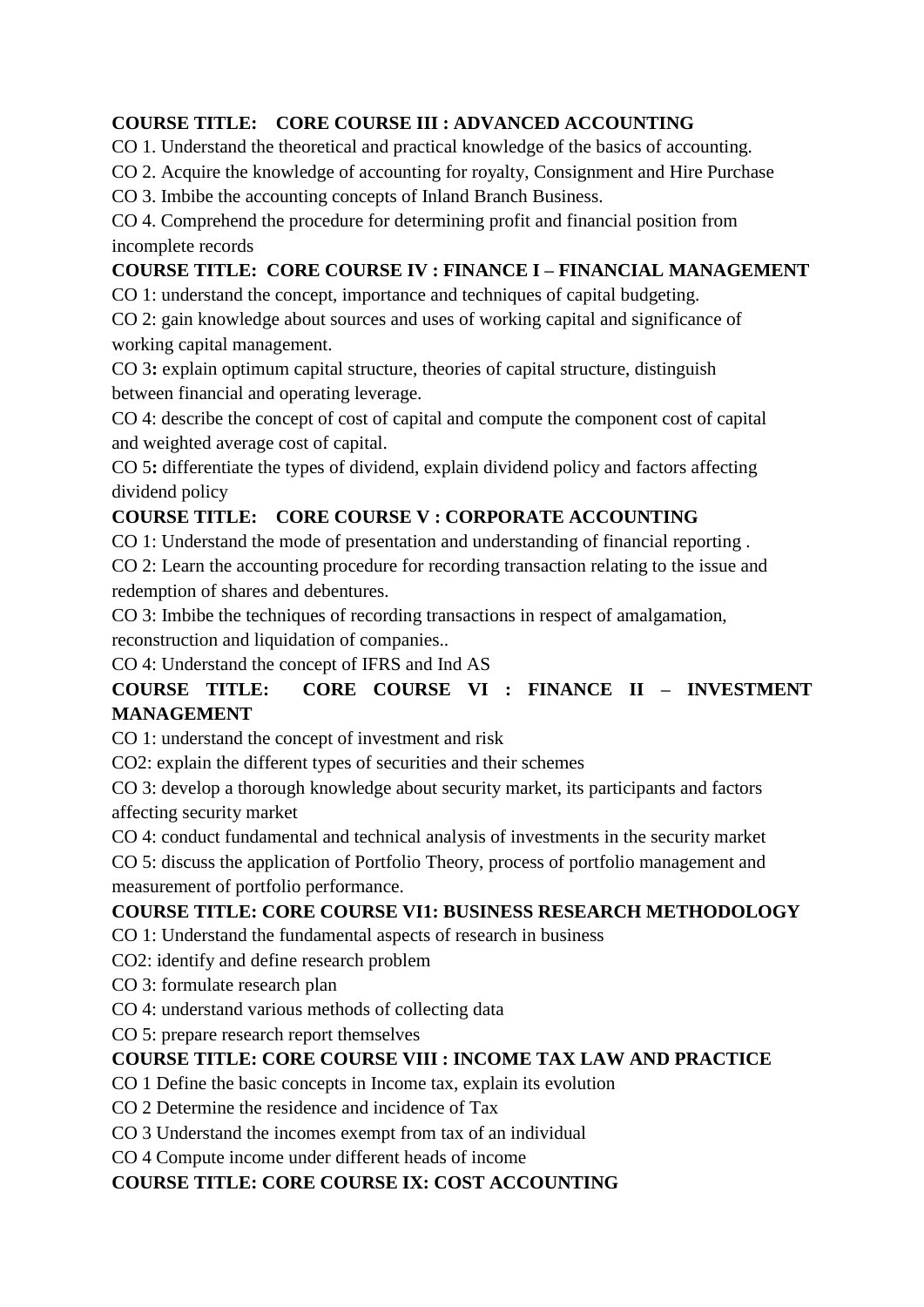# **COURSE TITLE: CORE COURSE III : ADVANCED ACCOUNTING**

CO 1. Understand the theoretical and practical knowledge of the basics of accounting.

CO 2. Acquire the knowledge of accounting for royalty, Consignment and Hire Purchase

CO 3. Imbibe the accounting concepts of Inland Branch Business.

CO 4. Comprehend the procedure for determining profit and financial position from incomplete records

# **COURSE TITLE: CORE COURSE IV : FINANCE I – FINANCIAL MANAGEMENT**

CO 1: understand the concept, importance and techniques of capital budgeting.

CO 2: gain knowledge about sources and uses of working capital and significance of working capital management.

CO 3**:** explain optimum capital structure, theories of capital structure, distinguish between financial and operating leverage.

CO 4: describe the concept of cost of capital and compute the component cost of capital and weighted average cost of capital.

CO 5**:** differentiate the types of dividend, explain dividend policy and factors affecting dividend policy

# **COURSE TITLE: CORE COURSE V : CORPORATE ACCOUNTING**

CO 1: Understand the mode of presentation and understanding of financial reporting .

CO 2: Learn the accounting procedure for recording transaction relating to the issue and redemption of shares and debentures.

CO 3: Imbibe the techniques of recording transactions in respect of amalgamation, reconstruction and liquidation of companies..

CO 4: Understand the concept of IFRS and Ind AS

# **COURSE TITLE: CORE COURSE VI : FINANCE II – INVESTMENT MANAGEMENT**

CO 1: understand the concept of investment and risk

CO2: explain the different types of securities and their schemes

CO 3: develop a thorough knowledge about security market, its participants and factors affecting security market

CO 4: conduct fundamental and technical analysis of investments in the security market

CO 5: discuss the application of Portfolio Theory, process of portfolio management and measurement of portfolio performance.

## **COURSE TITLE: CORE COURSE VI1: BUSINESS RESEARCH METHODOLOGY**

CO 1: Understand the fundamental aspects of research in business

CO2: identify and define research problem

CO 3: formulate research plan

CO 4: understand various methods of collecting data

CO 5: prepare research report themselves

# **COURSE TITLE: CORE COURSE VIII : INCOME TAX LAW AND PRACTICE**

CO 1 Define the basic concepts in Income tax, explain its evolution

CO 2 Determine the residence and incidence of Tax

CO 3 Understand the incomes exempt from tax of an individual

CO 4 Compute income under different heads of income

## **COURSE TITLE: CORE COURSE IX: COST ACCOUNTING**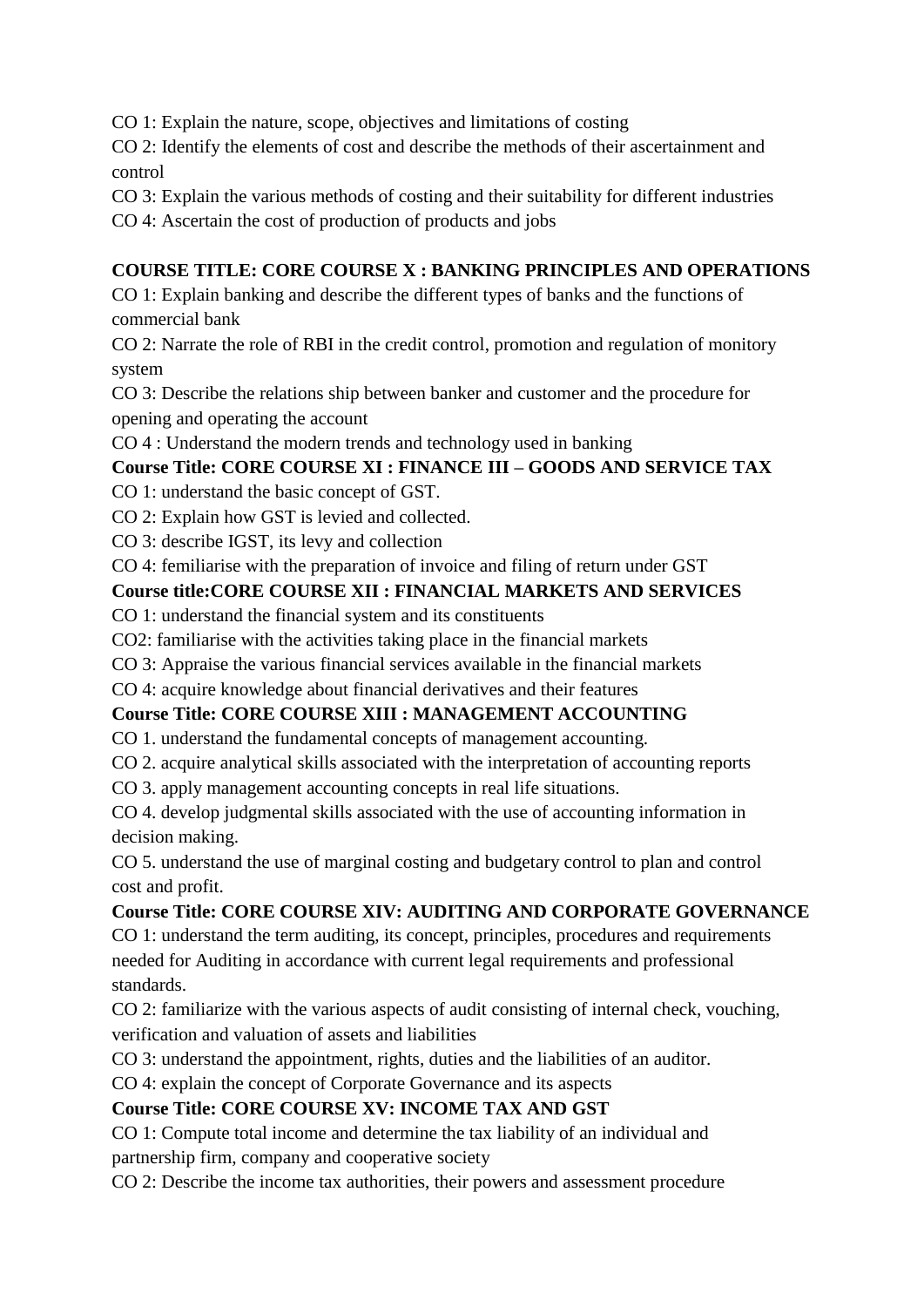CO 1: Explain the nature, scope, objectives and limitations of costing

CO 2: Identify the elements of cost and describe the methods of their ascertainment and control

CO 3: Explain the various methods of costing and their suitability for different industries

CO 4: Ascertain the cost of production of products and jobs

# **COURSE TITLE: CORE COURSE X : BANKING PRINCIPLES AND OPERATIONS**

CO 1: Explain banking and describe the different types of banks and the functions of commercial bank

CO 2: Narrate the role of RBI in the credit control, promotion and regulation of monitory system

CO 3: Describe the relations ship between banker and customer and the procedure for opening and operating the account

CO 4 : Understand the modern trends and technology used in banking

# **Course Title: CORE COURSE XI : FINANCE III – GOODS AND SERVICE TAX**

CO 1: understand the basic concept of GST.

CO 2: Explain how GST is levied and collected.

CO 3: describe IGST, its levy and collection

CO 4: femiliarise with the preparation of invoice and filing of return under GST

# **Course title:CORE COURSE XII : FINANCIAL MARKETS AND SERVICES**

CO 1: understand the financial system and its constituents

CO2: familiarise with the activities taking place in the financial markets

CO 3: Appraise the various financial services available in the financial markets

CO 4: acquire knowledge about financial derivatives and their features

# **Course Title: CORE COURSE XIII : MANAGEMENT ACCOUNTING**

CO 1. understand the fundamental concepts of management accounting.

CO 2. acquire analytical skills associated with the interpretation of accounting reports

CO 3. apply management accounting concepts in real life situations.

CO 4. develop judgmental skills associated with the use of accounting information in decision making.

CO 5. understand the use of marginal costing and budgetary control to plan and control cost and profit.

# **Course Title: CORE COURSE XIV: AUDITING AND CORPORATE GOVERNANCE**

CO 1: understand the term auditing, its concept, principles, procedures and requirements needed for Auditing in accordance with current legal requirements and professional standards.

CO 2: familiarize with the various aspects of audit consisting of internal check, vouching, verification and valuation of assets and liabilities

CO 3: understand the appointment, rights, duties and the liabilities of an auditor.

CO 4: explain the concept of Corporate Governance and its aspects

# **Course Title: CORE COURSE XV: INCOME TAX AND GST**

CO 1: Compute total income and determine the tax liability of an individual and partnership firm, company and cooperative society

CO 2: Describe the income tax authorities, their powers and assessment procedure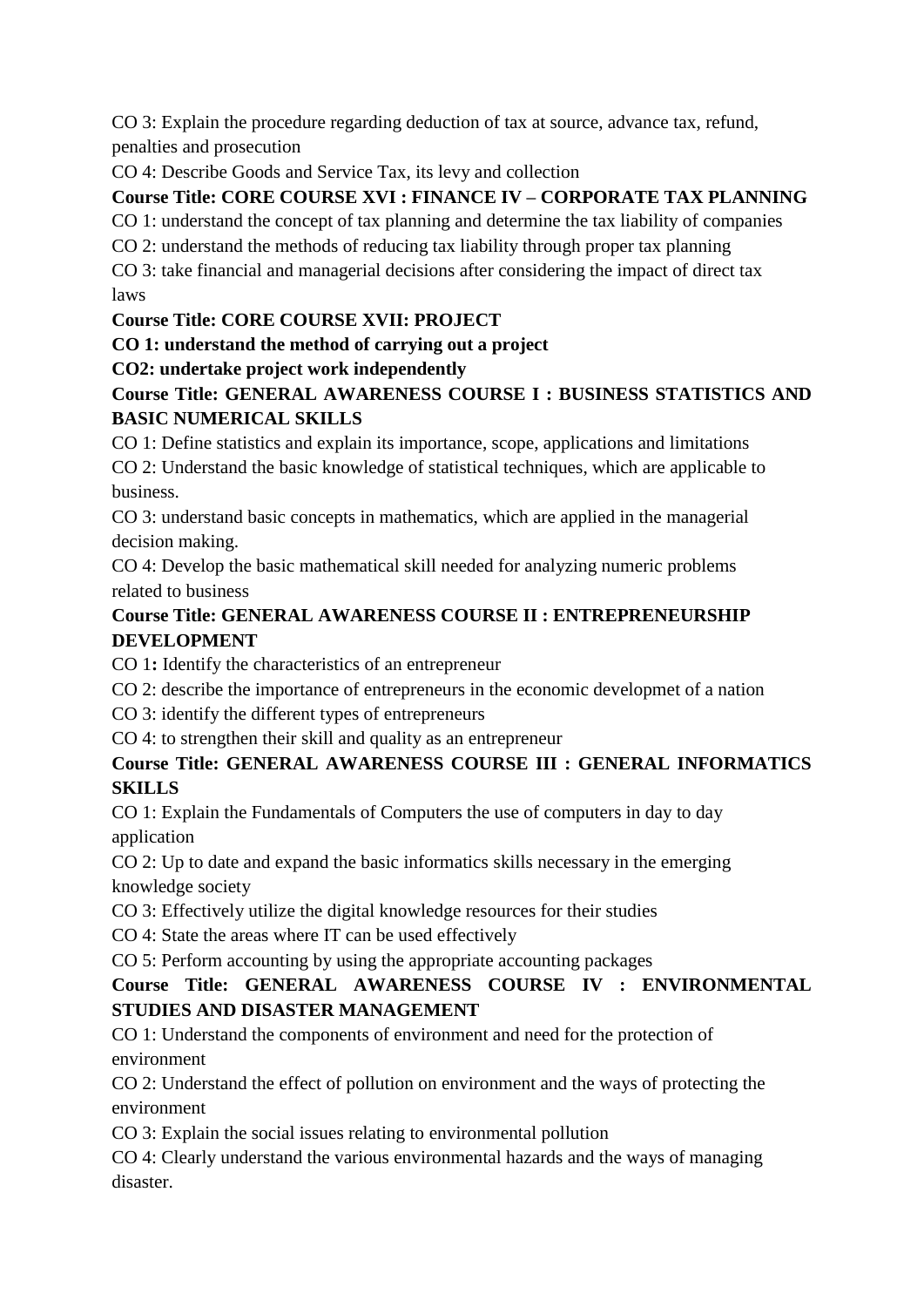CO 3: Explain the procedure regarding deduction of tax at source, advance tax, refund, penalties and prosecution

CO 4: Describe Goods and Service Tax, its levy and collection

# **Course Title: CORE COURSE XVI : FINANCE IV – CORPORATE TAX PLANNING**

CO 1: understand the concept of tax planning and determine the tax liability of companies

CO 2: understand the methods of reducing tax liability through proper tax planning

CO 3: take financial and managerial decisions after considering the impact of direct tax laws

# **Course Title: CORE COURSE XVII: PROJECT**

**CO 1: understand the method of carrying out a project**

# **CO2: undertake project work independently**

# **Course Title: GENERAL AWARENESS COURSE I : BUSINESS STATISTICS AND BASIC NUMERICAL SKILLS**

CO 1: Define statistics and explain its importance, scope, applications and limitations CO 2: Understand the basic knowledge of statistical techniques, which are applicable to business.

CO 3: understand basic concepts in mathematics, which are applied in the managerial decision making.

CO 4: Develop the basic mathematical skill needed for analyzing numeric problems related to business

# **Course Title: GENERAL AWARENESS COURSE II : ENTREPRENEURSHIP DEVELOPMENT**

CO 1**:** Identify the characteristics of an entrepreneur

CO 2: describe the importance of entrepreneurs in the economic developmet of a nation

CO 3: identify the different types of entrepreneurs

CO 4: to strengthen their skill and quality as an entrepreneur

# **Course Title: GENERAL AWARENESS COURSE III : GENERAL INFORMATICS SKILLS**

CO 1: Explain the Fundamentals of Computers the use of computers in day to day application

CO 2: Up to date and expand the basic informatics skills necessary in the emerging knowledge society

CO 3: Effectively utilize the digital knowledge resources for their studies

CO 4: State the areas where IT can be used effectively

CO 5: Perform accounting by using the appropriate accounting packages

# **Course Title: GENERAL AWARENESS COURSE IV : ENVIRONMENTAL STUDIES AND DISASTER MANAGEMENT**

CO 1: Understand the components of environment and need for the protection of environment

CO 2: Understand the effect of pollution on environment and the ways of protecting the environment

CO 3: Explain the social issues relating to environmental pollution

CO 4: Clearly understand the various environmental hazards and the ways of managing disaster.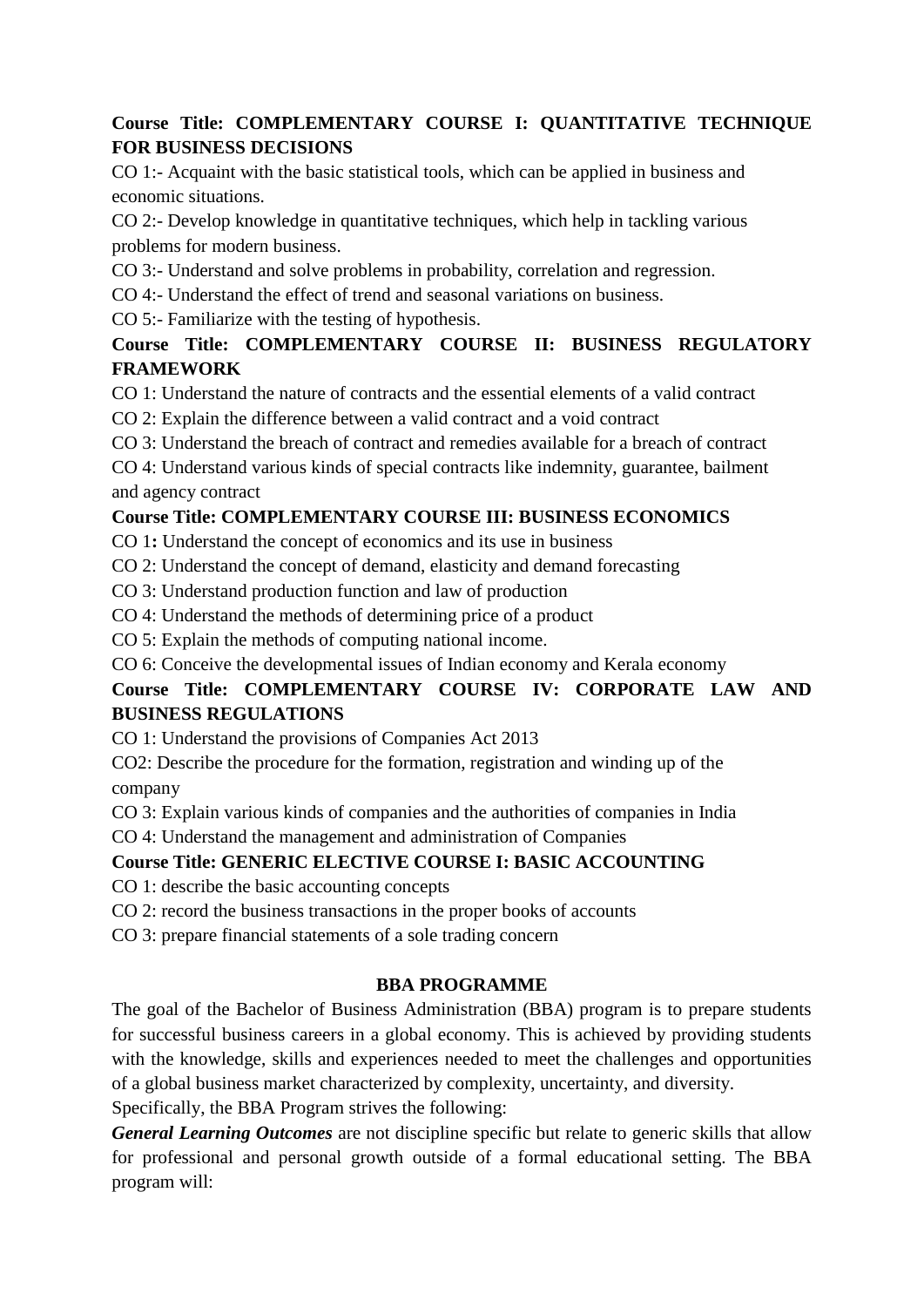## **Course Title: COMPLEMENTARY COURSE I: QUANTITATIVE TECHNIQUE FOR BUSINESS DECISIONS**

CO 1:- Acquaint with the basic statistical tools, which can be applied in business and economic situations.

CO 2:- Develop knowledge in quantitative techniques, which help in tackling various problems for modern business.

CO 3:- Understand and solve problems in probability, correlation and regression.

CO 4:- Understand the effect of trend and seasonal variations on business.

CO 5:- Familiarize with the testing of hypothesis.

# **Course Title: COMPLEMENTARY COURSE II: BUSINESS REGULATORY FRAMEWORK**

CO 1: Understand the nature of contracts and the essential elements of a valid contract

CO 2: Explain the difference between a valid contract and a void contract

CO 3: Understand the breach of contract and remedies available for a breach of contract

CO 4: Understand various kinds of special contracts like indemnity, guarantee, bailment and agency contract

# **Course Title: COMPLEMENTARY COURSE III: BUSINESS ECONOMICS**

CO 1**:** Understand the concept of economics and its use in business

CO 2: Understand the concept of demand, elasticity and demand forecasting

CO 3: Understand production function and law of production

CO 4: Understand the methods of determining price of a product

CO 5: Explain the methods of computing national income.

CO 6: Conceive the developmental issues of Indian economy and Kerala economy

# **Course Title: COMPLEMENTARY COURSE IV: CORPORATE LAW AND BUSINESS REGULATIONS**

CO 1: Understand the provisions of Companies Act 2013

CO2: Describe the procedure for the formation, registration and winding up of the company

CO 3: Explain various kinds of companies and the authorities of companies in India

CO 4: Understand the management and administration of Companies

# **Course Title: GENERIC ELECTIVE COURSE I: BASIC ACCOUNTING**

CO 1: describe the basic accounting concepts

CO 2: record the business transactions in the proper books of accounts

CO 3: prepare financial statements of a sole trading concern

# **BBA PROGRAMME**

The goal of the Bachelor of Business Administration (BBA) program is to prepare students for successful business careers in a global economy. This is achieved by providing students with the knowledge, skills and experiences needed to meet the challenges and opportunities of a global business market characterized by complexity, uncertainty, and diversity.

Specifically, the BBA Program strives the following:

*General Learning Outcomes* are not discipline specific but relate to generic skills that allow for professional and personal growth outside of a formal educational setting. The BBA program will: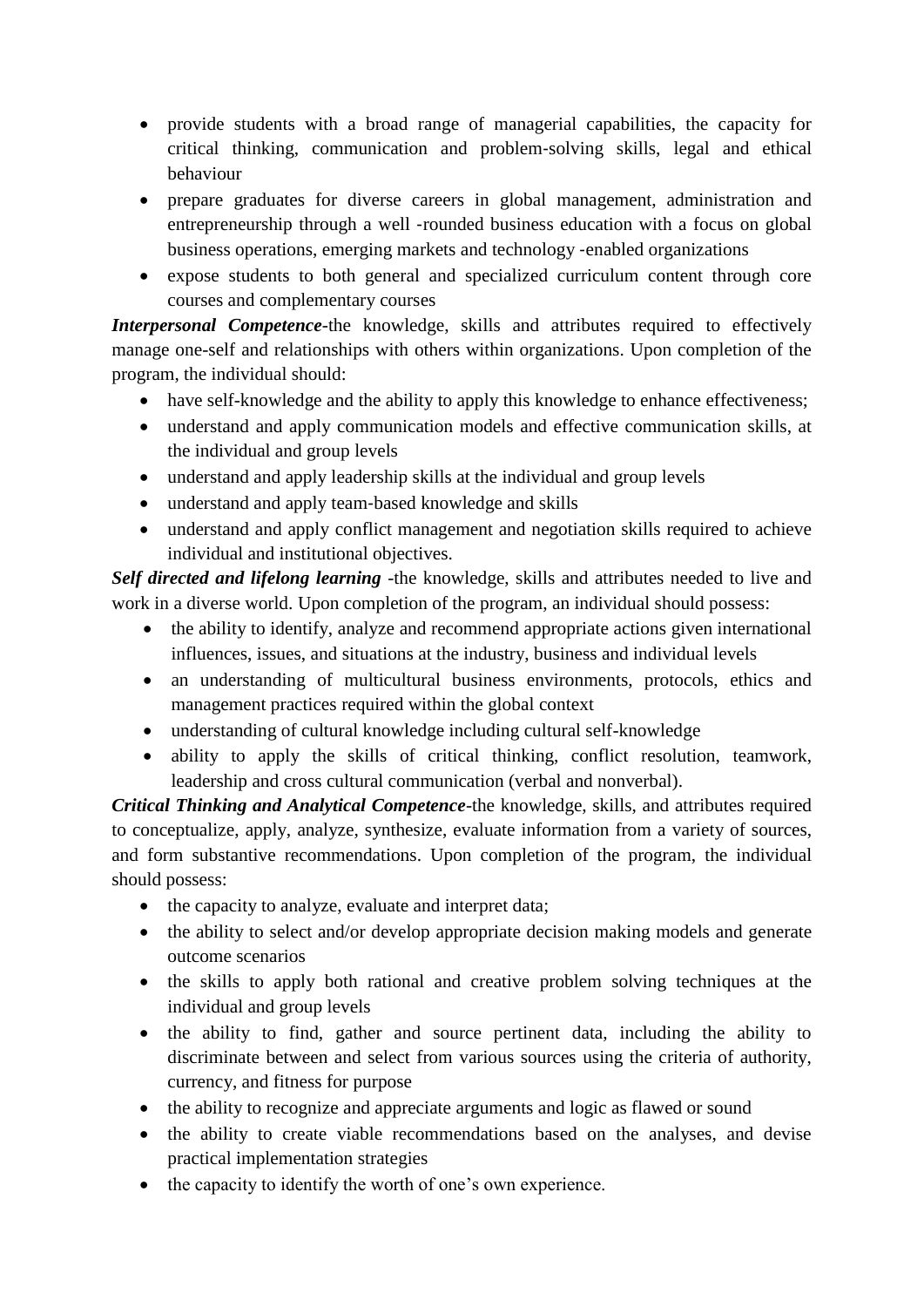- provide students with a broad range of managerial capabilities, the capacity for critical thinking, communication and problem‐solving skills, legal and ethical behaviour
- prepare graduates for diverse careers in global management, administration and entrepreneurship through a well ‐rounded business education with a focus on global business operations, emerging markets and technology ‐enabled organizations
- expose students to both general and specialized curriculum content through core courses and complementary courses

*Interpersonal Competence*-the knowledge, skills and attributes required to effectively manage one-self and relationships with others within organizations. Upon completion of the program, the individual should:

- have self-knowledge and the ability to apply this knowledge to enhance effectiveness;
- understand and apply communication models and effective communication skills, at the individual and group levels
- understand and apply leadership skills at the individual and group levels
- understand and apply team‐based knowledge and skills
- understand and apply conflict management and negotiation skills required to achieve individual and institutional objectives.

*Self directed and lifelong learning* -the knowledge, skills and attributes needed to live and work in a diverse world. Upon completion of the program, an individual should possess:

- the ability to identify, analyze and recommend appropriate actions given international influences, issues, and situations at the industry, business and individual levels
- an understanding of multicultural business environments, protocols, ethics and management practices required within the global context
- understanding of cultural knowledge including cultural self-knowledge
- ability to apply the skills of critical thinking, conflict resolution, teamwork, leadership and cross cultural communication (verbal and nonverbal).

*Critical Thinking and Analytical Competence*-the knowledge, skills, and attributes required to conceptualize, apply, analyze, synthesize, evaluate information from a variety of sources, and form substantive recommendations. Upon completion of the program, the individual should possess:

- the capacity to analyze, evaluate and interpret data;
- the ability to select and/or develop appropriate decision making models and generate outcome scenarios
- the skills to apply both rational and creative problem solving techniques at the individual and group levels
- the ability to find, gather and source pertinent data, including the ability to discriminate between and select from various sources using the criteria of authority, currency, and fitness for purpose
- the ability to recognize and appreciate arguments and logic as flawed or sound
- the ability to create viable recommendations based on the analyses, and devise practical implementation strategies
- the capacity to identify the worth of one's own experience.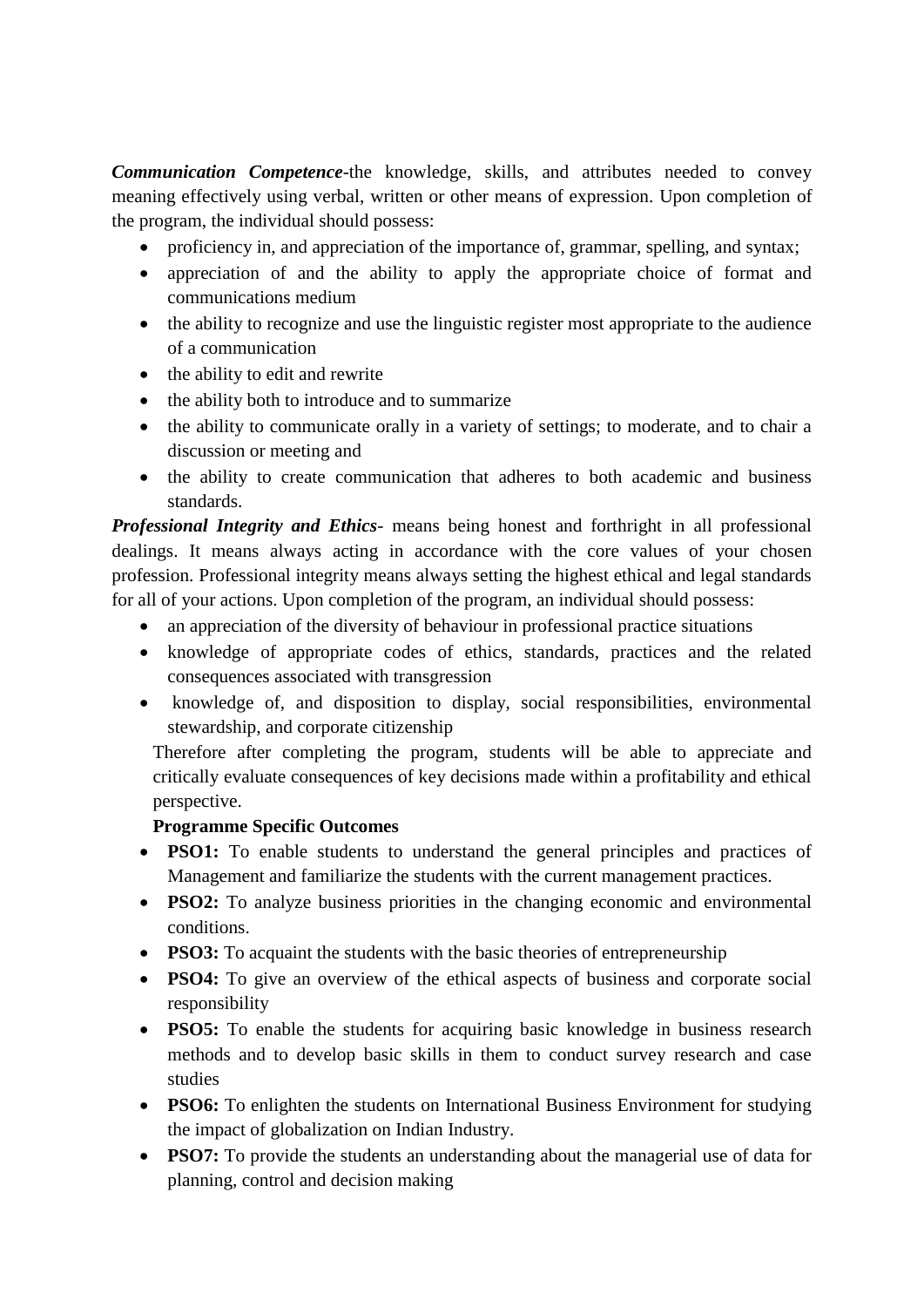*Communication Competence*-the knowledge, skills, and attributes needed to convey meaning effectively using verbal, written or other means of expression. Upon completion of the program, the individual should possess:

- proficiency in, and appreciation of the importance of, grammar, spelling, and syntax;
- appreciation of and the ability to apply the appropriate choice of format and communications medium
- the ability to recognize and use the linguistic register most appropriate to the audience of a communication
- $\bullet$  the ability to edit and rewrite
- the ability both to introduce and to summarize
- the ability to communicate orally in a variety of settings; to moderate, and to chair a discussion or meeting and
- the ability to create communication that adheres to both academic and business standards.

*Professional Integrity and Ethics*- means being honest and forthright in all professional dealings. It means always acting in accordance with the core values of your chosen profession. Professional integrity means always setting the highest ethical and legal standards for all of your actions. Upon completion of the program, an individual should possess:

- an appreciation of the diversity of behaviour in professional practice situations
- knowledge of appropriate codes of ethics, standards, practices and the related consequences associated with transgression
- knowledge of, and disposition to display, social responsibilities, environmental stewardship, and corporate citizenship

Therefore after completing the program, students will be able to appreciate and critically evaluate consequences of key decisions made within a profitability and ethical perspective.

#### **Programme Specific Outcomes**

- **PSO1:** To enable students to understand the general principles and practices of Management and familiarize the students with the current management practices.
- **PSO2:** To analyze business priorities in the changing economic and environmental conditions.
- **PSO3:** To acquaint the students with the basic theories of entrepreneurship
- **PSO4:** To give an overview of the ethical aspects of business and corporate social responsibility
- **PSO5:** To enable the students for acquiring basic knowledge in business research methods and to develop basic skills in them to conduct survey research and case studies
- **PSO6:** To enlighten the students on International Business Environment for studying the impact of globalization on Indian Industry.
- **PSO7:** To provide the students an understanding about the managerial use of data for planning, control and decision making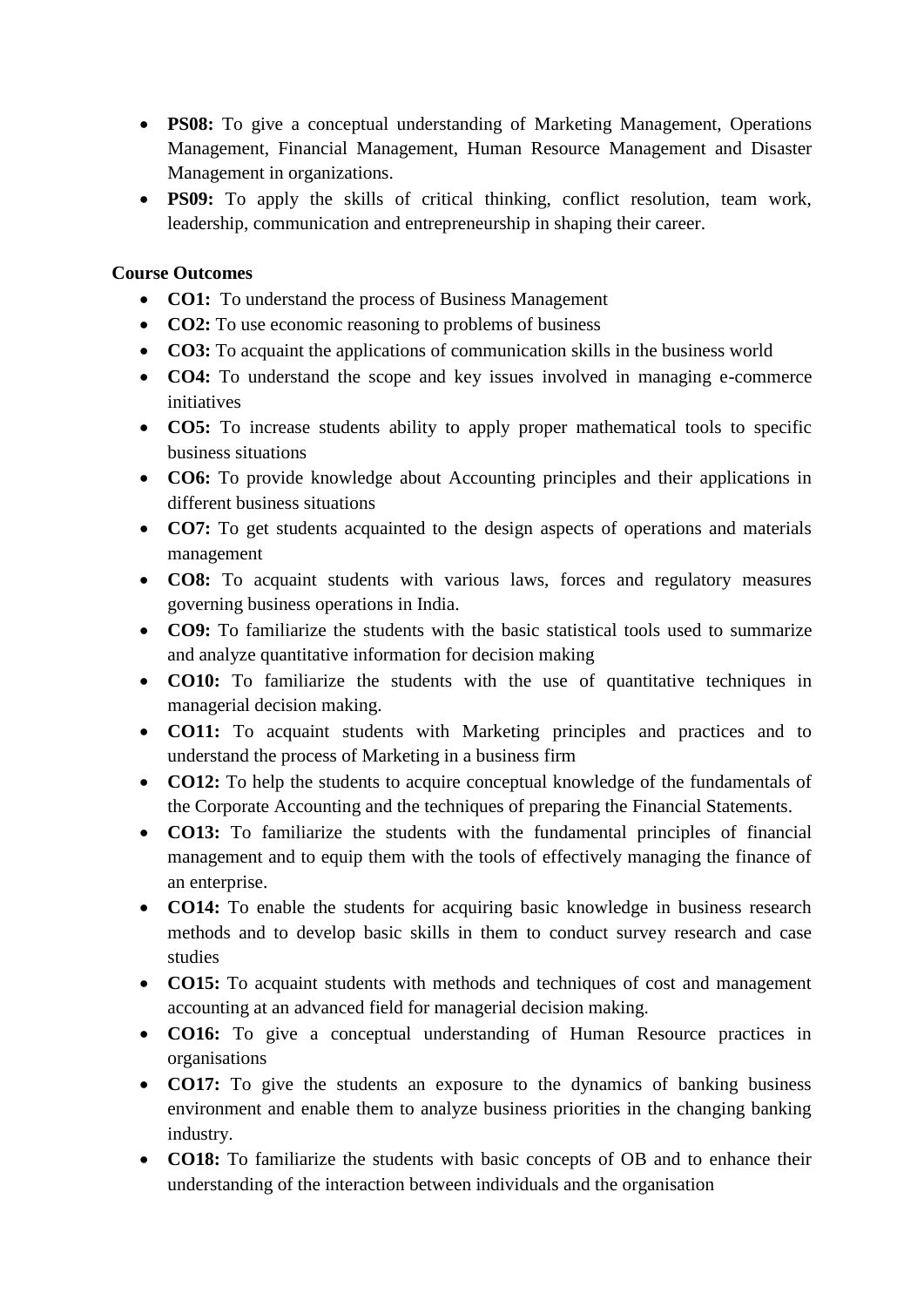- **PS08:** To give a conceptual understanding of Marketing Management, Operations Management, Financial Management, Human Resource Management and Disaster Management in organizations.
- **PS09:** To apply the skills of critical thinking, conflict resolution, team work, leadership, communication and entrepreneurship in shaping their career.

#### **Course Outcomes**

- **CO1:** To understand the process of Business Management
- **CO2:** To use economic reasoning to problems of business
- **CO3:** To acquaint the applications of communication skills in the business world
- **CO4:** To understand the scope and key issues involved in managing e-commerce initiatives
- **CO5:** To increase students ability to apply proper mathematical tools to specific business situations
- **CO6:** To provide knowledge about Accounting principles and their applications in different business situations
- **CO7:** To get students acquainted to the design aspects of operations and materials management
- **CO8:** To acquaint students with various laws, forces and regulatory measures governing business operations in India.
- **CO9:** To familiarize the students with the basic statistical tools used to summarize and analyze quantitative information for decision making
- **CO10:** To familiarize the students with the use of quantitative techniques in managerial decision making.
- **CO11:** To acquaint students with Marketing principles and practices and to understand the process of Marketing in a business firm
- **CO12:** To help the students to acquire conceptual knowledge of the fundamentals of the Corporate Accounting and the techniques of preparing the Financial Statements.
- **CO13:** To familiarize the students with the fundamental principles of financial management and to equip them with the tools of effectively managing the finance of an enterprise.
- **CO14:** To enable the students for acquiring basic knowledge in business research methods and to develop basic skills in them to conduct survey research and case studies
- **CO15:** To acquaint students with methods and techniques of cost and management accounting at an advanced field for managerial decision making.
- **CO16:** To give a conceptual understanding of Human Resource practices in organisations
- **CO17:** To give the students an exposure to the dynamics of banking business environment and enable them to analyze business priorities in the changing banking industry.
- **CO18:** To familiarize the students with basic concepts of OB and to enhance their understanding of the interaction between individuals and the organisation